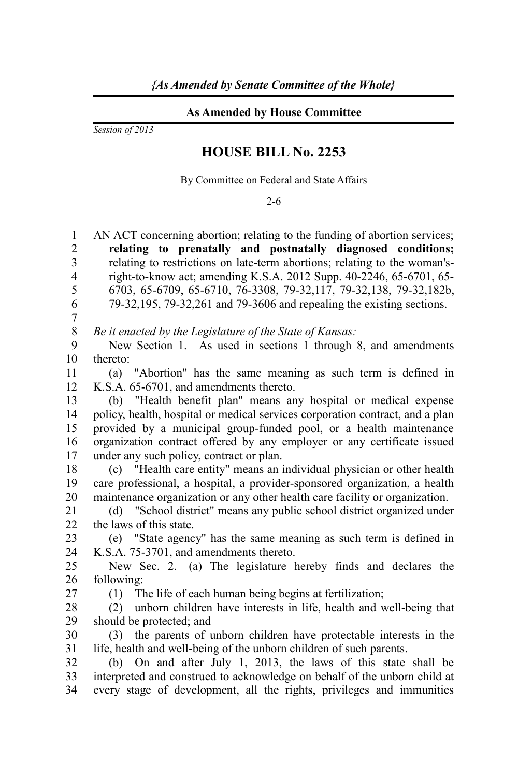## **As Amended by House Committee**

*Session of 2013*

## **HOUSE BILL No. 2253**

By Committee on Federal and State Affairs

2-6

AN ACT concerning abortion; relating to the funding of abortion services; **relating to prenatally and postnatally diagnosed conditions;** relating to restrictions on late-term abortions; relating to the woman'sright-to-know act; amending K.S.A. 2012 Supp. 40-2246, 65-6701, 65- 6703, 65-6709, 65-6710, 76-3308, 79-32,117, 79-32,138, 79-32,182b, 79-32,195, 79-32,261 and 79-3606 and repealing the existing sections. *Be it enacted by the Legislature of the State of Kansas:* New Section 1. As used in sections 1 through 8, and amendments thereto: (a) "Abortion" has the same meaning as such term is defined in K.S.A. 65-6701, and amendments thereto. (b) "Health benefit plan" means any hospital or medical expense 1 2 3 4 5 6 7 8 9 10 11 12 13

policy, health, hospital or medical services corporation contract, and a plan provided by a municipal group-funded pool, or a health maintenance organization contract offered by any employer or any certificate issued under any such policy, contract or plan. 14 15 16 17

(c) "Health care entity" means an individual physician or other health care professional, a hospital, a provider-sponsored organization, a health maintenance organization or any other health care facility or organization. 18 19 20

(d) "School district" means any public school district organized under the laws of this state. 21 22

(e) "State agency" has the same meaning as such term is defined in K.S.A. 75-3701, and amendments thereto. 23 24

New Sec. 2. (a) The legislature hereby finds and declares the following: 25 26 27

(1) The life of each human being begins at fertilization;

(2) unborn children have interests in life, health and well-being that should be protected; and 28 29

(3) the parents of unborn children have protectable interests in the life, health and well-being of the unborn children of such parents. 30 31

(b) On and after July 1, 2013, the laws of this state shall be interpreted and construed to acknowledge on behalf of the unborn child at every stage of development, all the rights, privileges and immunities 32 33 34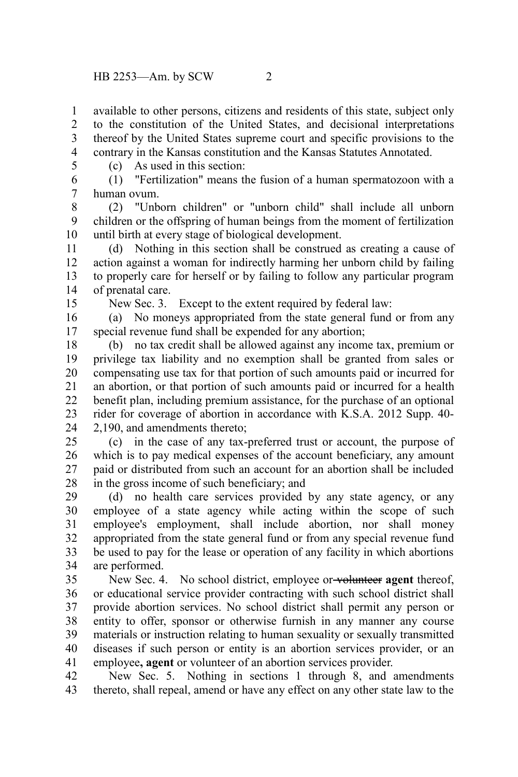available to other persons, citizens and residents of this state, subject only to the constitution of the United States, and decisional interpretations thereof by the United States supreme court and specific provisions to the contrary in the Kansas constitution and the Kansas Statutes Annotated. 1  $\mathcal{L}$ 3 4

5

(c) As used in this section:

(1) "Fertilization" means the fusion of a human spermatozoon with a human ovum. 6 7

(2) "Unborn children" or "unborn child" shall include all unborn children or the offspring of human beings from the moment of fertilization until birth at every stage of biological development. 8 9 10

(d) Nothing in this section shall be construed as creating a cause of action against a woman for indirectly harming her unborn child by failing to properly care for herself or by failing to follow any particular program of prenatal care. 11 12 13 14

15

New Sec. 3. Except to the extent required by federal law:

(a) No moneys appropriated from the state general fund or from any special revenue fund shall be expended for any abortion; 16 17

(b) no tax credit shall be allowed against any income tax, premium or privilege tax liability and no exemption shall be granted from sales or compensating use tax for that portion of such amounts paid or incurred for an abortion, or that portion of such amounts paid or incurred for a health benefit plan, including premium assistance, for the purchase of an optional rider for coverage of abortion in accordance with K.S.A. 2012 Supp. 40- 2,190, and amendments thereto; 18 19 20 21 22 23 24

(c) in the case of any tax-preferred trust or account, the purpose of which is to pay medical expenses of the account beneficiary, any amount paid or distributed from such an account for an abortion shall be included in the gross income of such beneficiary; and 25 26 27 28

(d) no health care services provided by any state agency, or any employee of a state agency while acting within the scope of such employee's employment, shall include abortion, nor shall money appropriated from the state general fund or from any special revenue fund be used to pay for the lease or operation of any facility in which abortions are performed. 29 30 31 32 33 34

New Sec. 4. No school district, employee or volunteer **agent** thereof, or educational service provider contracting with such school district shall provide abortion services. No school district shall permit any person or entity to offer, sponsor or otherwise furnish in any manner any course materials or instruction relating to human sexuality or sexually transmitted diseases if such person or entity is an abortion services provider, or an employee**, agent** or volunteer of an abortion services provider. 35 36 37 38 39 40 41

New Sec. 5. Nothing in sections 1 through 8, and amendments thereto, shall repeal, amend or have any effect on any other state law to the 42 43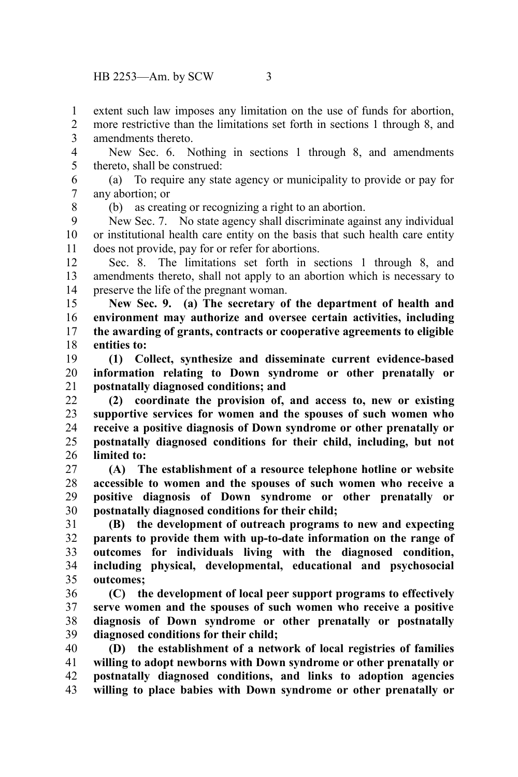extent such law imposes any limitation on the use of funds for abortion, 1

more restrictive than the limitations set forth in sections 1 through 8, and amendments thereto.  $\mathcal{L}$ 3

New Sec. 6. Nothing in sections 1 through 8, and amendments thereto, shall be construed: 4 5

(a) To require any state agency or municipality to provide or pay for any abortion; or 6 7

8

(b) as creating or recognizing a right to an abortion.

New Sec. 7. No state agency shall discriminate against any individual or institutional health care entity on the basis that such health care entity does not provide, pay for or refer for abortions. 9 10 11

Sec. 8. The limitations set forth in sections 1 through 8, and amendments thereto, shall not apply to an abortion which is necessary to preserve the life of the pregnant woman. 12 13 14

**New Sec. 9. (a) The secretary of the department of health and environment may authorize and oversee certain activities, including the awarding of grants, contracts or cooperative agreements to eligible entities to:** 15 16 17 18

**(1) Collect, synthesize and disseminate current evidence-based information relating to Down syndrome or other prenatally or postnatally diagnosed conditions; and** 19 20 21

**(2) coordinate the provision of, and access to, new or existing supportive services for women and the spouses of such women who receive a positive diagnosis of Down syndrome or other prenatally or postnatally diagnosed conditions for their child, including, but not limited to:** 22 23 24 25 26

**(A) The establishment of a resource telephone hotline or website accessible to women and the spouses of such women who receive a positive diagnosis of Down syndrome or other prenatally or postnatally diagnosed conditions for their child;** 27 28 29 30

**(B) the development of outreach programs to new and expecting parents to provide them with up-to-date information on the range of outcomes for individuals living with the diagnosed condition, including physical, developmental, educational and psychosocial outcomes;** 31 32 33 34 35

**(C) the development of local peer support programs to effectively serve women and the spouses of such women who receive a positive diagnosis of Down syndrome or other prenatally or postnatally diagnosed conditions for their child;** 36 37 38 39

**(D) the establishment of a network of local registries of families willing to adopt newborns with Down syndrome or other prenatally or postnatally diagnosed conditions, and links to adoption agencies willing to place babies with Down syndrome or other prenatally or** 40 41 42 43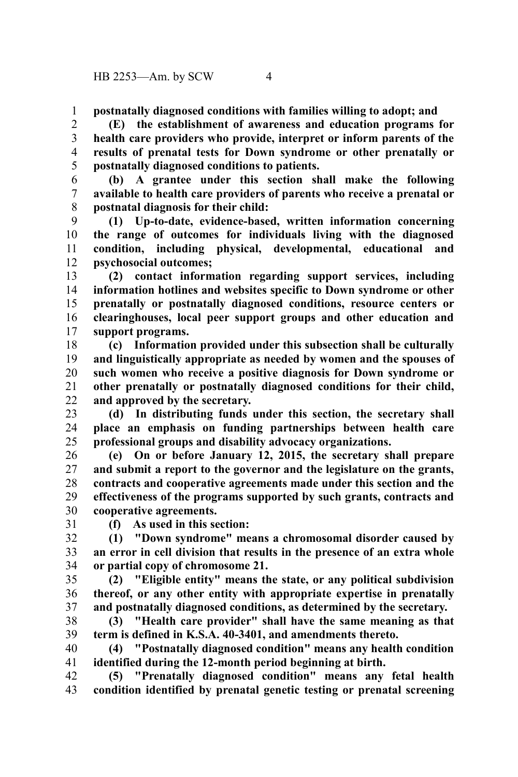**postnatally diagnosed conditions with families willing to adopt; and** 1

**(E) the establishment of awareness and education programs for health care providers who provide, interpret or inform parents of the results of prenatal tests for Down syndrome or other prenatally or postnatally diagnosed conditions to patients.** 2 3 4 5

**(b) A grantee under this section shall make the following available to health care providers of parents who receive a prenatal or postnatal diagnosis for their child:** 6 7 8

**(1) Up-to-date, evidence-based, written information concerning the range of outcomes for individuals living with the diagnosed condition, including physical, developmental, educational and psychosocial outcomes;** 9 10 11 12

**(2) contact information regarding support services, including information hotlines and websites specific to Down syndrome or other prenatally or postnatally diagnosed conditions, resource centers or clearinghouses, local peer support groups and other education and support programs.** 13 14 15 16 17

**(c) Information provided under this subsection shall be culturally and linguistically appropriate as needed by women and the spouses of such women who receive a positive diagnosis for Down syndrome or other prenatally or postnatally diagnosed conditions for their child, and approved by the secretary.** 18 19 20 21 22

**(d) In distributing funds under this section, the secretary shall place an emphasis on funding partnerships between health care professional groups and disability advocacy organizations.** 23 24 25

**(e) On or before January 12, 2015, the secretary shall prepare and submit a report to the governor and the legislature on the grants, contracts and cooperative agreements made under this section and the effectiveness of the programs supported by such grants, contracts and cooperative agreements.** 26 27 28 29 30

31

**(f) As used in this section:**

**(1) "Down syndrome" means a chromosomal disorder caused by an error in cell division that results in the presence of an extra whole or partial copy of chromosome 21.** 32 33 34

**(2) "Eligible entity" means the state, or any political subdivision thereof, or any other entity with appropriate expertise in prenatally and postnatally diagnosed conditions, as determined by the secretary.** 35 36 37

**(3) "Health care provider" shall have the same meaning as that term is defined in K.S.A. 40-3401, and amendments thereto.** 38 39

**(4) "Postnatally diagnosed condition" means any health condition identified during the 12-month period beginning at birth.** 40 41

**(5) "Prenatally diagnosed condition" means any fetal health condition identified by prenatal genetic testing or prenatal screening** 42 43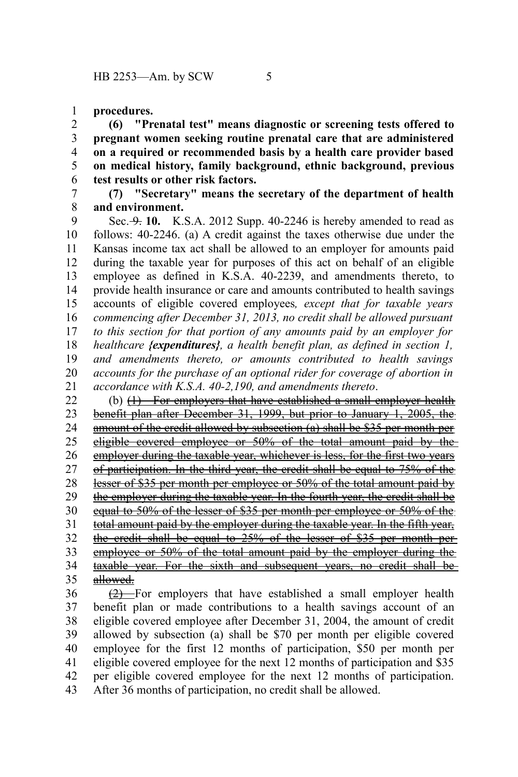**procedures.** 1

**(6) "Prenatal test" means diagnostic or screening tests offered to pregnant women seeking routine prenatal care that are administered on a required or recommended basis by a health care provider based on medical history, family background, ethnic background, previous test results or other risk factors.** 2 3 4 5 6

**(7) "Secretary" means the secretary of the department of health and environment.** 7 8

Sec. 9. **10.** K.S.A. 2012 Supp. 40-2246 is hereby amended to read as follows: 40-2246. (a) A credit against the taxes otherwise due under the Kansas income tax act shall be allowed to an employer for amounts paid during the taxable year for purposes of this act on behalf of an eligible employee as defined in K.S.A. 40-2239, and amendments thereto, to provide health insurance or care and amounts contributed to health savings accounts of eligible covered employees*, except that for taxable years commencing after December 31, 2013, no credit shall be allowed pursuant to this section for that portion of any amounts paid by an employer for healthcare {expenditures}, a health benefit plan, as defined in section 1, and amendments thereto, or amounts contributed to health savings accounts for the purchase of an optional rider for coverage of abortion in accordance with K.S.A. 40-2,190, and amendments thereto*. 9 10 11 12 13 14 15 16 17 18 19 20 21

(b)  $(1)$  For employers that have established a small employer health benefit plan after December 31, 1999, but prior to January 1, 2005, the amount of the credit allowed by subsection (a) shall be \$35 per month per eligible covered employee or 50% of the total amount paid by the employer during the taxable year, whichever is less, for the first two years of participation. In the third year, the credit shall be equal to 75% of the lesser of \$35 per month per employee or 50% of the total amount paid by the employer during the taxable year. In the fourth year, the credit shall be equal to 50% of the lesser of \$35 per month per employee or 50% of the total amount paid by the employer during the taxable year. In the fifth year, the credit shall be equal to 25% of the lesser of \$35 per month per employee or 50% of the total amount paid by the employer during the taxable year. For the sixth and subsequent years, no credit shall beallowed. 22 23 24 25 26 27 28 29 30 31 32 33 34 35

 $\frac{2}{2}$  For employers that have established a small employer health benefit plan or made contributions to a health savings account of an eligible covered employee after December 31, 2004, the amount of credit allowed by subsection (a) shall be \$70 per month per eligible covered employee for the first 12 months of participation, \$50 per month per eligible covered employee for the next 12 months of participation and \$35 per eligible covered employee for the next 12 months of participation. After 36 months of participation, no credit shall be allowed. 36 37 38 39 40 41 42 43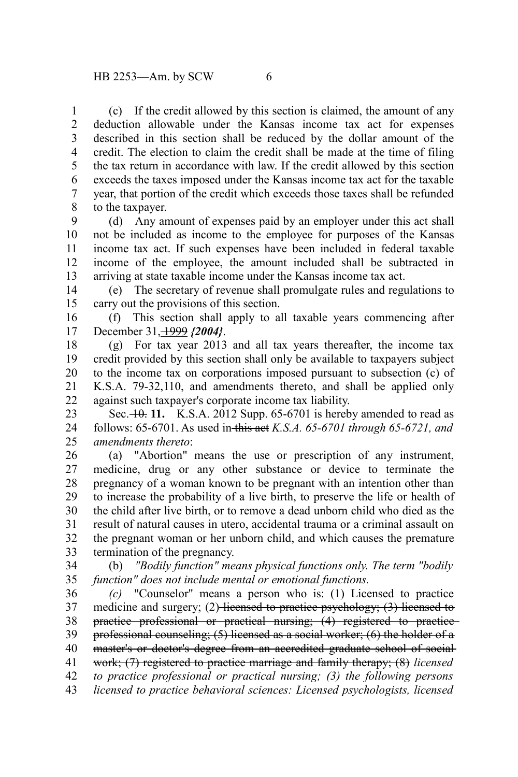(c) If the credit allowed by this section is claimed, the amount of any deduction allowable under the Kansas income tax act for expenses described in this section shall be reduced by the dollar amount of the credit. The election to claim the credit shall be made at the time of filing the tax return in accordance with law. If the credit allowed by this section exceeds the taxes imposed under the Kansas income tax act for the taxable year, that portion of the credit which exceeds those taxes shall be refunded to the taxpayer. 1 2 3 4 5 6 7 8

(d) Any amount of expenses paid by an employer under this act shall not be included as income to the employee for purposes of the Kansas income tax act. If such expenses have been included in federal taxable income of the employee, the amount included shall be subtracted in arriving at state taxable income under the Kansas income tax act. 9 10 11 12 13

(e) The secretary of revenue shall promulgate rules and regulations to carry out the provisions of this section. 14 15

(f) This section shall apply to all taxable years commencing after December 31, 1999 *{2004}*. 16 17

(g) For tax year 2013 and all tax years thereafter, the income tax credit provided by this section shall only be available to taxpayers subject to the income tax on corporations imposed pursuant to subsection (c) of K.S.A. 79-32,110, and amendments thereto, and shall be applied only against such taxpayer's corporate income tax liability. 18 19 20 21 22

Sec. 10. 11. K.S.A. 2012 Supp. 65-6701 is hereby amended to read as follows: 65-6701. As used in this act *K.S.A. 65-6701 through 65-6721, and amendments thereto*: 23 24  $25$ 

(a) "Abortion" means the use or prescription of any instrument, medicine, drug or any other substance or device to terminate the pregnancy of a woman known to be pregnant with an intention other than to increase the probability of a live birth, to preserve the life or health of the child after live birth, or to remove a dead unborn child who died as the result of natural causes in utero, accidental trauma or a criminal assault on the pregnant woman or her unborn child, and which causes the premature termination of the pregnancy. 26 27 28 29 30 31 32 33

(b) *"Bodily function" means physical functions only. The term "bodily function" does not include mental or emotional functions.* 34 35

*(c)* "Counselor" means a person who is: (1) Licensed to practice medicine and surgery; (2) licensed to practice psychology; (3) licensed to practice professional or practical nursing; (4) registered to practice professional counseling; (5) licensed as a social worker; (6) the holder of a master's or doctor's degree from an accredited graduate school of social work; (7) registered to practice marriage and family therapy; (8) *licensed to practice professional or practical nursing; (3) the following persons licensed to practice behavioral sciences: Licensed psychologists, licensed* 36 37 38 39 40 41 42 43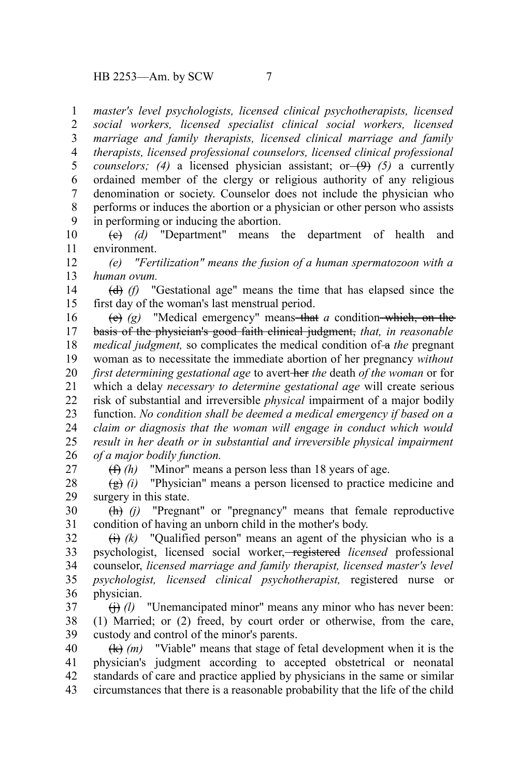*master's level psychologists, licensed clinical psychotherapists, licensed social workers, licensed specialist clinical social workers, licensed marriage and family therapists, licensed clinical marriage and family therapists, licensed professional counselors, licensed clinical professional counselors;* (4) a licensed physician assistant; or  $\left(\theta\right)$  (5) a currently ordained member of the clergy or religious authority of any religious denomination or society. Counselor does not include the physician who performs or induces the abortion or a physician or other person who assists in performing or inducing the abortion. 1 2 3 4 5 6 7 8 9

(c) *(d)* "Department" means the department of health and environment. 10 11

*(e) "Fertilization" means the fusion of a human spermatozoon with a human ovum.* 12 13

(d) *(f)* "Gestational age" means the time that has elapsed since the first day of the woman's last menstrual period. 14 15

(e) *(g)* "Medical emergency" means that *a* condition which, on the basis of the physician's good faith clinical judgment, *that, in reasonable medical judgment,* so complicates the medical condition of a *the* pregnant woman as to necessitate the immediate abortion of her pregnancy *without first determining gestational age* to avert her *the* death *of the woman* or for which a delay *necessary to determine gestational age* will create serious risk of substantial and irreversible *physical* impairment of a major bodily function. *No condition shall be deemed a medical emergency if based on a claim or diagnosis that the woman will engage in conduct which would result in her death or in substantial and irreversible physical impairment of a major bodily function.* 16 17 18 19 20 21 22 23 24 25 26

27

(f) *(h)* "Minor" means a person less than 18 years of age.

(g) *(i)* "Physician" means a person licensed to practice medicine and surgery in this state. 28 29

(h) *(j)* "Pregnant" or "pregnancy" means that female reproductive condition of having an unborn child in the mother's body. 30 31

 $(i)$  (k) "Qualified person" means an agent of the physician who is a psychologist, licensed social worker, registered *licensed* professional counselor, *licensed marriage and family therapist, licensed master's level psychologist, licensed clinical psychotherapist,* registered nurse or physician. 32 33 34 35 36

 $(i)$  (*l*) "Unemancipated minor" means any minor who has never been: (1) Married; or (2) freed, by court order or otherwise, from the care, custody and control of the minor's parents. 37 38 39

(k) *(m)* "Viable" means that stage of fetal development when it is the physician's judgment according to accepted obstetrical or neonatal standards of care and practice applied by physicians in the same or similar circumstances that there is a reasonable probability that the life of the child 40 41 42 43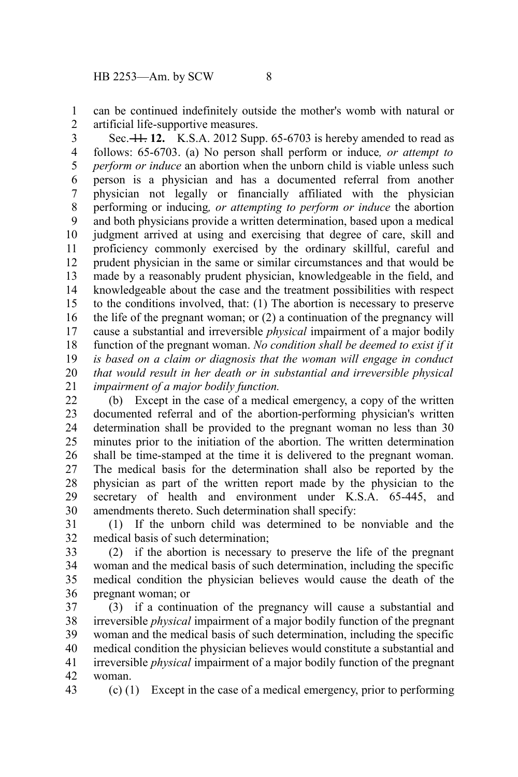can be continued indefinitely outside the mother's womb with natural or artificial life-supportive measures. 1 2

Sec. 11. **12.** K.S.A. 2012 Supp. 65-6703 is hereby amended to read as follows: 65-6703. (a) No person shall perform or induce*, or attempt to perform or induce* an abortion when the unborn child is viable unless such person is a physician and has a documented referral from another physician not legally or financially affiliated with the physician performing or inducing*, or attempting to perform or induce* the abortion and both physicians provide a written determination, based upon a medical judgment arrived at using and exercising that degree of care, skill and proficiency commonly exercised by the ordinary skillful, careful and prudent physician in the same or similar circumstances and that would be made by a reasonably prudent physician, knowledgeable in the field, and knowledgeable about the case and the treatment possibilities with respect to the conditions involved, that: (1) The abortion is necessary to preserve the life of the pregnant woman; or (2) a continuation of the pregnancy will cause a substantial and irreversible *physical* impairment of a major bodily function of the pregnant woman. *No condition shall be deemed to exist if it is based on a claim or diagnosis that the woman will engage in conduct that would result in her death or in substantial and irreversible physical impairment of a major bodily function.* 3 4 5 6 7 8 9 10 11 12 13 14 15 16 17 18 19 20 21

(b) Except in the case of a medical emergency, a copy of the written documented referral and of the abortion-performing physician's written determination shall be provided to the pregnant woman no less than 30 minutes prior to the initiation of the abortion. The written determination shall be time-stamped at the time it is delivered to the pregnant woman. The medical basis for the determination shall also be reported by the physician as part of the written report made by the physician to the secretary of health and environment under K.S.A. 65-445, and amendments thereto. Such determination shall specify: 22 23 24 25 26 27 28 29 30

(1) If the unborn child was determined to be nonviable and the medical basis of such determination; 31 32

(2) if the abortion is necessary to preserve the life of the pregnant woman and the medical basis of such determination, including the specific medical condition the physician believes would cause the death of the pregnant woman; or 33 34 35 36

(3) if a continuation of the pregnancy will cause a substantial and irreversible *physical* impairment of a major bodily function of the pregnant woman and the medical basis of such determination, including the specific medical condition the physician believes would constitute a substantial and irreversible *physical* impairment of a major bodily function of the pregnant woman. 37 38 39 40 41 42

43

(c) (1) Except in the case of a medical emergency, prior to performing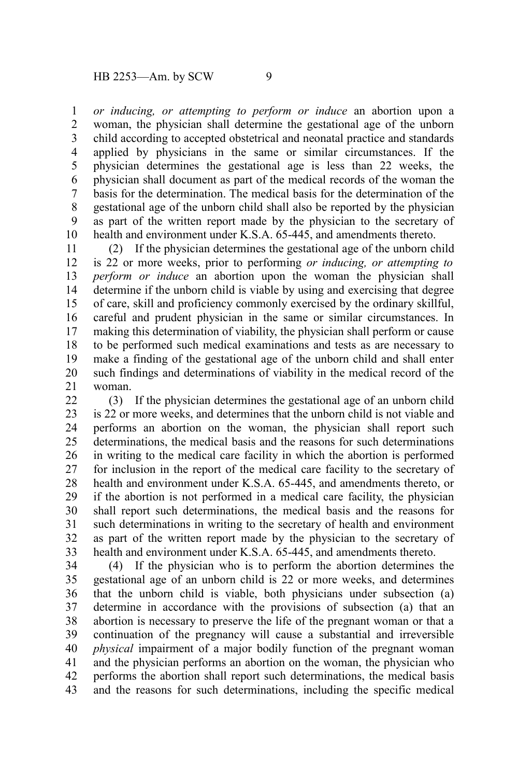*or inducing, or attempting to perform or induce* an abortion upon a woman, the physician shall determine the gestational age of the unborn child according to accepted obstetrical and neonatal practice and standards applied by physicians in the same or similar circumstances. If the physician determines the gestational age is less than 22 weeks, the physician shall document as part of the medical records of the woman the basis for the determination. The medical basis for the determination of the gestational age of the unborn child shall also be reported by the physician as part of the written report made by the physician to the secretary of health and environment under K.S.A. 65-445, and amendments thereto. 1 2 3 4 5 6 7 8 9 10

(2) If the physician determines the gestational age of the unborn child is 22 or more weeks, prior to performing *or inducing, or attempting to perform or induce* an abortion upon the woman the physician shall determine if the unborn child is viable by using and exercising that degree of care, skill and proficiency commonly exercised by the ordinary skillful, careful and prudent physician in the same or similar circumstances. In making this determination of viability, the physician shall perform or cause to be performed such medical examinations and tests as are necessary to make a finding of the gestational age of the unborn child and shall enter such findings and determinations of viability in the medical record of the woman. 11 12 13 14 15 16 17 18 19 20 21

(3) If the physician determines the gestational age of an unborn child is 22 or more weeks, and determines that the unborn child is not viable and performs an abortion on the woman, the physician shall report such determinations, the medical basis and the reasons for such determinations in writing to the medical care facility in which the abortion is performed for inclusion in the report of the medical care facility to the secretary of health and environment under K.S.A. 65-445, and amendments thereto, or if the abortion is not performed in a medical care facility, the physician shall report such determinations, the medical basis and the reasons for such determinations in writing to the secretary of health and environment as part of the written report made by the physician to the secretary of health and environment under K.S.A. 65-445, and amendments thereto.  $22$ 23 24 25 26 27 28 29 30 31 32 33

(4) If the physician who is to perform the abortion determines the gestational age of an unborn child is 22 or more weeks, and determines that the unborn child is viable, both physicians under subsection (a) determine in accordance with the provisions of subsection (a) that an abortion is necessary to preserve the life of the pregnant woman or that a continuation of the pregnancy will cause a substantial and irreversible *physical* impairment of a major bodily function of the pregnant woman and the physician performs an abortion on the woman, the physician who performs the abortion shall report such determinations, the medical basis and the reasons for such determinations, including the specific medical 34 35 36 37 38 39 40 41 42 43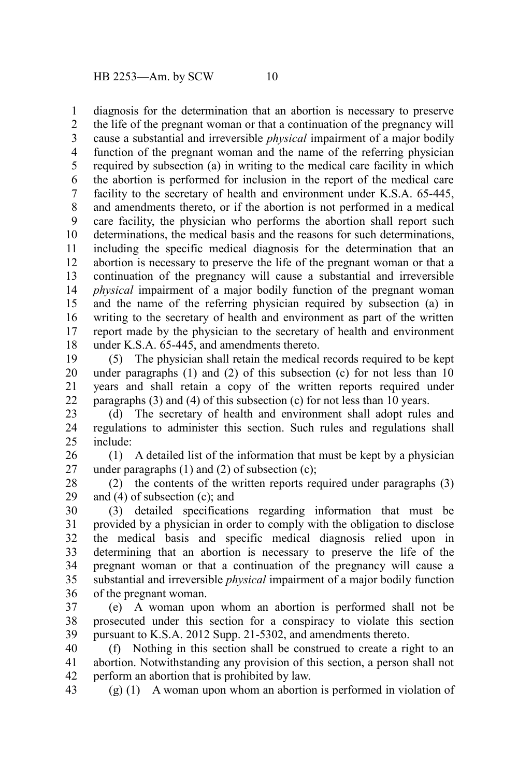diagnosis for the determination that an abortion is necessary to preserve 1

the life of the pregnant woman or that a continuation of the pregnancy will cause a substantial and irreversible *physical* impairment of a major bodily function of the pregnant woman and the name of the referring physician required by subsection (a) in writing to the medical care facility in which the abortion is performed for inclusion in the report of the medical care facility to the secretary of health and environment under K.S.A. 65-445, and amendments thereto, or if the abortion is not performed in a medical care facility, the physician who performs the abortion shall report such determinations, the medical basis and the reasons for such determinations, including the specific medical diagnosis for the determination that an abortion is necessary to preserve the life of the pregnant woman or that a continuation of the pregnancy will cause a substantial and irreversible *physical* impairment of a major bodily function of the pregnant woman and the name of the referring physician required by subsection (a) in writing to the secretary of health and environment as part of the written report made by the physician to the secretary of health and environment under K.S.A. 65-445, and amendments thereto. 2 3 4 5 6 7 8 9 10 11 12 13 14 15 16 17 18

(5) The physician shall retain the medical records required to be kept under paragraphs  $(1)$  and  $(2)$  of this subsection  $(c)$  for not less than  $10$ years and shall retain a copy of the written reports required under paragraphs (3) and (4) of this subsection (c) for not less than 10 years. 19 20 21 22

(d) The secretary of health and environment shall adopt rules and regulations to administer this section. Such rules and regulations shall include: 23 24 25

(1) A detailed list of the information that must be kept by a physician under paragraphs (1) and (2) of subsection (c); 26 27

(2) the contents of the written reports required under paragraphs (3) and (4) of subsection (c); and 28 29

(3) detailed specifications regarding information that must be provided by a physician in order to comply with the obligation to disclose the medical basis and specific medical diagnosis relied upon in determining that an abortion is necessary to preserve the life of the pregnant woman or that a continuation of the pregnancy will cause a substantial and irreversible *physical* impairment of a major bodily function of the pregnant woman. 30 31 32 33 34 35 36

(e) A woman upon whom an abortion is performed shall not be prosecuted under this section for a conspiracy to violate this section pursuant to K.S.A. 2012 Supp. 21-5302, and amendments thereto. 37 38 39

(f) Nothing in this section shall be construed to create a right to an abortion. Notwithstanding any provision of this section, a person shall not perform an abortion that is prohibited by law. 40 41 42

43

(g) (1) A woman upon whom an abortion is performed in violation of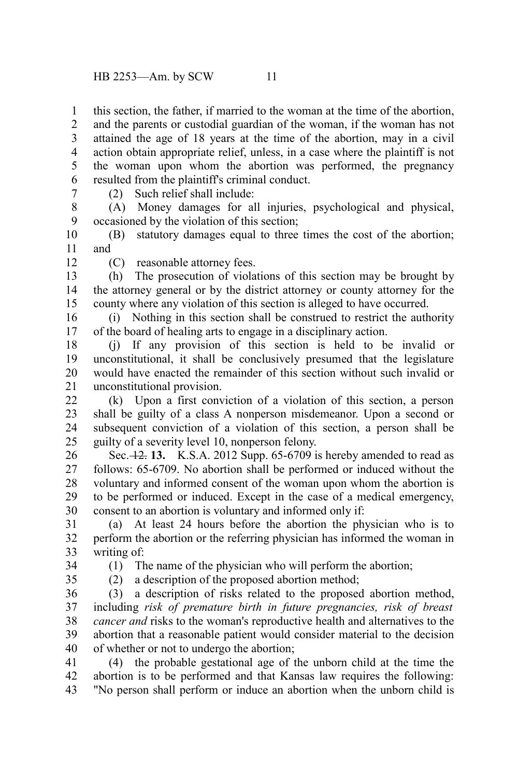this section, the father, if married to the woman at the time of the abortion, 1

and the parents or custodial guardian of the woman, if the woman has not attained the age of 18 years at the time of the abortion, may in a civil action obtain appropriate relief, unless, in a case where the plaintiff is not the woman upon whom the abortion was performed, the pregnancy resulted from the plaintiff's criminal conduct. 2 3 4 5 6

7

(2) Such relief shall include:

(A) Money damages for all injuries, psychological and physical, occasioned by the violation of this section; 8 9

(B) statutory damages equal to three times the cost of the abortion; and 10 11

12

(C) reasonable attorney fees.

(h) The prosecution of violations of this section may be brought by the attorney general or by the district attorney or county attorney for the county where any violation of this section is alleged to have occurred. 13 14 15

(i) Nothing in this section shall be construed to restrict the authority of the board of healing arts to engage in a disciplinary action. 16 17

(j) If any provision of this section is held to be invalid or unconstitutional, it shall be conclusively presumed that the legislature would have enacted the remainder of this section without such invalid or unconstitutional provision. 18 19 20 21

(k) Upon a first conviction of a violation of this section, a person shall be guilty of a class A nonperson misdemeanor. Upon a second or subsequent conviction of a violation of this section, a person shall be guilty of a severity level 10, nonperson felony.  $22$ 23 24 25

Sec. 12. **13.** K.S.A. 2012 Supp. 65-6709 is hereby amended to read as follows: 65-6709. No abortion shall be performed or induced without the voluntary and informed consent of the woman upon whom the abortion is to be performed or induced. Except in the case of a medical emergency, consent to an abortion is voluntary and informed only if: 26 27 28 29 30

(a) At least 24 hours before the abortion the physician who is to perform the abortion or the referring physician has informed the woman in writing of: 31 32 33

34

(1) The name of the physician who will perform the abortion;

35

(2) a description of the proposed abortion method;

(3) a description of risks related to the proposed abortion method, including *risk of premature birth in future pregnancies, risk of breast cancer and* risks to the woman's reproductive health and alternatives to the abortion that a reasonable patient would consider material to the decision of whether or not to undergo the abortion; 36 37 38 39 40

(4) the probable gestational age of the unborn child at the time the abortion is to be performed and that Kansas law requires the following: "No person shall perform or induce an abortion when the unborn child is 41 42 43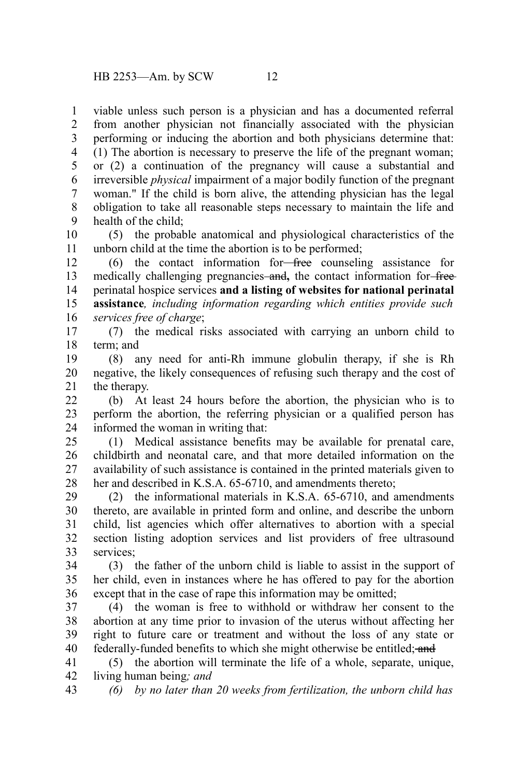viable unless such person is a physician and has a documented referral from another physician not financially associated with the physician performing or inducing the abortion and both physicians determine that: (1) The abortion is necessary to preserve the life of the pregnant woman; or (2) a continuation of the pregnancy will cause a substantial and irreversible *physical* impairment of a major bodily function of the pregnant woman." If the child is born alive, the attending physician has the legal obligation to take all reasonable steps necessary to maintain the life and health of the child; 1 2 3 4 5 6 7 8 9

(5) the probable anatomical and physiological characteristics of the unborn child at the time the abortion is to be performed; 10 11

(6) the contact information for free counseling assistance for medically challenging pregnancies and, the contact information for freeperinatal hospice services **and a listing of websites for national perinatal assistance***, including information regarding which entities provide such services free of charge*; 12 13 14 15 16

(7) the medical risks associated with carrying an unborn child to term; and 17 18

(8) any need for anti-Rh immune globulin therapy, if she is Rh negative, the likely consequences of refusing such therapy and the cost of the therapy. 19 20 21

(b) At least 24 hours before the abortion, the physician who is to perform the abortion, the referring physician or a qualified person has informed the woman in writing that:  $22$ 23 24

(1) Medical assistance benefits may be available for prenatal care, childbirth and neonatal care, and that more detailed information on the availability of such assistance is contained in the printed materials given to her and described in K.S.A. 65-6710, and amendments thereto; 25 26 27 28

(2) the informational materials in K.S.A. 65-6710, and amendments thereto, are available in printed form and online, and describe the unborn child, list agencies which offer alternatives to abortion with a special section listing adoption services and list providers of free ultrasound services<sup>.</sup> 29 30 31 32 33

(3) the father of the unborn child is liable to assist in the support of her child, even in instances where he has offered to pay for the abortion except that in the case of rape this information may be omitted; 34 35 36

(4) the woman is free to withhold or withdraw her consent to the abortion at any time prior to invasion of the uterus without affecting her right to future care or treatment and without the loss of any state or federally-funded benefits to which she might otherwise be entitled; and 37 38 39 40

(5) the abortion will terminate the life of a whole, separate, unique, living human being*; and* 41 42

*(6) by no later than 20 weeks from fertilization, the unborn child has* 43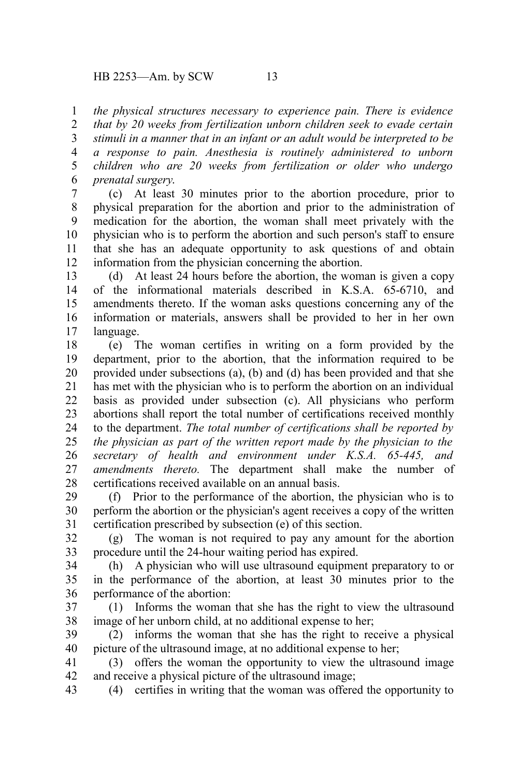*the physical structures necessary to experience pain. There is evidence that by 20 weeks from fertilization unborn children seek to evade certain stimuli in a manner that in an infant or an adult would be interpreted to be a response to pain. Anesthesia is routinely administered to unborn children who are 20 weeks from fertilization or older who undergo prenatal surgery*. 1 2 3 4 5 6

(c) At least 30 minutes prior to the abortion procedure, prior to physical preparation for the abortion and prior to the administration of medication for the abortion, the woman shall meet privately with the physician who is to perform the abortion and such person's staff to ensure that she has an adequate opportunity to ask questions of and obtain information from the physician concerning the abortion. 7 8 9 10 11 12

(d) At least 24 hours before the abortion, the woman is given a copy of the informational materials described in K.S.A. 65-6710, and amendments thereto. If the woman asks questions concerning any of the information or materials, answers shall be provided to her in her own language. 13 14 15 16 17

(e) The woman certifies in writing on a form provided by the department, prior to the abortion, that the information required to be provided under subsections (a), (b) and (d) has been provided and that she has met with the physician who is to perform the abortion on an individual basis as provided under subsection (c). All physicians who perform abortions shall report the total number of certifications received monthly to the department. *The total number of certifications shall be reported by the physician as part of the written report made by the physician to the secretary of health and environment under K.S.A. 65-445, and amendments thereto.* The department shall make the number of certifications received available on an annual basis. 18 19 20 21 22 23 24 25 26 27 28

(f) Prior to the performance of the abortion, the physician who is to perform the abortion or the physician's agent receives a copy of the written certification prescribed by subsection (e) of this section. 29 30 31

(g) The woman is not required to pay any amount for the abortion procedure until the 24-hour waiting period has expired. 32 33

(h) A physician who will use ultrasound equipment preparatory to or in the performance of the abortion, at least 30 minutes prior to the performance of the abortion: 34 35 36

(1) Informs the woman that she has the right to view the ultrasound image of her unborn child, at no additional expense to her; 37 38

(2) informs the woman that she has the right to receive a physical picture of the ultrasound image, at no additional expense to her; 39 40

(3) offers the woman the opportunity to view the ultrasound image and receive a physical picture of the ultrasound image; 41 42

(4) certifies in writing that the woman was offered the opportunity to 43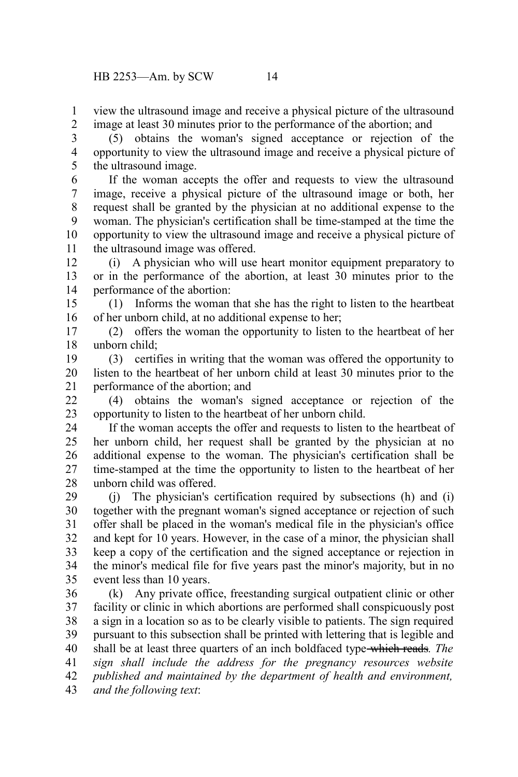view the ultrasound image and receive a physical picture of the ultrasound image at least 30 minutes prior to the performance of the abortion; and 1 2

(5) obtains the woman's signed acceptance or rejection of the opportunity to view the ultrasound image and receive a physical picture of the ultrasound image. 3 4 5

If the woman accepts the offer and requests to view the ultrasound image, receive a physical picture of the ultrasound image or both, her request shall be granted by the physician at no additional expense to the woman. The physician's certification shall be time-stamped at the time the opportunity to view the ultrasound image and receive a physical picture of the ultrasound image was offered. 6 7 8 9 10 11

(i) A physician who will use heart monitor equipment preparatory to or in the performance of the abortion, at least 30 minutes prior to the performance of the abortion: 12 13 14

(1) Informs the woman that she has the right to listen to the heartbeat of her unborn child, at no additional expense to her; 15 16

(2) offers the woman the opportunity to listen to the heartbeat of her unborn child; 17 18

(3) certifies in writing that the woman was offered the opportunity to listen to the heartbeat of her unborn child at least 30 minutes prior to the performance of the abortion; and 19 20 21

(4) obtains the woman's signed acceptance or rejection of the opportunity to listen to the heartbeat of her unborn child. 22 23

If the woman accepts the offer and requests to listen to the heartbeat of her unborn child, her request shall be granted by the physician at no additional expense to the woman. The physician's certification shall be time-stamped at the time the opportunity to listen to the heartbeat of her unborn child was offered. 24 25 26 27 28

(j) The physician's certification required by subsections (h) and (i) together with the pregnant woman's signed acceptance or rejection of such offer shall be placed in the woman's medical file in the physician's office and kept for 10 years. However, in the case of a minor, the physician shall keep a copy of the certification and the signed acceptance or rejection in the minor's medical file for five years past the minor's majority, but in no event less than 10 years. 29 30 31 32 33 34 35

(k) Any private office, freestanding surgical outpatient clinic or other facility or clinic in which abortions are performed shall conspicuously post a sign in a location so as to be clearly visible to patients. The sign required pursuant to this subsection shall be printed with lettering that is legible and shall be at least three quarters of an inch boldfaced type which reads*. The sign shall include the address for the pregnancy resources website published and maintained by the department of health and environment, and the following text*: 36 37 38 39 40 41 42 43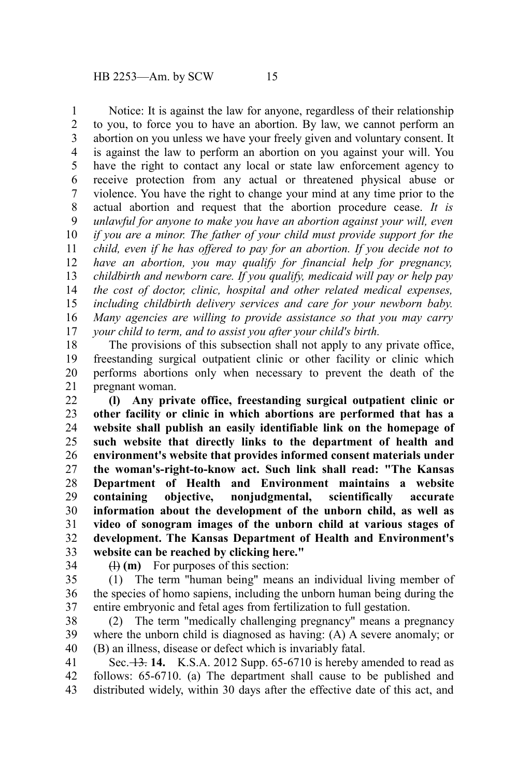Notice: It is against the law for anyone, regardless of their relationship to you, to force you to have an abortion. By law, we cannot perform an abortion on you unless we have your freely given and voluntary consent. It is against the law to perform an abortion on you against your will. You have the right to contact any local or state law enforcement agency to receive protection from any actual or threatened physical abuse or violence. You have the right to change your mind at any time prior to the actual abortion and request that the abortion procedure cease. *It is unlawful for anyone to make you have an abortion against your will, even if you are a minor. The father of your child must provide support for the child, even if he has offered to pay for an abortion. If you decide not to have an abortion, you may qualify for financial help for pregnancy, childbirth and newborn care. If you qualify, medicaid will pay or help pay the cost of doctor, clinic, hospital and other related medical expenses, including childbirth delivery services and care for your newborn baby. Many agencies are willing to provide assistance so that you may carry your child to term, and to assist you after your child's birth.* 1 2 3 4 5 6 7 8 9 10 11 12 13 14 15 16 17

The provisions of this subsection shall not apply to any private office, freestanding surgical outpatient clinic or other facility or clinic which performs abortions only when necessary to prevent the death of the pregnant woman. 18 19 20 21

**(l) Any private office, freestanding surgical outpatient clinic or other facility or clinic in which abortions are performed that has a website shall publish an easily identifiable link on the homepage of such website that directly links to the department of health and environment's website that provides informed consent materials under the woman's-right-to-know act. Such link shall read: "The Kansas Department of Health and Environment maintains a website containing objective, nonjudgmental, scientifically accurate information about the development of the unborn child, as well as video of sonogram images of the unborn child at various stages of development. The Kansas Department of Health and Environment's website can be reached by clicking here."** 22 23 24 25 26 27 28 29 30 31 32 33

34

(l) **(m)** For purposes of this section:

(1) The term "human being" means an individual living member of the species of homo sapiens, including the unborn human being during the entire embryonic and fetal ages from fertilization to full gestation. 35 36 37

(2) The term "medically challenging pregnancy" means a pregnancy where the unborn child is diagnosed as having: (A) A severe anomaly; or (B) an illness, disease or defect which is invariably fatal. 38 39 40

Sec. 13. **14.** K.S.A. 2012 Supp. 65-6710 is hereby amended to read as follows: 65-6710. (a) The department shall cause to be published and distributed widely, within 30 days after the effective date of this act, and 41 42 43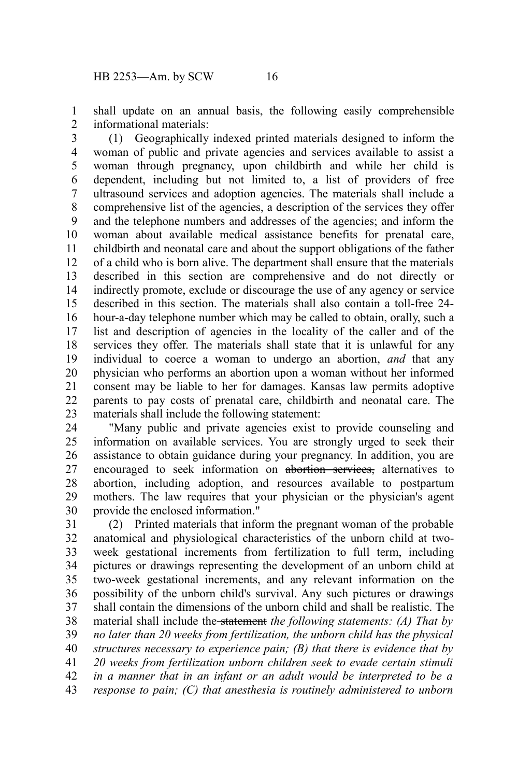shall update on an annual basis, the following easily comprehensible informational materials: 1 2

(1) Geographically indexed printed materials designed to inform the woman of public and private agencies and services available to assist a woman through pregnancy, upon childbirth and while her child is dependent, including but not limited to, a list of providers of free ultrasound services and adoption agencies. The materials shall include a comprehensive list of the agencies, a description of the services they offer and the telephone numbers and addresses of the agencies; and inform the woman about available medical assistance benefits for prenatal care, childbirth and neonatal care and about the support obligations of the father of a child who is born alive. The department shall ensure that the materials described in this section are comprehensive and do not directly or indirectly promote, exclude or discourage the use of any agency or service described in this section. The materials shall also contain a toll-free 24 hour-a-day telephone number which may be called to obtain, orally, such a list and description of agencies in the locality of the caller and of the services they offer. The materials shall state that it is unlawful for any individual to coerce a woman to undergo an abortion, *and* that any physician who performs an abortion upon a woman without her informed consent may be liable to her for damages. Kansas law permits adoptive parents to pay costs of prenatal care, childbirth and neonatal care. The materials shall include the following statement: 3 4 5 6 7 8 9 10 11 12 13 14 15 16 17 18 19 20 21 22 23

"Many public and private agencies exist to provide counseling and information on available services. You are strongly urged to seek their assistance to obtain guidance during your pregnancy. In addition, you are encouraged to seek information on abortion services, alternatives to abortion, including adoption, and resources available to postpartum mothers. The law requires that your physician or the physician's agent provide the enclosed information." 24 25 26 27 28 29 30

(2) Printed materials that inform the pregnant woman of the probable anatomical and physiological characteristics of the unborn child at twoweek gestational increments from fertilization to full term, including pictures or drawings representing the development of an unborn child at two-week gestational increments, and any relevant information on the possibility of the unborn child's survival. Any such pictures or drawings shall contain the dimensions of the unborn child and shall be realistic. The material shall include the statement *the following statements: (A) That by no later than 20 weeks from fertilization, the unborn child has the physical structures necessary to experience pain; (B) that there is evidence that by 20 weeks from fertilization unborn children seek to evade certain stimuli in a manner that in an infant or an adult would be interpreted to be a response to pain; (C) that anesthesia is routinely administered to unborn* 31 32 33 34 35 36 37 38 39 40 41 42 43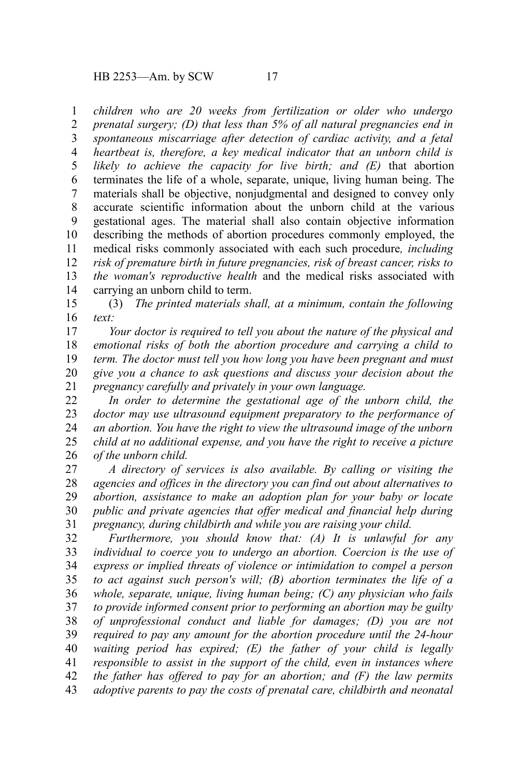*children who are 20 weeks from fertilization or older who undergo* 1

*prenatal surgery; (D) that less than 5% of all natural pregnancies end in spontaneous miscarriage after detection of cardiac activity, and a fetal heartbeat is, therefore, a key medical indicator that an unborn child is likely to achieve the capacity for live birth; and (E)* that abortion terminates the life of a whole, separate, unique, living human being. The materials shall be objective, nonjudgmental and designed to convey only accurate scientific information about the unborn child at the various gestational ages. The material shall also contain objective information describing the methods of abortion procedures commonly employed, the medical risks commonly associated with each such procedure*, including risk of premature birth in future pregnancies, risk of breast cancer, risks to the woman's reproductive health* and the medical risks associated with carrying an unborn child to term. 2 3 4 5 6 7 8 9 10 11 12 13 14

(3) *The printed materials shall, at a minimum, contain the following text:* 15 16

*Your doctor is required to tell you about the nature of the physical and emotional risks of both the abortion procedure and carrying a child to term. The doctor must tell you how long you have been pregnant and must give you a chance to ask questions and discuss your decision about the pregnancy carefully and privately in your own language.* 17 18 19 20 21

*In order to determine the gestational age of the unborn child, the doctor may use ultrasound equipment preparatory to the performance of an abortion. You have the right to view the ultrasound image of the unborn child at no additional expense, and you have the right to receive a picture of the unborn child.*  22 23 24 25 26

*A directory of services is also available. By calling or visiting the agencies and offices in the directory you can find out about alternatives to abortion, assistance to make an adoption plan for your baby or locate public and private agencies that offer medical and financial help during pregnancy, during childbirth and while you are raising your child.* 27 28 29 30 31

*Furthermore, you should know that: (A) It is unlawful for any individual to coerce you to undergo an abortion. Coercion is the use of express or implied threats of violence or intimidation to compel a person to act against such person's will; (B) abortion terminates the life of a whole, separate, unique, living human being; (C) any physician who fails to provide informed consent prior to performing an abortion may be guilty of unprofessional conduct and liable for damages; (D) you are not required to pay any amount for the abortion procedure until the 24-hour waiting period has expired; (E) the father of your child is legally responsible to assist in the support of the child, even in instances where the father has offered to pay for an abortion; and (F) the law permits adoptive parents to pay the costs of prenatal care, childbirth and neonatal* 32 33 34 35 36 37 38 39 40 41 42 43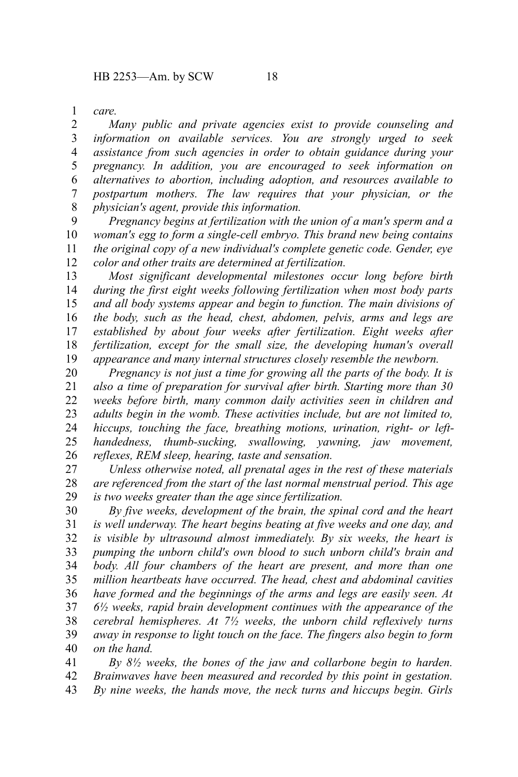*care.* 1

*Many public and private agencies exist to provide counseling and information on available services. You are strongly urged to seek assistance from such agencies in order to obtain guidance during your pregnancy. In addition, you are encouraged to seek information on alternatives to abortion, including adoption, and resources available to postpartum mothers. The law requires that your physician, or the physician's agent, provide this information.* 2 3 4 5 6 7 8

*Pregnancy begins at fertilization with the union of a man's sperm and a woman's egg to form a single-cell embryo. This brand new being contains the original copy of a new individual's complete genetic code. Gender, eye color and other traits are determined at fertilization.* 9 10 11 12

*Most significant developmental milestones occur long before birth during the first eight weeks following fertilization when most body parts and all body systems appear and begin to function. The main divisions of the body, such as the head, chest, abdomen, pelvis, arms and legs are established by about four weeks after fertilization. Eight weeks after fertilization, except for the small size, the developing human's overall appearance and many internal structures closely resemble the newborn.* 13 14 15 16 17 18 19

*Pregnancy is not just a time for growing all the parts of the body. It is also a time of preparation for survival after birth. Starting more than 30 weeks before birth, many common daily activities seen in children and adults begin in the womb. These activities include, but are not limited to, hiccups, touching the face, breathing motions, urination, right- or lefthandedness, thumb-sucking, swallowing, yawning, jaw movement, reflexes, REM sleep, hearing, taste and sensation.* 20 21 22 23 24 25 26

*Unless otherwise noted, all prenatal ages in the rest of these materials are referenced from the start of the last normal menstrual period. This age is two weeks greater than the age since fertilization.* 27 28 29

*By five weeks, development of the brain, the spinal cord and the heart is well underway. The heart begins beating at five weeks and one day, and is visible by ultrasound almost immediately. By six weeks, the heart is pumping the unborn child's own blood to such unborn child's brain and body. All four chambers of the heart are present, and more than one million heartbeats have occurred. The head, chest and abdominal cavities have formed and the beginnings of the arms and legs are easily seen. At 6½ weeks, rapid brain development continues with the appearance of the cerebral hemispheres. At 7½ weeks, the unborn child reflexively turns away in response to light touch on the face. The fingers also begin to form on the hand.* 30 31 32 33 34 35 36 37 38 39 40

*By 8½ weeks, the bones of the jaw and collarbone begin to harden. Brainwaves have been measured and recorded by this point in gestation. By nine weeks, the hands move, the neck turns and hiccups begin. Girls* 41 42 43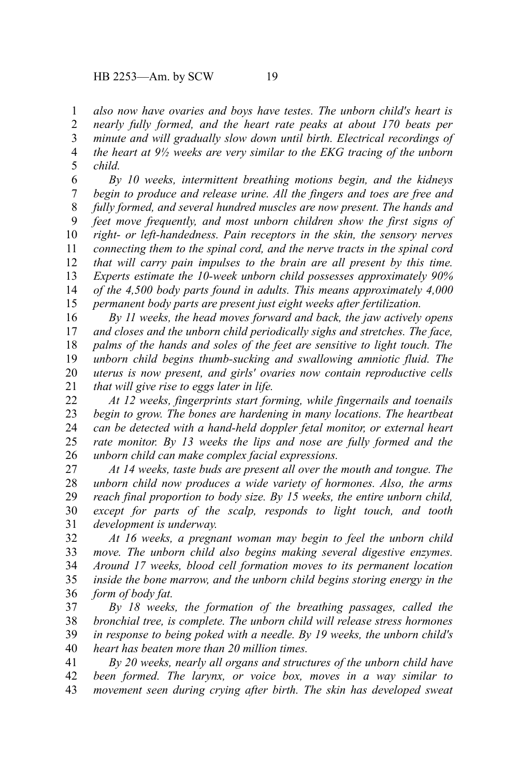*also now have ovaries and boys have testes. The unborn child's heart is nearly fully formed, and the heart rate peaks at about 170 beats per minute and will gradually slow down until birth. Electrical recordings of the heart at 9½ weeks are very similar to the EKG tracing of the unborn child.* 1 2 3 4 5

*By 10 weeks, intermittent breathing motions begin, and the kidneys begin to produce and release urine. All the fingers and toes are free and fully formed, and several hundred muscles are now present. The hands and feet move frequently, and most unborn children show the first signs of right- or left-handedness. Pain receptors in the skin, the sensory nerves connecting them to the spinal cord, and the nerve tracts in the spinal cord that will carry pain impulses to the brain are all present by this time. Experts estimate the 10-week unborn child possesses approximately 90% of the 4,500 body parts found in adults. This means approximately 4,000 permanent body parts are present just eight weeks after fertilization.* 6 7 8 9 10 11 12 13 14 15

*By 11 weeks, the head moves forward and back, the jaw actively opens and closes and the unborn child periodically sighs and stretches. The face, palms of the hands and soles of the feet are sensitive to light touch. The unborn child begins thumb-sucking and swallowing amniotic fluid. The uterus is now present, and girls' ovaries now contain reproductive cells that will give rise to eggs later in life.* 16 17 18 19 20 21

*At 12 weeks, fingerprints start forming, while fingernails and toenails begin to grow. The bones are hardening in many locations. The heartbeat can be detected with a hand-held doppler fetal monitor, or external heart rate monitor. By 13 weeks the lips and nose are fully formed and the unborn child can make complex facial expressions.* 22 23 24 25 26

*At 14 weeks, taste buds are present all over the mouth and tongue. The unborn child now produces a wide variety of hormones. Also, the arms reach final proportion to body size. By 15 weeks, the entire unborn child, except for parts of the scalp, responds to light touch, and tooth development is underway.* 27 28 29 30 31

*At 16 weeks, a pregnant woman may begin to feel the unborn child move. The unborn child also begins making several digestive enzymes. Around 17 weeks, blood cell formation moves to its permanent location inside the bone marrow, and the unborn child begins storing energy in the form of body fat.* 32 33 34 35 36

*By 18 weeks, the formation of the breathing passages, called the bronchial tree, is complete. The unborn child will release stress hormones in response to being poked with a needle. By 19 weeks, the unborn child's heart has beaten more than 20 million times.* 37 38 39 40

*By 20 weeks, nearly all organs and structures of the unborn child have been formed. The larynx, or voice box, moves in a way similar to movement seen during crying after birth. The skin has developed sweat* 41 42 43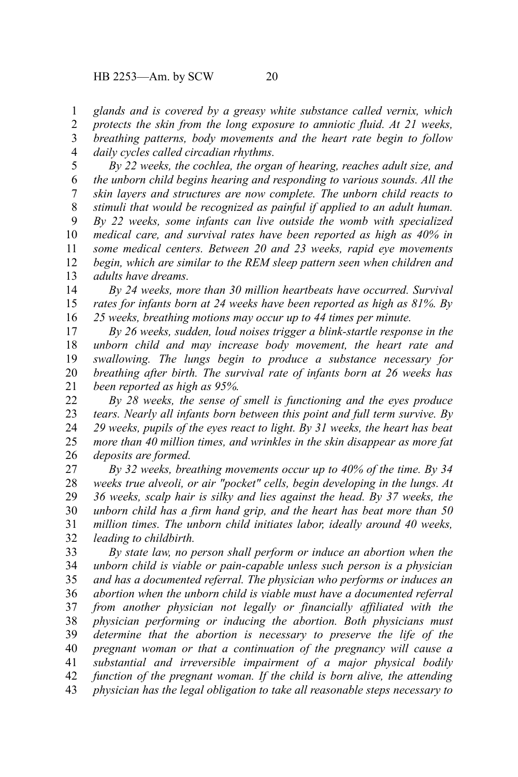*glands and is covered by a greasy white substance called vernix, which* 1

*protects the skin from the long exposure to amniotic fluid. At 21 weeks, breathing patterns, body movements and the heart rate begin to follow* 2 3

*daily cycles called circadian rhythms.* 4

*By 22 weeks, the cochlea, the organ of hearing, reaches adult size, and the unborn child begins hearing and responding to various sounds. All the skin layers and structures are now complete. The unborn child reacts to stimuli that would be recognized as painful if applied to an adult human. By 22 weeks, some infants can live outside the womb with specialized medical care, and survival rates have been reported as high as 40% in some medical centers. Between 20 and 23 weeks, rapid eye movements begin, which are similar to the REM sleep pattern seen when children and adults have dreams.* 5 6 7 8 9 10 11 12 13

*By 24 weeks, more than 30 million heartbeats have occurred. Survival rates for infants born at 24 weeks have been reported as high as 81%. By 25 weeks, breathing motions may occur up to 44 times per minute.* 14 15 16

*By 26 weeks, sudden, loud noises trigger a blink-startle response in the unborn child and may increase body movement, the heart rate and swallowing. The lungs begin to produce a substance necessary for breathing after birth. The survival rate of infants born at 26 weeks has been reported as high as 95%.* 17 18 19 20 21

*By 28 weeks, the sense of smell is functioning and the eyes produce tears. Nearly all infants born between this point and full term survive. By 29 weeks, pupils of the eyes react to light. By 31 weeks, the heart has beat more than 40 million times, and wrinkles in the skin disappear as more fat deposits are formed.* 22 23 24 25 26

*By 32 weeks, breathing movements occur up to 40% of the time. By 34 weeks true alveoli, or air "pocket" cells, begin developing in the lungs. At 36 weeks, scalp hair is silky and lies against the head. By 37 weeks, the unborn child has a firm hand grip, and the heart has beat more than 50 million times. The unborn child initiates labor, ideally around 40 weeks, leading to childbirth.* 27 28 29 30 31 32

*By state law, no person shall perform or induce an abortion when the unborn child is viable or pain-capable unless such person is a physician and has a documented referral. The physician who performs or induces an abortion when the unborn child is viable must have a documented referral from another physician not legally or financially affiliated with the physician performing or inducing the abortion. Both physicians must determine that the abortion is necessary to preserve the life of the pregnant woman or that a continuation of the pregnancy will cause a substantial and irreversible impairment of a major physical bodily function of the pregnant woman. If the child is born alive, the attending physician has the legal obligation to take all reasonable steps necessary to* 33 34 35 36 37 38 39 40 41 42 43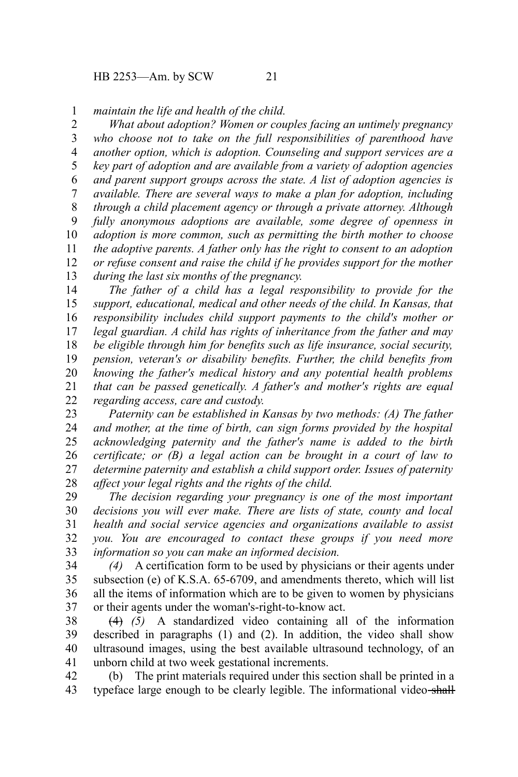HB 2253—Am. by SCW 21

*maintain the life and health of the child.* 1

*What about adoption? Women or couples facing an untimely pregnancy who choose not to take on the full responsibilities of parenthood have another option, which is adoption. Counseling and support services are a key part of adoption and are available from a variety of adoption agencies and parent support groups across the state. A list of adoption agencies is available. There are several ways to make a plan for adoption, including through a child placement agency or through a private attorney. Although fully anonymous adoptions are available, some degree of openness in adoption is more common, such as permitting the birth mother to choose the adoptive parents. A father only has the right to consent to an adoption or refuse consent and raise the child if he provides support for the mother during the last six months of the pregnancy.* 2 3 4 5 6 7 8 9 10 11 12 13

*The father of a child has a legal responsibility to provide for the support, educational, medical and other needs of the child. In Kansas, that responsibility includes child support payments to the child's mother or legal guardian. A child has rights of inheritance from the father and may be eligible through him for benefits such as life insurance, social security, pension, veteran's or disability benefits. Further, the child benefits from knowing the father's medical history and any potential health problems that can be passed genetically. A father's and mother's rights are equal regarding access, care and custody.* 14 15 16 17 18 19 20 21 22

*Paternity can be established in Kansas by two methods: (A) The father and mother, at the time of birth, can sign forms provided by the hospital acknowledging paternity and the father's name is added to the birth certificate; or (B) a legal action can be brought in a court of law to determine paternity and establish a child support order. Issues of paternity affect your legal rights and the rights of the child.* 23 24 25 26 27 28

*The decision regarding your pregnancy is one of the most important decisions you will ever make. There are lists of state, county and local health and social service agencies and organizations available to assist you. You are encouraged to contact these groups if you need more information so you can make an informed decision.* 29 30 31 32 33

*(4)* A certification form to be used by physicians or their agents under subsection (e) of K.S.A. 65-6709, and amendments thereto, which will list all the items of information which are to be given to women by physicians or their agents under the woman's-right-to-know act. 34 35 36 37

(4) *(5)* A standardized video containing all of the information described in paragraphs (1) and (2). In addition, the video shall show ultrasound images, using the best available ultrasound technology, of an unborn child at two week gestational increments. 38 39 40 41

(b) The print materials required under this section shall be printed in a typeface large enough to be clearly legible. The informational video-shall 42 43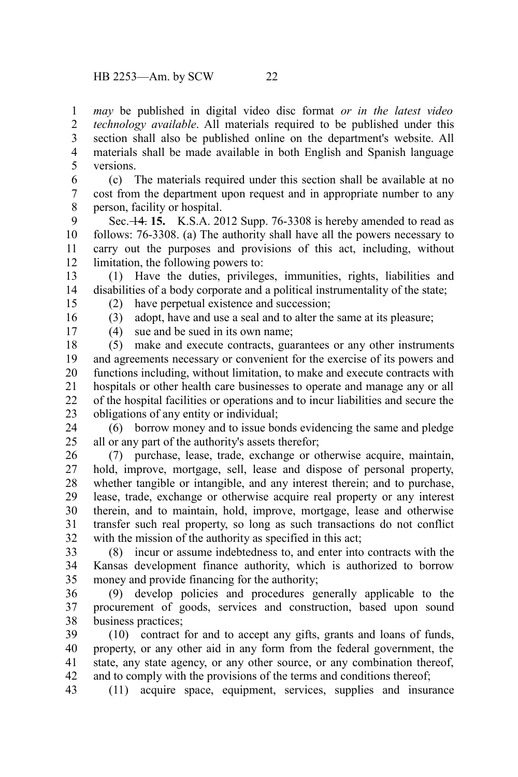*may* be published in digital video disc format *or in the latest video technology available*. All materials required to be published under this section shall also be published online on the department's website. All materials shall be made available in both English and Spanish language versions. 1 2 3 4 5

(c) The materials required under this section shall be available at no cost from the department upon request and in appropriate number to any person, facility or hospital. 6 7 8

Sec. 14. **15.** K.S.A. 2012 Supp. 76-3308 is hereby amended to read as follows: 76-3308. (a) The authority shall have all the powers necessary to carry out the purposes and provisions of this act, including, without limitation, the following powers to: 9 10 11 12

(1) Have the duties, privileges, immunities, rights, liabilities and disabilities of a body corporate and a political instrumentality of the state; 13 14 15

(2) have perpetual existence and succession; (3) adopt, have and use a seal and to alter the same at its pleasure;

16 17

(4) sue and be sued in its own name;

(5) make and execute contracts, guarantees or any other instruments and agreements necessary or convenient for the exercise of its powers and functions including, without limitation, to make and execute contracts with hospitals or other health care businesses to operate and manage any or all of the hospital facilities or operations and to incur liabilities and secure the obligations of any entity or individual; 18 19 20 21 22 23

(6) borrow money and to issue bonds evidencing the same and pledge all or any part of the authority's assets therefor; 24 25

(7) purchase, lease, trade, exchange or otherwise acquire, maintain, hold, improve, mortgage, sell, lease and dispose of personal property, whether tangible or intangible, and any interest therein; and to purchase, lease, trade, exchange or otherwise acquire real property or any interest therein, and to maintain, hold, improve, mortgage, lease and otherwise transfer such real property, so long as such transactions do not conflict with the mission of the authority as specified in this act; 26 27 28 29 30 31 32

(8) incur or assume indebtedness to, and enter into contracts with the Kansas development finance authority, which is authorized to borrow money and provide financing for the authority; 33 34 35

(9) develop policies and procedures generally applicable to the procurement of goods, services and construction, based upon sound business practices; 36 37 38

(10) contract for and to accept any gifts, grants and loans of funds, property, or any other aid in any form from the federal government, the state, any state agency, or any other source, or any combination thereof, and to comply with the provisions of the terms and conditions thereof; 39 40 41 42

(11) acquire space, equipment, services, supplies and insurance 43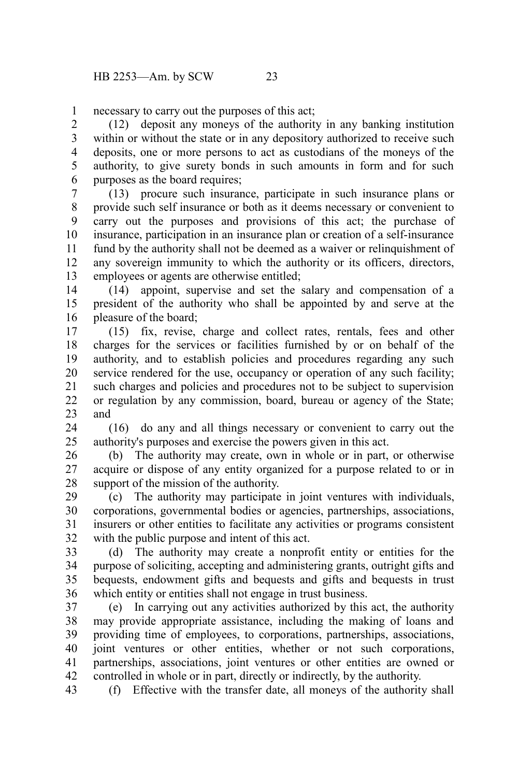necessary to carry out the purposes of this act; 1

(12) deposit any moneys of the authority in any banking institution within or without the state or in any depository authorized to receive such deposits, one or more persons to act as custodians of the moneys of the authority, to give surety bonds in such amounts in form and for such purposes as the board requires; 2 3 4 5 6

(13) procure such insurance, participate in such insurance plans or provide such self insurance or both as it deems necessary or convenient to carry out the purposes and provisions of this act; the purchase of insurance, participation in an insurance plan or creation of a self-insurance fund by the authority shall not be deemed as a waiver or relinquishment of any sovereign immunity to which the authority or its officers, directors, employees or agents are otherwise entitled; 7 8 9 10 11 12 13

(14) appoint, supervise and set the salary and compensation of a president of the authority who shall be appointed by and serve at the pleasure of the board; 14 15 16

(15) fix, revise, charge and collect rates, rentals, fees and other charges for the services or facilities furnished by or on behalf of the authority, and to establish policies and procedures regarding any such service rendered for the use, occupancy or operation of any such facility; such charges and policies and procedures not to be subject to supervision or regulation by any commission, board, bureau or agency of the State; and 17 18 19 20 21 22 23

(16) do any and all things necessary or convenient to carry out the authority's purposes and exercise the powers given in this act. 24 25

(b) The authority may create, own in whole or in part, or otherwise acquire or dispose of any entity organized for a purpose related to or in support of the mission of the authority. 26 27 28

(c) The authority may participate in joint ventures with individuals, corporations, governmental bodies or agencies, partnerships, associations, insurers or other entities to facilitate any activities or programs consistent with the public purpose and intent of this act. 29 30 31 32

(d) The authority may create a nonprofit entity or entities for the purpose of soliciting, accepting and administering grants, outright gifts and bequests, endowment gifts and bequests and gifts and bequests in trust which entity or entities shall not engage in trust business. 33 34 35 36

(e) In carrying out any activities authorized by this act, the authority may provide appropriate assistance, including the making of loans and providing time of employees, to corporations, partnerships, associations, joint ventures or other entities, whether or not such corporations, partnerships, associations, joint ventures or other entities are owned or controlled in whole or in part, directly or indirectly, by the authority. 37 38 39 40 41 42

(f) Effective with the transfer date, all moneys of the authority shall 43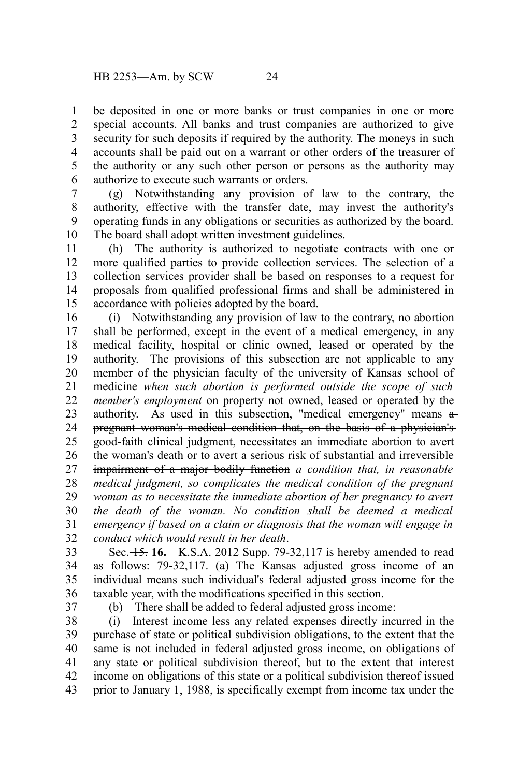be deposited in one or more banks or trust companies in one or more special accounts. All banks and trust companies are authorized to give security for such deposits if required by the authority. The moneys in such accounts shall be paid out on a warrant or other orders of the treasurer of the authority or any such other person or persons as the authority may authorize to execute such warrants or orders. 1 2 3 4 5 6

(g) Notwithstanding any provision of law to the contrary, the authority, effective with the transfer date, may invest the authority's operating funds in any obligations or securities as authorized by the board. The board shall adopt written investment guidelines. 7 8 9 10

(h) The authority is authorized to negotiate contracts with one or more qualified parties to provide collection services. The selection of a collection services provider shall be based on responses to a request for proposals from qualified professional firms and shall be administered in accordance with policies adopted by the board. 11 12 13 14 15

(i) Notwithstanding any provision of law to the contrary, no abortion shall be performed, except in the event of a medical emergency, in any medical facility, hospital or clinic owned, leased or operated by the authority. The provisions of this subsection are not applicable to any member of the physician faculty of the university of Kansas school of medicine *when such abortion is performed outside the scope of such member's employment* on property not owned, leased or operated by the authority. As used in this subsection, "medical emergency" means a pregnant woman's medical condition that, on the basis of a physician's good-faith clinical judgment, necessitates an immediate abortion to avert the woman's death or to avert a serious risk of substantial and irreversible impairment of a major bodily function *a condition that, in reasonable medical judgment, so complicates the medical condition of the pregnant woman as to necessitate the immediate abortion of her pregnancy to avert the death of the woman. No condition shall be deemed a medical emergency if based on a claim or diagnosis that the woman will engage in conduct which would result in her death*. 16 17 18 19 20 21 22 23 24 25 26 27 28 29 30 31 32

Sec. 15. **16.** K.S.A. 2012 Supp. 79-32,117 is hereby amended to read as follows: 79-32,117. (a) The Kansas adjusted gross income of an individual means such individual's federal adjusted gross income for the taxable year, with the modifications specified in this section. 33 34 35 36

37

(b) There shall be added to federal adjusted gross income:

(i) Interest income less any related expenses directly incurred in the purchase of state or political subdivision obligations, to the extent that the same is not included in federal adjusted gross income, on obligations of any state or political subdivision thereof, but to the extent that interest income on obligations of this state or a political subdivision thereof issued prior to January 1, 1988, is specifically exempt from income tax under the 38 39 40 41 42 43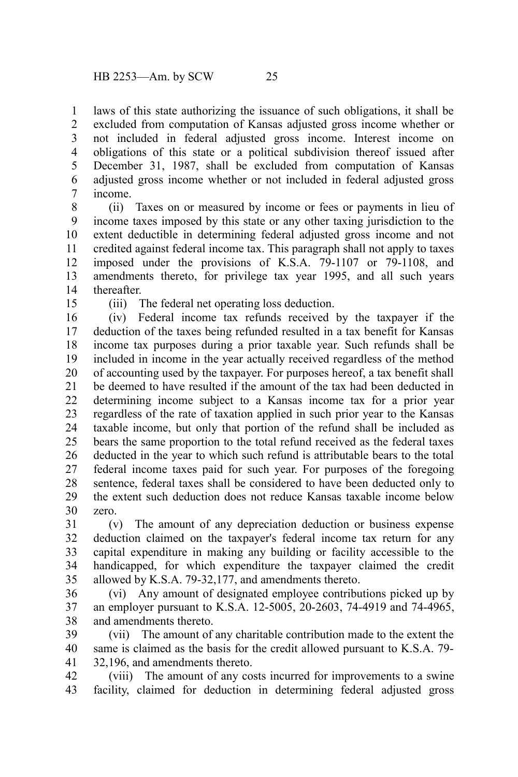laws of this state authorizing the issuance of such obligations, it shall be excluded from computation of Kansas adjusted gross income whether or not included in federal adjusted gross income. Interest income on obligations of this state or a political subdivision thereof issued after December 31, 1987, shall be excluded from computation of Kansas adjusted gross income whether or not included in federal adjusted gross income. 1 2 3 4 5 6 7

(ii) Taxes on or measured by income or fees or payments in lieu of income taxes imposed by this state or any other taxing jurisdiction to the extent deductible in determining federal adjusted gross income and not credited against federal income tax. This paragraph shall not apply to taxes imposed under the provisions of K.S.A. 79-1107 or 79-1108, and amendments thereto, for privilege tax year 1995, and all such years thereafter. 8 9 10 11 12 13 14

15

(iii) The federal net operating loss deduction.

(iv) Federal income tax refunds received by the taxpayer if the deduction of the taxes being refunded resulted in a tax benefit for Kansas income tax purposes during a prior taxable year. Such refunds shall be included in income in the year actually received regardless of the method of accounting used by the taxpayer. For purposes hereof, a tax benefit shall be deemed to have resulted if the amount of the tax had been deducted in determining income subject to a Kansas income tax for a prior year regardless of the rate of taxation applied in such prior year to the Kansas taxable income, but only that portion of the refund shall be included as bears the same proportion to the total refund received as the federal taxes deducted in the year to which such refund is attributable bears to the total federal income taxes paid for such year. For purposes of the foregoing sentence, federal taxes shall be considered to have been deducted only to the extent such deduction does not reduce Kansas taxable income below zero. 16 17 18 19 20 21 22 23 24 25 26 27 28 29 30

(v) The amount of any depreciation deduction or business expense deduction claimed on the taxpayer's federal income tax return for any capital expenditure in making any building or facility accessible to the handicapped, for which expenditure the taxpayer claimed the credit allowed by K.S.A. 79-32,177, and amendments thereto. 31 32 33 34 35

(vi) Any amount of designated employee contributions picked up by an employer pursuant to K.S.A. 12-5005, 20-2603, 74-4919 and 74-4965, and amendments thereto. 36 37 38

(vii) The amount of any charitable contribution made to the extent the same is claimed as the basis for the credit allowed pursuant to K.S.A. 79- 32,196, and amendments thereto. 39 40 41

(viii) The amount of any costs incurred for improvements to a swine facility, claimed for deduction in determining federal adjusted gross 42 43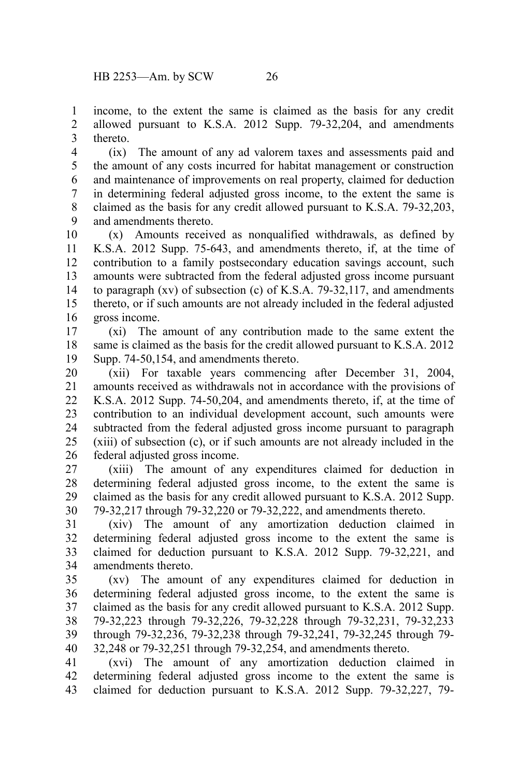income, to the extent the same is claimed as the basis for any credit allowed pursuant to K.S.A. 2012 Supp. 79-32,204, and amendments thereto. 1 2 3

(ix) The amount of any ad valorem taxes and assessments paid and the amount of any costs incurred for habitat management or construction and maintenance of improvements on real property, claimed for deduction in determining federal adjusted gross income, to the extent the same is claimed as the basis for any credit allowed pursuant to K.S.A. 79-32,203, and amendments thereto. 4 5 6 7 8 9

(x) Amounts received as nonqualified withdrawals, as defined by K.S.A. 2012 Supp. 75-643, and amendments thereto, if, at the time of contribution to a family postsecondary education savings account, such amounts were subtracted from the federal adjusted gross income pursuant to paragraph (xv) of subsection (c) of K.S.A. 79-32,117, and amendments thereto, or if such amounts are not already included in the federal adjusted gross income. 10 11 12 13 14 15 16

(xi) The amount of any contribution made to the same extent the same is claimed as the basis for the credit allowed pursuant to K.S.A. 2012 Supp. 74-50,154, and amendments thereto. 17 18 19

(xii) For taxable years commencing after December 31, 2004, amounts received as withdrawals not in accordance with the provisions of K.S.A. 2012 Supp. 74-50,204, and amendments thereto, if, at the time of contribution to an individual development account, such amounts were subtracted from the federal adjusted gross income pursuant to paragraph (xiii) of subsection (c), or if such amounts are not already included in the federal adjusted gross income. 20 21 22 23 24 25 26

(xiii) The amount of any expenditures claimed for deduction in determining federal adjusted gross income, to the extent the same is claimed as the basis for any credit allowed pursuant to K.S.A. 2012 Supp. 79-32,217 through 79-32,220 or 79-32,222, and amendments thereto. 27 28 29 30

(xiv) The amount of any amortization deduction claimed in determining federal adjusted gross income to the extent the same is claimed for deduction pursuant to K.S.A. 2012 Supp. 79-32,221, and amendments thereto. 31 32 33 34

(xv) The amount of any expenditures claimed for deduction in determining federal adjusted gross income, to the extent the same is claimed as the basis for any credit allowed pursuant to K.S.A. 2012 Supp. 79-32,223 through 79-32,226, 79-32,228 through 79-32,231, 79-32,233 through 79-32,236, 79-32,238 through 79-32,241, 79-32,245 through 79- 32,248 or 79-32,251 through 79-32,254, and amendments thereto. 35 36 37 38 39 40

(xvi) The amount of any amortization deduction claimed in determining federal adjusted gross income to the extent the same is claimed for deduction pursuant to K.S.A. 2012 Supp. 79-32,227, 79- 41 42 43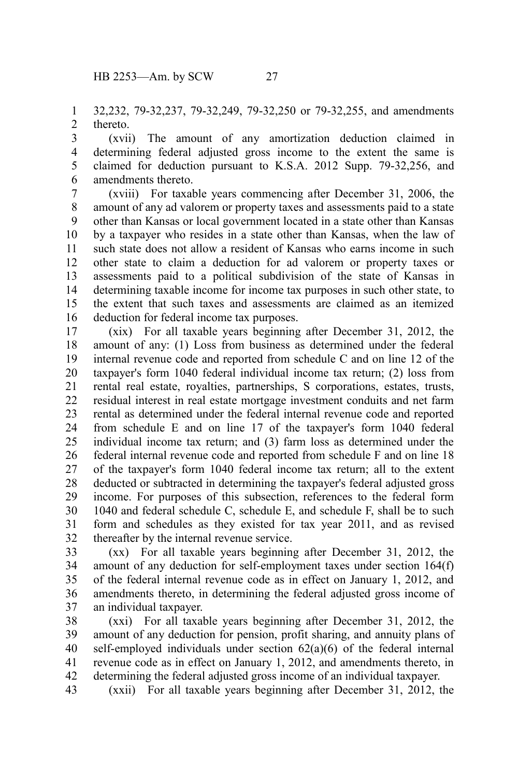32,232, 79-32,237, 79-32,249, 79-32,250 or 79-32,255, and amendments thereto. 1 2

(xvii) The amount of any amortization deduction claimed in determining federal adjusted gross income to the extent the same is claimed for deduction pursuant to K.S.A. 2012 Supp. 79-32,256, and amendments thereto. 3 4 5 6

(xviii) For taxable years commencing after December 31, 2006, the amount of any ad valorem or property taxes and assessments paid to a state other than Kansas or local government located in a state other than Kansas by a taxpayer who resides in a state other than Kansas, when the law of such state does not allow a resident of Kansas who earns income in such other state to claim a deduction for ad valorem or property taxes or assessments paid to a political subdivision of the state of Kansas in determining taxable income for income tax purposes in such other state, to the extent that such taxes and assessments are claimed as an itemized deduction for federal income tax purposes. 7 8 9 10 11 12 13 14 15 16

(xix) For all taxable years beginning after December 31, 2012, the amount of any: (1) Loss from business as determined under the federal internal revenue code and reported from schedule C and on line 12 of the taxpayer's form 1040 federal individual income tax return; (2) loss from rental real estate, royalties, partnerships, S corporations, estates, trusts, residual interest in real estate mortgage investment conduits and net farm rental as determined under the federal internal revenue code and reported from schedule E and on line 17 of the taxpayer's form 1040 federal individual income tax return; and (3) farm loss as determined under the federal internal revenue code and reported from schedule F and on line 18 of the taxpayer's form 1040 federal income tax return; all to the extent deducted or subtracted in determining the taxpayer's federal adjusted gross income. For purposes of this subsection, references to the federal form 1040 and federal schedule C, schedule E, and schedule F, shall be to such form and schedules as they existed for tax year 2011, and as revised thereafter by the internal revenue service. 17 18 19 20 21 22 23 24 25 26 27 28 29 30 31 32

(xx) For all taxable years beginning after December 31, 2012, the amount of any deduction for self-employment taxes under section 164(f) of the federal internal revenue code as in effect on January 1, 2012, and amendments thereto, in determining the federal adjusted gross income of an individual taxpayer. 33 34 35 36 37

(xxi) For all taxable years beginning after December 31, 2012, the amount of any deduction for pension, profit sharing, and annuity plans of self-employed individuals under section  $62(a)(6)$  of the federal internal revenue code as in effect on January 1, 2012, and amendments thereto, in determining the federal adjusted gross income of an individual taxpayer. 38 39 40 41 42

(xxii) For all taxable years beginning after December 31, 2012, the 43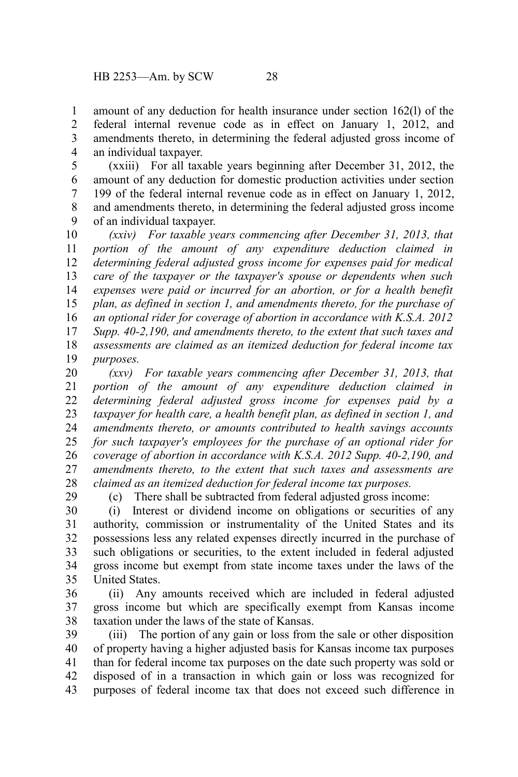amount of any deduction for health insurance under section 162(l) of the federal internal revenue code as in effect on January 1, 2012, and amendments thereto, in determining the federal adjusted gross income of an individual taxpayer. 1 2 3 4

(xxiii) For all taxable years beginning after December 31, 2012, the amount of any deduction for domestic production activities under section 199 of the federal internal revenue code as in effect on January 1, 2012, and amendments thereto, in determining the federal adjusted gross income of an individual taxpayer. 5 6 7 8 9

*(xxiv) For taxable years commencing after December 31, 2013, that portion of the amount of any expenditure deduction claimed in determining federal adjusted gross income for expenses paid for medical care of the taxpayer or the taxpayer's spouse or dependents when such expenses were paid or incurred for an abortion, or for a health benefit plan, as defined in section 1, and amendments thereto, for the purchase of an optional rider for coverage of abortion in accordance with K.S.A. 2012 Supp. 40-2,190, and amendments thereto, to the extent that such taxes and assessments are claimed as an itemized deduction for federal income tax purposes.* 10 11 12 13 14 15 16 17 18 19

*(xxv) For taxable years commencing after December 31, 2013, that portion of the amount of any expenditure deduction claimed in determining federal adjusted gross income for expenses paid by a taxpayer for health care, a health benefit plan, as defined in section 1, and amendments thereto, or amounts contributed to health savings accounts for such taxpayer's employees for the purchase of an optional rider for coverage of abortion in accordance with K.S.A. 2012 Supp. 40-2,190, and amendments thereto, to the extent that such taxes and assessments are claimed as an itemized deduction for federal income tax purposes.* 20 21 22 23 24 25 26 27 28 29

(c) There shall be subtracted from federal adjusted gross income:

(i) Interest or dividend income on obligations or securities of any authority, commission or instrumentality of the United States and its possessions less any related expenses directly incurred in the purchase of such obligations or securities, to the extent included in federal adjusted gross income but exempt from state income taxes under the laws of the United States. 30 31 32 33 34 35

(ii) Any amounts received which are included in federal adjusted gross income but which are specifically exempt from Kansas income taxation under the laws of the state of Kansas. 36 37 38

(iii) The portion of any gain or loss from the sale or other disposition of property having a higher adjusted basis for Kansas income tax purposes than for federal income tax purposes on the date such property was sold or disposed of in a transaction in which gain or loss was recognized for purposes of federal income tax that does not exceed such difference in 39 40 41 42 43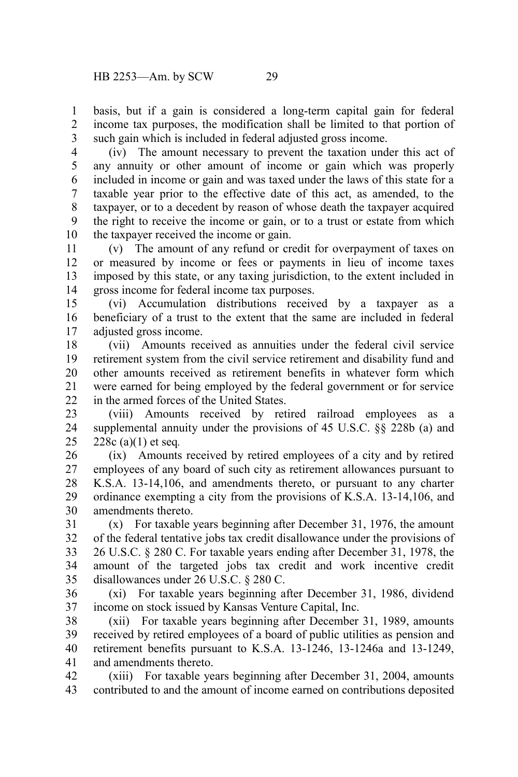basis, but if a gain is considered a long-term capital gain for federal income tax purposes, the modification shall be limited to that portion of such gain which is included in federal adjusted gross income. 1 2 3

(iv) The amount necessary to prevent the taxation under this act of any annuity or other amount of income or gain which was properly included in income or gain and was taxed under the laws of this state for a taxable year prior to the effective date of this act, as amended, to the taxpayer, or to a decedent by reason of whose death the taxpayer acquired the right to receive the income or gain, or to a trust or estate from which the taxpayer received the income or gain. 4 5 6 7 8 9 10

(v) The amount of any refund or credit for overpayment of taxes on or measured by income or fees or payments in lieu of income taxes imposed by this state, or any taxing jurisdiction, to the extent included in gross income for federal income tax purposes. 11 12 13 14

(vi) Accumulation distributions received by a taxpayer as a beneficiary of a trust to the extent that the same are included in federal adjusted gross income. 15 16 17

(vii) Amounts received as annuities under the federal civil service retirement system from the civil service retirement and disability fund and other amounts received as retirement benefits in whatever form which were earned for being employed by the federal government or for service in the armed forces of the United States. 18 19 20 21 22

(viii) Amounts received by retired railroad employees as a supplemental annuity under the provisions of 45 U.S.C. §§ 228b (a) and 228c (a)(1) et seq*.* 23 24 25

(ix) Amounts received by retired employees of a city and by retired employees of any board of such city as retirement allowances pursuant to K.S.A. 13-14,106, and amendments thereto, or pursuant to any charter ordinance exempting a city from the provisions of K.S.A. 13-14,106, and amendments thereto. 26 27 28 29 30

(x) For taxable years beginning after December 31, 1976, the amount of the federal tentative jobs tax credit disallowance under the provisions of 26 U.S.C. § 280 C. For taxable years ending after December 31, 1978, the amount of the targeted jobs tax credit and work incentive credit disallowances under 26 U.S.C. § 280 C. 31 32 33 34 35

(xi) For taxable years beginning after December 31, 1986, dividend income on stock issued by Kansas Venture Capital, Inc. 36 37

(xii) For taxable years beginning after December 31, 1989, amounts received by retired employees of a board of public utilities as pension and retirement benefits pursuant to K.S.A. 13-1246, 13-1246a and 13-1249, and amendments thereto. 38 39 40 41

(xiii) For taxable years beginning after December 31, 2004, amounts contributed to and the amount of income earned on contributions deposited 42 43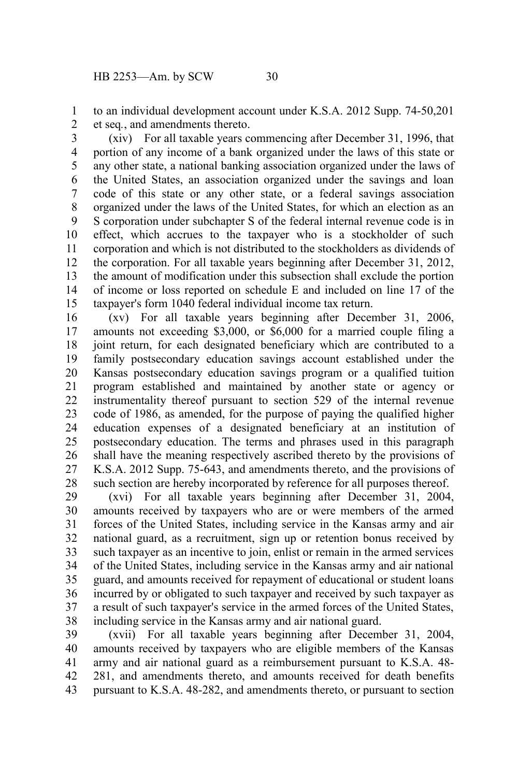to an individual development account under K.S.A. 2012 Supp. 74-50,201 et seq*.*, and amendments thereto. 1

2

(xiv) For all taxable years commencing after December 31, 1996, that portion of any income of a bank organized under the laws of this state or any other state, a national banking association organized under the laws of the United States, an association organized under the savings and loan code of this state or any other state, or a federal savings association organized under the laws of the United States, for which an election as an S corporation under subchapter S of the federal internal revenue code is in effect, which accrues to the taxpayer who is a stockholder of such corporation and which is not distributed to the stockholders as dividends of the corporation. For all taxable years beginning after December 31, 2012, the amount of modification under this subsection shall exclude the portion of income or loss reported on schedule E and included on line 17 of the taxpayer's form 1040 federal individual income tax return. 3 4 5 6 7 8 9 10 11 12 13 14 15

(xv) For all taxable years beginning after December 31, 2006, amounts not exceeding \$3,000, or \$6,000 for a married couple filing a joint return, for each designated beneficiary which are contributed to a family postsecondary education savings account established under the Kansas postsecondary education savings program or a qualified tuition program established and maintained by another state or agency or instrumentality thereof pursuant to section 529 of the internal revenue code of 1986, as amended, for the purpose of paying the qualified higher education expenses of a designated beneficiary at an institution of postsecondary education. The terms and phrases used in this paragraph shall have the meaning respectively ascribed thereto by the provisions of K.S.A. 2012 Supp. 75-643, and amendments thereto, and the provisions of such section are hereby incorporated by reference for all purposes thereof. 16 17 18 19 20 21 22 23 24 25 26 27 28

(xvi) For all taxable years beginning after December 31, 2004, amounts received by taxpayers who are or were members of the armed forces of the United States, including service in the Kansas army and air national guard, as a recruitment, sign up or retention bonus received by such taxpayer as an incentive to join, enlist or remain in the armed services of the United States, including service in the Kansas army and air national guard, and amounts received for repayment of educational or student loans incurred by or obligated to such taxpayer and received by such taxpayer as a result of such taxpayer's service in the armed forces of the United States, including service in the Kansas army and air national guard. 29 30 31 32 33 34 35 36 37 38

(xvii) For all taxable years beginning after December 31, 2004, amounts received by taxpayers who are eligible members of the Kansas army and air national guard as a reimbursement pursuant to K.S.A. 48- 281, and amendments thereto, and amounts received for death benefits pursuant to K.S.A. 48-282, and amendments thereto, or pursuant to section 39 40 41 42 43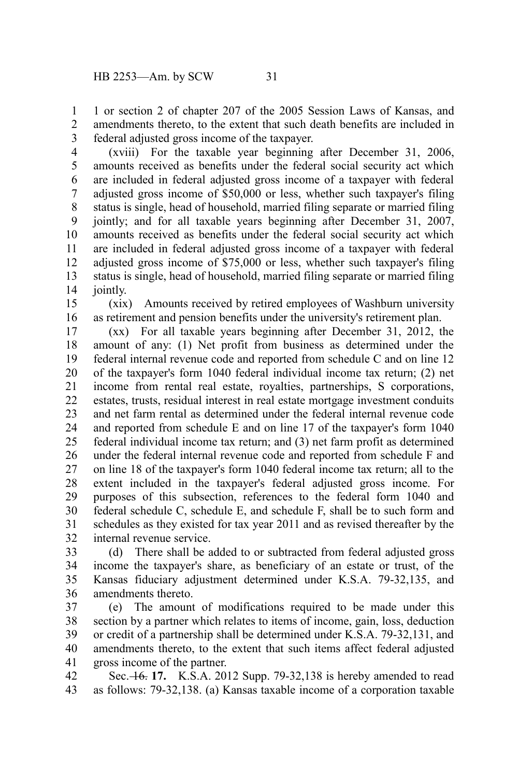1 or section 2 of chapter 207 of the 2005 Session Laws of Kansas, and amendments thereto, to the extent that such death benefits are included in federal adjusted gross income of the taxpayer. 1 2 3

(xviii) For the taxable year beginning after December 31, 2006, amounts received as benefits under the federal social security act which are included in federal adjusted gross income of a taxpayer with federal adjusted gross income of \$50,000 or less, whether such taxpayer's filing status is single, head of household, married filing separate or married filing jointly; and for all taxable years beginning after December 31, 2007, amounts received as benefits under the federal social security act which are included in federal adjusted gross income of a taxpayer with federal adjusted gross income of \$75,000 or less, whether such taxpayer's filing status is single, head of household, married filing separate or married filing jointly. 4 5 6 7 8 9 10 11 12 13 14

(xix) Amounts received by retired employees of Washburn university as retirement and pension benefits under the university's retirement plan. 15 16

(xx) For all taxable years beginning after December 31, 2012, the amount of any: (1) Net profit from business as determined under the federal internal revenue code and reported from schedule C and on line 12 of the taxpayer's form 1040 federal individual income tax return; (2) net income from rental real estate, royalties, partnerships, S corporations, estates, trusts, residual interest in real estate mortgage investment conduits and net farm rental as determined under the federal internal revenue code and reported from schedule E and on line 17 of the taxpayer's form 1040 federal individual income tax return; and (3) net farm profit as determined under the federal internal revenue code and reported from schedule F and on line 18 of the taxpayer's form 1040 federal income tax return; all to the extent included in the taxpayer's federal adjusted gross income. For purposes of this subsection, references to the federal form 1040 and federal schedule C, schedule E, and schedule F, shall be to such form and schedules as they existed for tax year 2011 and as revised thereafter by the internal revenue service. 17 18 19 20 21 22 23 24 25 26 27 28 29 30 31 32

(d) There shall be added to or subtracted from federal adjusted gross income the taxpayer's share, as beneficiary of an estate or trust, of the Kansas fiduciary adjustment determined under K.S.A. 79-32,135, and amendments thereto. 33 34 35 36

(e) The amount of modifications required to be made under this section by a partner which relates to items of income, gain, loss, deduction or credit of a partnership shall be determined under K.S.A. 79-32,131, and amendments thereto, to the extent that such items affect federal adjusted gross income of the partner. 37 38 39 40 41

Sec. 16. **17.** K.S.A. 2012 Supp. 79-32,138 is hereby amended to read as follows: 79-32,138. (a) Kansas taxable income of a corporation taxable 42 43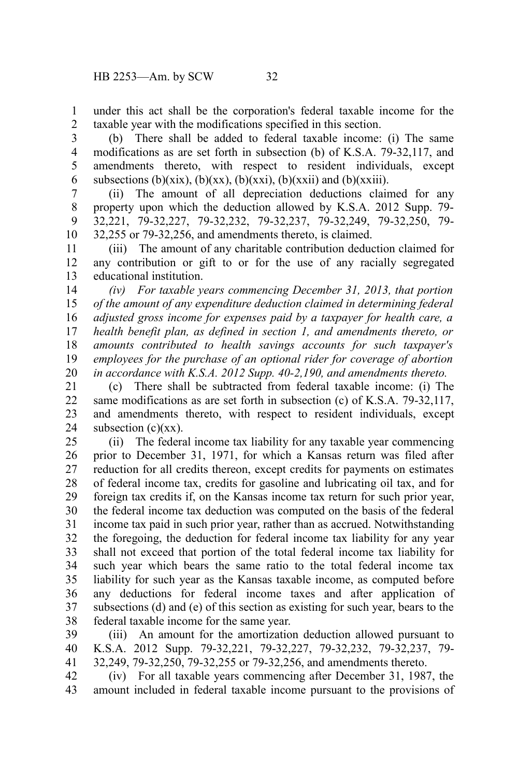under this act shall be the corporation's federal taxable income for the taxable year with the modifications specified in this section. 1 2

(b) There shall be added to federal taxable income: (i) The same modifications as are set forth in subsection (b) of K.S.A. 79-32,117, and amendments thereto, with respect to resident individuals, except subsections (b)(xix), (b)(xx), (b)(xxi), (b)(xxii) and (b)(xxiii). 3 4 5 6

(ii) The amount of all depreciation deductions claimed for any property upon which the deduction allowed by K.S.A. 2012 Supp. 79- 32,221, 79-32,227, 79-32,232, 79-32,237, 79-32,249, 79-32,250, 79- 32,255 or 79-32,256, and amendments thereto, is claimed. 7 8 9 10

(iii) The amount of any charitable contribution deduction claimed for any contribution or gift to or for the use of any racially segregated educational institution. 11 12 13

*(iv) For taxable years commencing December 31, 2013, that portion of the amount of any expenditure deduction claimed in determining federal adjusted gross income for expenses paid by a taxpayer for health care, a health benefit plan, as defined in section 1, and amendments thereto, or amounts contributed to health savings accounts for such taxpayer's employees for the purchase of an optional rider for coverage of abortion in accordance with K.S.A. 2012 Supp. 40-2,190, and amendments thereto.* 14 15 16 17 18 19 20

(c) There shall be subtracted from federal taxable income: (i) The same modifications as are set forth in subsection (c) of K.S.A. 79-32,117, and amendments thereto, with respect to resident individuals, except subsection  $(c)(xx)$ . 21 22 23 24

(ii) The federal income tax liability for any taxable year commencing prior to December 31, 1971, for which a Kansas return was filed after reduction for all credits thereon, except credits for payments on estimates of federal income tax, credits for gasoline and lubricating oil tax, and for foreign tax credits if, on the Kansas income tax return for such prior year, the federal income tax deduction was computed on the basis of the federal income tax paid in such prior year, rather than as accrued. Notwithstanding the foregoing, the deduction for federal income tax liability for any year shall not exceed that portion of the total federal income tax liability for such year which bears the same ratio to the total federal income tax liability for such year as the Kansas taxable income, as computed before any deductions for federal income taxes and after application of subsections (d) and (e) of this section as existing for such year, bears to the federal taxable income for the same year. 25 26 27 28 29 30 31 32 33 34 35 36 37 38

(iii) An amount for the amortization deduction allowed pursuant to K.S.A. 2012 Supp. 79-32,221, 79-32,227, 79-32,232, 79-32,237, 79- 32,249, 79-32,250, 79-32,255 or 79-32,256, and amendments thereto. 39 40 41

(iv) For all taxable years commencing after December 31, 1987, the amount included in federal taxable income pursuant to the provisions of 42 43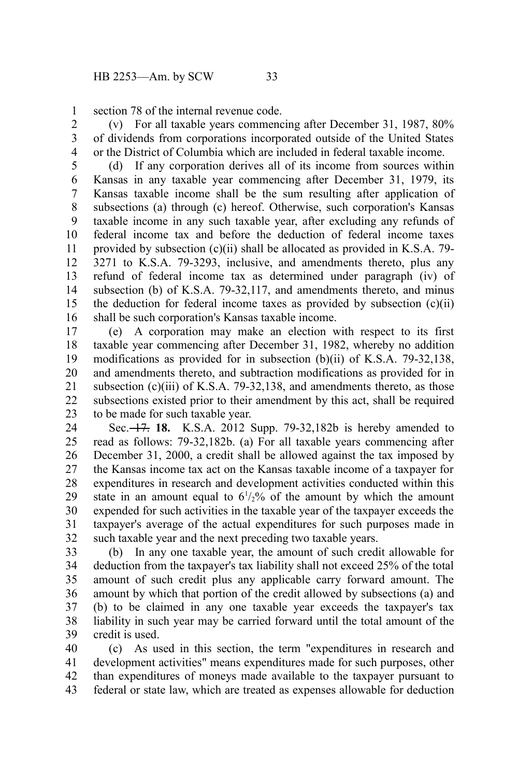section 78 of the internal revenue code. 1

(v) For all taxable years commencing after December 31, 1987, 80% of dividends from corporations incorporated outside of the United States or the District of Columbia which are included in federal taxable income. 2 3 4

(d) If any corporation derives all of its income from sources within Kansas in any taxable year commencing after December 31, 1979, its Kansas taxable income shall be the sum resulting after application of subsections (a) through (c) hereof. Otherwise, such corporation's Kansas taxable income in any such taxable year, after excluding any refunds of federal income tax and before the deduction of federal income taxes provided by subsection (c)(ii) shall be allocated as provided in K.S.A. 79- 3271 to K.S.A. 79-3293, inclusive, and amendments thereto, plus any refund of federal income tax as determined under paragraph (iv) of subsection (b) of K.S.A. 79-32,117, and amendments thereto, and minus the deduction for federal income taxes as provided by subsection (c)(ii) shall be such corporation's Kansas taxable income. 5 6 7 8 9 10 11 12 13 14 15 16

(e) A corporation may make an election with respect to its first taxable year commencing after December 31, 1982, whereby no addition modifications as provided for in subsection (b)(ii) of K.S.A. 79-32,138, and amendments thereto, and subtraction modifications as provided for in subsection (c)(iii) of K.S.A. 79-32,138, and amendments thereto, as those subsections existed prior to their amendment by this act, shall be required to be made for such taxable year. 17 18 19 20 21 22 23

Sec. 17. **18.** K.S.A. 2012 Supp. 79-32,182b is hereby amended to read as follows: 79-32,182b. (a) For all taxable years commencing after December 31, 2000, a credit shall be allowed against the tax imposed by the Kansas income tax act on the Kansas taxable income of a taxpayer for expenditures in research and development activities conducted within this state in an amount equal to  $6^{1/2}$ % of the amount by which the amount expended for such activities in the taxable year of the taxpayer exceeds the taxpayer's average of the actual expenditures for such purposes made in such taxable year and the next preceding two taxable years. 24 25 26 27 28 29 30 31 32

(b) In any one taxable year, the amount of such credit allowable for deduction from the taxpayer's tax liability shall not exceed 25% of the total amount of such credit plus any applicable carry forward amount. The amount by which that portion of the credit allowed by subsections (a) and (b) to be claimed in any one taxable year exceeds the taxpayer's tax liability in such year may be carried forward until the total amount of the credit is used. 33 34 35 36 37 38 39

(c) As used in this section, the term "expenditures in research and development activities" means expenditures made for such purposes, other than expenditures of moneys made available to the taxpayer pursuant to federal or state law, which are treated as expenses allowable for deduction 40 41 42 43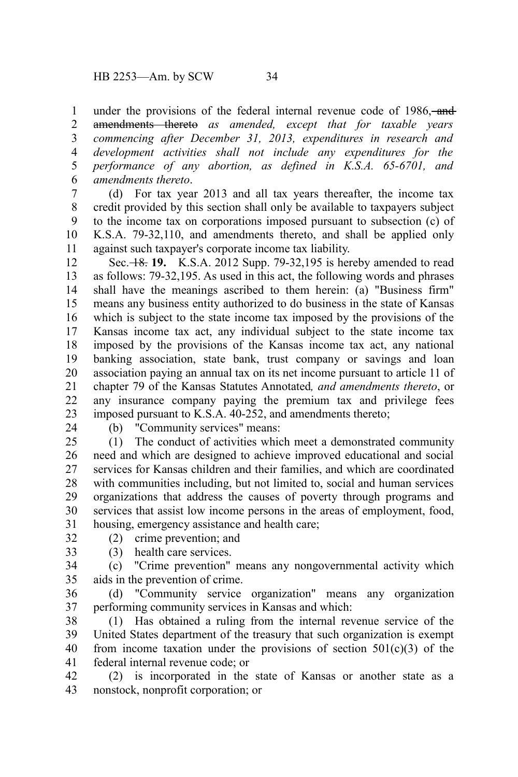under the provisions of the federal internal revenue code of 1986,—andamendments thereto *as amended, except that for taxable years commencing after December 31, 2013, expenditures in research and development activities shall not include any expenditures for the performance of any abortion, as defined in K.S.A. 65-6701, and amendments thereto*. 1 2 3 4 5 6

(d) For tax year 2013 and all tax years thereafter, the income tax credit provided by this section shall only be available to taxpayers subject to the income tax on corporations imposed pursuant to subsection (c) of K.S.A. 79-32,110, and amendments thereto, and shall be applied only against such taxpayer's corporate income tax liability. 7 8 9 10 11

Sec. 18. **19.** K.S.A. 2012 Supp. 79-32,195 is hereby amended to read as follows: 79-32,195. As used in this act, the following words and phrases shall have the meanings ascribed to them herein: (a) "Business firm" means any business entity authorized to do business in the state of Kansas which is subject to the state income tax imposed by the provisions of the Kansas income tax act, any individual subject to the state income tax imposed by the provisions of the Kansas income tax act, any national banking association, state bank, trust company or savings and loan association paying an annual tax on its net income pursuant to article 11 of chapter 79 of the Kansas Statutes Annotated*, and amendments thereto*, or any insurance company paying the premium tax and privilege fees imposed pursuant to K.S.A. 40-252, and amendments thereto; 12 13 14 15 16 17 18 19 20 21 22 23

24

(b) "Community services" means:

(1) The conduct of activities which meet a demonstrated community need and which are designed to achieve improved educational and social services for Kansas children and their families, and which are coordinated with communities including, but not limited to, social and human services organizations that address the causes of poverty through programs and services that assist low income persons in the areas of employment, food, housing, emergency assistance and health care; 25 26 27 28 29 30 31

32 33 (2) crime prevention; and

(3) health care services.

(c) "Crime prevention" means any nongovernmental activity which aids in the prevention of crime. 34 35

(d) "Community service organization" means any organization performing community services in Kansas and which: 36 37

(1) Has obtained a ruling from the internal revenue service of the United States department of the treasury that such organization is exempt from income taxation under the provisions of section  $501(c)(3)$  of the federal internal revenue code; or 38 39 40 41

(2) is incorporated in the state of Kansas or another state as a nonstock, nonprofit corporation; or 42 43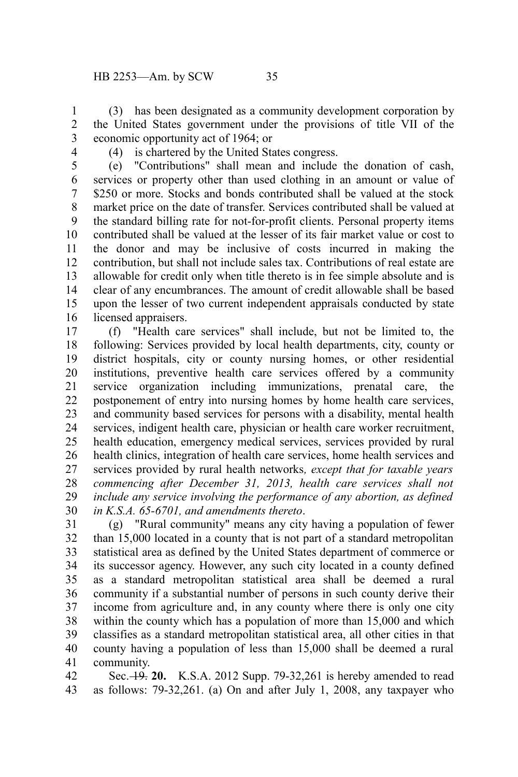(3) has been designated as a community development corporation by the United States government under the provisions of title VII of the economic opportunity act of 1964; or 1 2 3

4

(4) is chartered by the United States congress.

(e) "Contributions" shall mean and include the donation of cash, services or property other than used clothing in an amount or value of \$250 or more. Stocks and bonds contributed shall be valued at the stock market price on the date of transfer. Services contributed shall be valued at the standard billing rate for not-for-profit clients. Personal property items contributed shall be valued at the lesser of its fair market value or cost to the donor and may be inclusive of costs incurred in making the contribution, but shall not include sales tax. Contributions of real estate are allowable for credit only when title thereto is in fee simple absolute and is clear of any encumbrances. The amount of credit allowable shall be based upon the lesser of two current independent appraisals conducted by state licensed appraisers. 5 6 7 8 9 10 11 12 13 14 15 16

(f) "Health care services" shall include, but not be limited to, the following: Services provided by local health departments, city, county or district hospitals, city or county nursing homes, or other residential institutions, preventive health care services offered by a community service organization including immunizations, prenatal care, the postponement of entry into nursing homes by home health care services, and community based services for persons with a disability, mental health services, indigent health care, physician or health care worker recruitment, health education, emergency medical services, services provided by rural health clinics, integration of health care services, home health services and services provided by rural health networks*, except that for taxable years commencing after December 31, 2013, health care services shall not include any service involving the performance of any abortion, as defined in K.S.A. 65-6701, and amendments thereto*. 17 18 19 20 21 22 23 24 25 26 27 28 29 30

(g) "Rural community" means any city having a population of fewer than 15,000 located in a county that is not part of a standard metropolitan statistical area as defined by the United States department of commerce or its successor agency. However, any such city located in a county defined as a standard metropolitan statistical area shall be deemed a rural community if a substantial number of persons in such county derive their income from agriculture and, in any county where there is only one city within the county which has a population of more than 15,000 and which classifies as a standard metropolitan statistical area, all other cities in that county having a population of less than 15,000 shall be deemed a rural community. 31 32 33 34 35 36 37 38 39 40 41

Sec. 19. **20.** K.S.A. 2012 Supp. 79-32,261 is hereby amended to read as follows: 79-32,261. (a) On and after July 1, 2008, any taxpayer who 42 43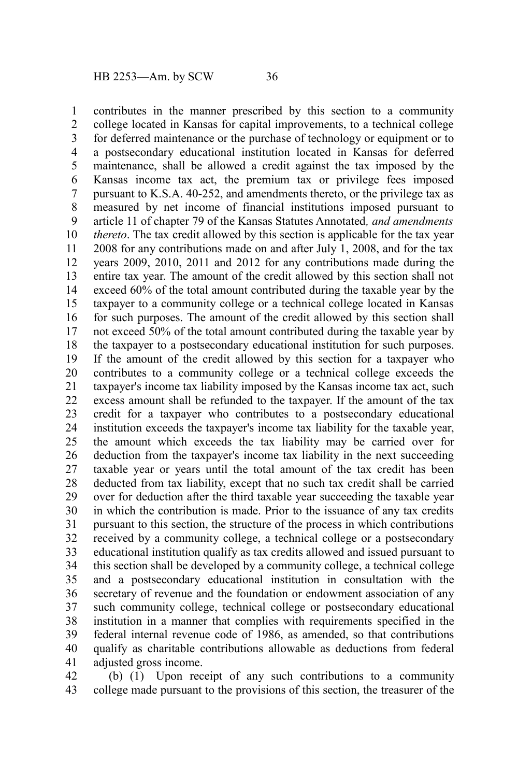contributes in the manner prescribed by this section to a community college located in Kansas for capital improvements, to a technical college for deferred maintenance or the purchase of technology or equipment or to a postsecondary educational institution located in Kansas for deferred maintenance, shall be allowed a credit against the tax imposed by the Kansas income tax act, the premium tax or privilege fees imposed pursuant to K.S.A. 40-252, and amendments thereto, or the privilege tax as measured by net income of financial institutions imposed pursuant to article 11 of chapter 79 of the Kansas Statutes Annotated*, and amendments thereto*. The tax credit allowed by this section is applicable for the tax year 2008 for any contributions made on and after July 1, 2008, and for the tax years 2009, 2010, 2011 and 2012 for any contributions made during the entire tax year. The amount of the credit allowed by this section shall not exceed 60% of the total amount contributed during the taxable year by the taxpayer to a community college or a technical college located in Kansas for such purposes. The amount of the credit allowed by this section shall not exceed 50% of the total amount contributed during the taxable year by the taxpayer to a postsecondary educational institution for such purposes. If the amount of the credit allowed by this section for a taxpayer who contributes to a community college or a technical college exceeds the taxpayer's income tax liability imposed by the Kansas income tax act, such excess amount shall be refunded to the taxpayer. If the amount of the tax credit for a taxpayer who contributes to a postsecondary educational institution exceeds the taxpayer's income tax liability for the taxable year, the amount which exceeds the tax liability may be carried over for deduction from the taxpayer's income tax liability in the next succeeding taxable year or years until the total amount of the tax credit has been deducted from tax liability, except that no such tax credit shall be carried over for deduction after the third taxable year succeeding the taxable year in which the contribution is made. Prior to the issuance of any tax credits pursuant to this section, the structure of the process in which contributions received by a community college, a technical college or a postsecondary educational institution qualify as tax credits allowed and issued pursuant to this section shall be developed by a community college, a technical college and a postsecondary educational institution in consultation with the secretary of revenue and the foundation or endowment association of any such community college, technical college or postsecondary educational institution in a manner that complies with requirements specified in the federal internal revenue code of 1986, as amended, so that contributions qualify as charitable contributions allowable as deductions from federal adjusted gross income. 1 2 3 4 5 6 7 8 9 10 11 12 13 14 15 16 17 18 19 20 21 22 23 24 25 26 27 28 29 30 31 32 33 34 35 36 37 38 39 40 41

(b) (1) Upon receipt of any such contributions to a community college made pursuant to the provisions of this section, the treasurer of the 42 43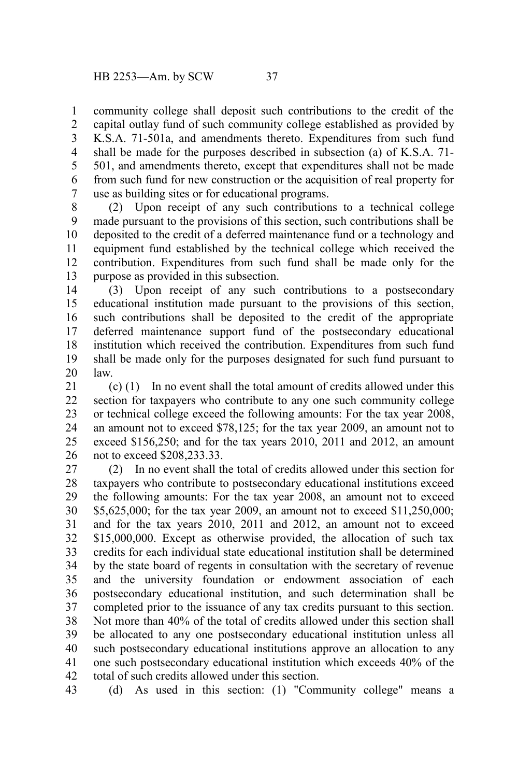community college shall deposit such contributions to the credit of the capital outlay fund of such community college established as provided by K.S.A. 71-501a, and amendments thereto. Expenditures from such fund shall be made for the purposes described in subsection (a) of K.S.A. 71- 501, and amendments thereto, except that expenditures shall not be made from such fund for new construction or the acquisition of real property for use as building sites or for educational programs. 1 2 3 4 5 6 7

(2) Upon receipt of any such contributions to a technical college made pursuant to the provisions of this section, such contributions shall be deposited to the credit of a deferred maintenance fund or a technology and equipment fund established by the technical college which received the contribution. Expenditures from such fund shall be made only for the purpose as provided in this subsection. 8 9 10 11 12 13

(3) Upon receipt of any such contributions to a postsecondary educational institution made pursuant to the provisions of this section, such contributions shall be deposited to the credit of the appropriate deferred maintenance support fund of the postsecondary educational institution which received the contribution. Expenditures from such fund shall be made only for the purposes designated for such fund pursuant to law. 14 15 16 17 18 19 20

(c) (1) In no event shall the total amount of credits allowed under this section for taxpayers who contribute to any one such community college or technical college exceed the following amounts: For the tax year 2008, an amount not to exceed \$78,125; for the tax year 2009, an amount not to exceed \$156,250; and for the tax years 2010, 2011 and 2012, an amount not to exceed \$208,233.33. 21 22 23 24 25 26

(2) In no event shall the total of credits allowed under this section for taxpayers who contribute to postsecondary educational institutions exceed the following amounts: For the tax year 2008, an amount not to exceed \$5,625,000; for the tax year 2009, an amount not to exceed \$11,250,000; and for the tax years 2010, 2011 and 2012, an amount not to exceed \$15,000,000. Except as otherwise provided, the allocation of such tax credits for each individual state educational institution shall be determined by the state board of regents in consultation with the secretary of revenue and the university foundation or endowment association of each postsecondary educational institution, and such determination shall be completed prior to the issuance of any tax credits pursuant to this section. Not more than 40% of the total of credits allowed under this section shall be allocated to any one postsecondary educational institution unless all such postsecondary educational institutions approve an allocation to any one such postsecondary educational institution which exceeds 40% of the total of such credits allowed under this section. 27 28 29 30 31 32 33 34 35 36 37 38 39 40 41 42

(d) As used in this section: (1) "Community college" means a 43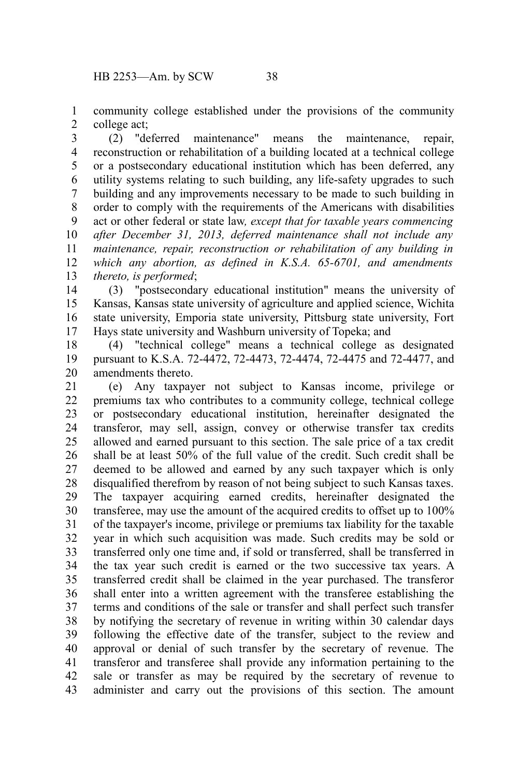community college established under the provisions of the community college act; 1 2

(2) "deferred maintenance" means the maintenance, repair, reconstruction or rehabilitation of a building located at a technical college or a postsecondary educational institution which has been deferred, any utility systems relating to such building, any life-safety upgrades to such building and any improvements necessary to be made to such building in order to comply with the requirements of the Americans with disabilities act or other federal or state law*, except that for taxable years commencing after December 31, 2013, deferred maintenance shall not include any maintenance, repair, reconstruction or rehabilitation of any building in which any abortion, as defined in K.S.A. 65-6701, and amendments thereto, is performed*; 3 4 5 6 7 8 9 10 11 12 13

(3) "postsecondary educational institution" means the university of Kansas, Kansas state university of agriculture and applied science, Wichita state university, Emporia state university, Pittsburg state university, Fort Hays state university and Washburn university of Topeka; and 14 15 16 17

(4) "technical college" means a technical college as designated pursuant to K.S.A. 72-4472, 72-4473, 72-4474, 72-4475 and 72-4477, and amendments thereto. 18 19 20

(e) Any taxpayer not subject to Kansas income, privilege or premiums tax who contributes to a community college, technical college or postsecondary educational institution, hereinafter designated the transferor, may sell, assign, convey or otherwise transfer tax credits allowed and earned pursuant to this section. The sale price of a tax credit shall be at least 50% of the full value of the credit. Such credit shall be deemed to be allowed and earned by any such taxpayer which is only disqualified therefrom by reason of not being subject to such Kansas taxes. The taxpayer acquiring earned credits, hereinafter designated the transferee, may use the amount of the acquired credits to offset up to 100% of the taxpayer's income, privilege or premiums tax liability for the taxable year in which such acquisition was made. Such credits may be sold or transferred only one time and, if sold or transferred, shall be transferred in the tax year such credit is earned or the two successive tax years. A transferred credit shall be claimed in the year purchased. The transferor shall enter into a written agreement with the transferee establishing the terms and conditions of the sale or transfer and shall perfect such transfer by notifying the secretary of revenue in writing within 30 calendar days following the effective date of the transfer, subject to the review and approval or denial of such transfer by the secretary of revenue. The transferor and transferee shall provide any information pertaining to the sale or transfer as may be required by the secretary of revenue to administer and carry out the provisions of this section. The amount 21 22 23 24 25 26 27 28 29 30 31 32 33 34 35 36 37 38 39 40 41 42 43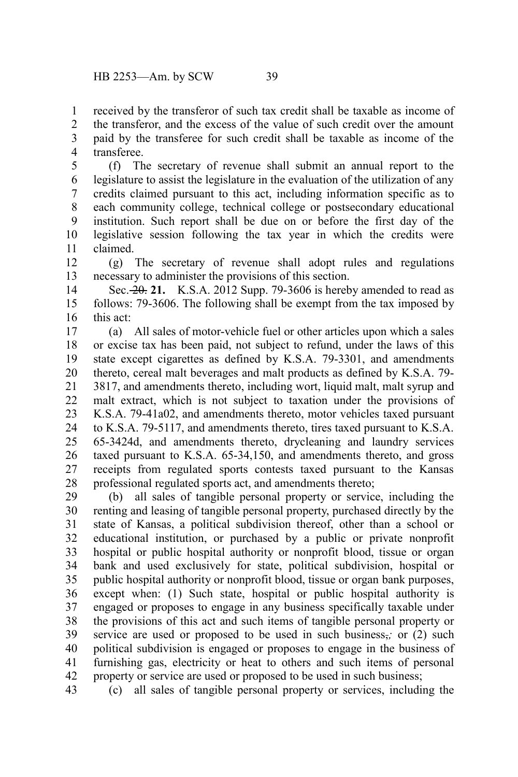received by the transferor of such tax credit shall be taxable as income of 1

the transferor, and the excess of the value of such credit over the amount paid by the transferee for such credit shall be taxable as income of the transferee. 2 3 4

(f) The secretary of revenue shall submit an annual report to the legislature to assist the legislature in the evaluation of the utilization of any credits claimed pursuant to this act, including information specific as to each community college, technical college or postsecondary educational institution. Such report shall be due on or before the first day of the legislative session following the tax year in which the credits were claimed. 5 6 7 8 9 10 11

(g) The secretary of revenue shall adopt rules and regulations necessary to administer the provisions of this section. 12 13

Sec. 20. **21.** K.S.A. 2012 Supp. 79-3606 is hereby amended to read as follows: 79-3606. The following shall be exempt from the tax imposed by this act: 14 15 16

(a) All sales of motor-vehicle fuel or other articles upon which a sales or excise tax has been paid, not subject to refund, under the laws of this state except cigarettes as defined by K.S.A. 79-3301, and amendments thereto, cereal malt beverages and malt products as defined by K.S.A. 79- 3817, and amendments thereto, including wort, liquid malt, malt syrup and malt extract, which is not subject to taxation under the provisions of K.S.A. 79-41a02, and amendments thereto, motor vehicles taxed pursuant to K.S.A. 79-5117, and amendments thereto, tires taxed pursuant to K.S.A. 65-3424d, and amendments thereto, drycleaning and laundry services taxed pursuant to K.S.A. 65-34,150, and amendments thereto, and gross receipts from regulated sports contests taxed pursuant to the Kansas professional regulated sports act, and amendments thereto; 17 18 19 20 21 22 23 24 25 26 27 28

(b) all sales of tangible personal property or service, including the renting and leasing of tangible personal property, purchased directly by the state of Kansas, a political subdivision thereof, other than a school or educational institution, or purchased by a public or private nonprofit hospital or public hospital authority or nonprofit blood, tissue or organ bank and used exclusively for state, political subdivision, hospital or public hospital authority or nonprofit blood, tissue or organ bank purposes, except when: (1) Such state, hospital or public hospital authority is engaged or proposes to engage in any business specifically taxable under the provisions of this act and such items of tangible personal property or service are used or proposed to be used in such business,*;* or (2) such political subdivision is engaged or proposes to engage in the business of furnishing gas, electricity or heat to others and such items of personal property or service are used or proposed to be used in such business; 29 30 31 32 33 34 35 36 37 38 39 40 41 42

(c) all sales of tangible personal property or services, including the 43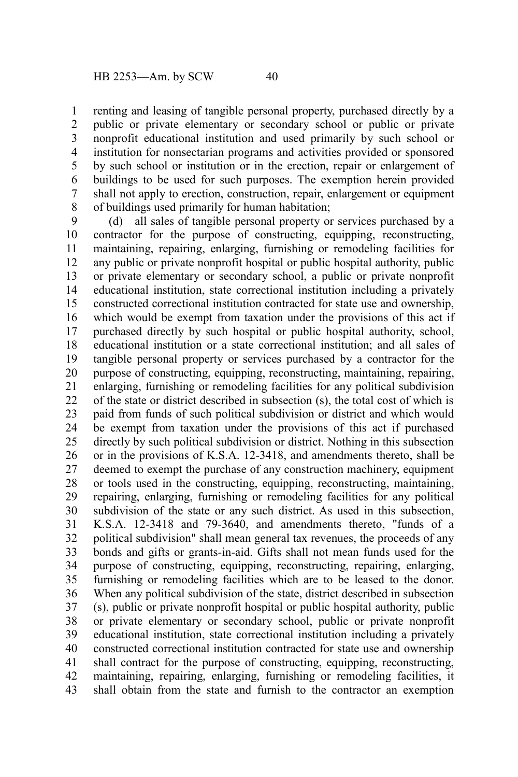renting and leasing of tangible personal property, purchased directly by a public or private elementary or secondary school or public or private nonprofit educational institution and used primarily by such school or institution for nonsectarian programs and activities provided or sponsored by such school or institution or in the erection, repair or enlargement of buildings to be used for such purposes. The exemption herein provided shall not apply to erection, construction, repair, enlargement or equipment of buildings used primarily for human habitation; 1 2 3 4 5 6 7 8

(d) all sales of tangible personal property or services purchased by a contractor for the purpose of constructing, equipping, reconstructing, maintaining, repairing, enlarging, furnishing or remodeling facilities for any public or private nonprofit hospital or public hospital authority, public or private elementary or secondary school, a public or private nonprofit educational institution, state correctional institution including a privately constructed correctional institution contracted for state use and ownership, which would be exempt from taxation under the provisions of this act if purchased directly by such hospital or public hospital authority, school, educational institution or a state correctional institution; and all sales of tangible personal property or services purchased by a contractor for the purpose of constructing, equipping, reconstructing, maintaining, repairing, enlarging, furnishing or remodeling facilities for any political subdivision of the state or district described in subsection (s), the total cost of which is paid from funds of such political subdivision or district and which would be exempt from taxation under the provisions of this act if purchased directly by such political subdivision or district. Nothing in this subsection or in the provisions of K.S.A. 12-3418, and amendments thereto, shall be deemed to exempt the purchase of any construction machinery, equipment or tools used in the constructing, equipping, reconstructing, maintaining, repairing, enlarging, furnishing or remodeling facilities for any political subdivision of the state or any such district. As used in this subsection, K.S.A. 12-3418 and 79-3640, and amendments thereto, "funds of a political subdivision" shall mean general tax revenues, the proceeds of any bonds and gifts or grants-in-aid. Gifts shall not mean funds used for the purpose of constructing, equipping, reconstructing, repairing, enlarging, furnishing or remodeling facilities which are to be leased to the donor. When any political subdivision of the state, district described in subsection (s), public or private nonprofit hospital or public hospital authority, public or private elementary or secondary school, public or private nonprofit educational institution, state correctional institution including a privately constructed correctional institution contracted for state use and ownership shall contract for the purpose of constructing, equipping, reconstructing, maintaining, repairing, enlarging, furnishing or remodeling facilities, it shall obtain from the state and furnish to the contractor an exemption 9 10 11 12 13 14 15 16 17 18 19 20 21 22 23 24 25 26 27 28 29 30 31 32 33 34 35 36 37 38 39 40 41 42 43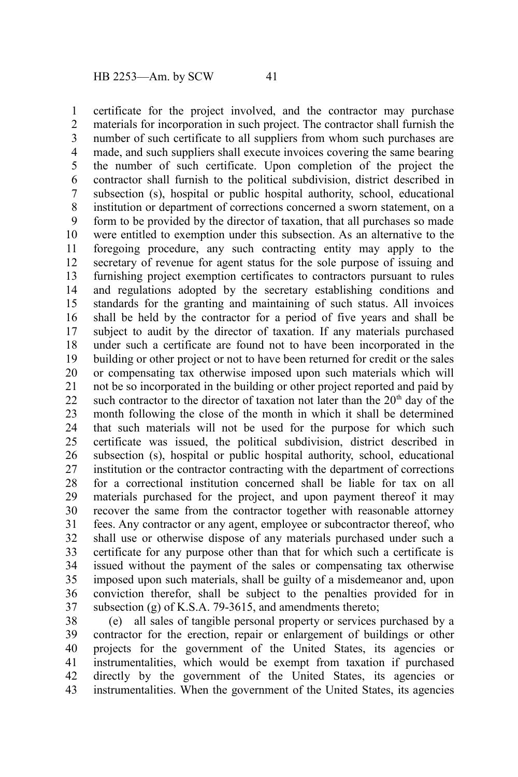certificate for the project involved, and the contractor may purchase materials for incorporation in such project. The contractor shall furnish the number of such certificate to all suppliers from whom such purchases are made, and such suppliers shall execute invoices covering the same bearing the number of such certificate. Upon completion of the project the contractor shall furnish to the political subdivision, district described in subsection (s), hospital or public hospital authority, school, educational institution or department of corrections concerned a sworn statement, on a form to be provided by the director of taxation, that all purchases so made were entitled to exemption under this subsection. As an alternative to the foregoing procedure, any such contracting entity may apply to the secretary of revenue for agent status for the sole purpose of issuing and furnishing project exemption certificates to contractors pursuant to rules and regulations adopted by the secretary establishing conditions and standards for the granting and maintaining of such status. All invoices shall be held by the contractor for a period of five years and shall be subject to audit by the director of taxation. If any materials purchased under such a certificate are found not to have been incorporated in the building or other project or not to have been returned for credit or the sales or compensating tax otherwise imposed upon such materials which will not be so incorporated in the building or other project reported and paid by such contractor to the director of taxation not later than the  $20<sup>th</sup>$  day of the month following the close of the month in which it shall be determined that such materials will not be used for the purpose for which such certificate was issued, the political subdivision, district described in subsection (s), hospital or public hospital authority, school, educational institution or the contractor contracting with the department of corrections for a correctional institution concerned shall be liable for tax on all materials purchased for the project, and upon payment thereof it may recover the same from the contractor together with reasonable attorney fees. Any contractor or any agent, employee or subcontractor thereof, who shall use or otherwise dispose of any materials purchased under such a certificate for any purpose other than that for which such a certificate is issued without the payment of the sales or compensating tax otherwise imposed upon such materials, shall be guilty of a misdemeanor and, upon conviction therefor, shall be subject to the penalties provided for in subsection (g) of K.S.A. 79-3615, and amendments thereto; 1 2 3 4 5 6 7 8 9 10 11 12 13 14 15 16 17 18 19 20 21 22 23 24 25 26 27 28 29 30 31 32 33 34 35 36 37

(e) all sales of tangible personal property or services purchased by a contractor for the erection, repair or enlargement of buildings or other projects for the government of the United States, its agencies or instrumentalities, which would be exempt from taxation if purchased directly by the government of the United States, its agencies or instrumentalities. When the government of the United States, its agencies 38 39 40 41 42 43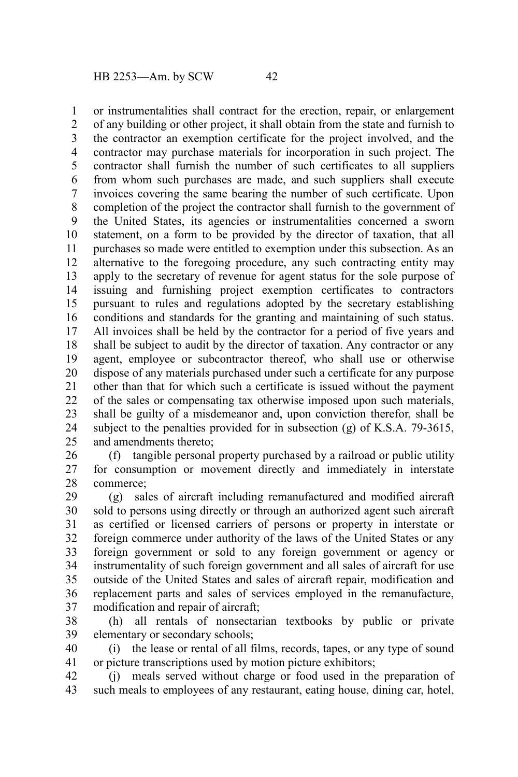or instrumentalities shall contract for the erection, repair, or enlargement of any building or other project, it shall obtain from the state and furnish to the contractor an exemption certificate for the project involved, and the contractor may purchase materials for incorporation in such project. The contractor shall furnish the number of such certificates to all suppliers from whom such purchases are made, and such suppliers shall execute invoices covering the same bearing the number of such certificate. Upon completion of the project the contractor shall furnish to the government of the United States, its agencies or instrumentalities concerned a sworn statement, on a form to be provided by the director of taxation, that all purchases so made were entitled to exemption under this subsection. As an alternative to the foregoing procedure, any such contracting entity may apply to the secretary of revenue for agent status for the sole purpose of issuing and furnishing project exemption certificates to contractors pursuant to rules and regulations adopted by the secretary establishing conditions and standards for the granting and maintaining of such status. All invoices shall be held by the contractor for a period of five years and shall be subject to audit by the director of taxation. Any contractor or any agent, employee or subcontractor thereof, who shall use or otherwise dispose of any materials purchased under such a certificate for any purpose other than that for which such a certificate is issued without the payment of the sales or compensating tax otherwise imposed upon such materials, shall be guilty of a misdemeanor and, upon conviction therefor, shall be subject to the penalties provided for in subsection (g) of K.S.A. 79-3615, and amendments thereto; 1 2 3 4 5 6 7 8 9 10 11 12 13 14 15 16 17 18 19 20 21 22 23 24 25

(f) tangible personal property purchased by a railroad or public utility for consumption or movement directly and immediately in interstate commerce; 26 27 28

(g) sales of aircraft including remanufactured and modified aircraft sold to persons using directly or through an authorized agent such aircraft as certified or licensed carriers of persons or property in interstate or foreign commerce under authority of the laws of the United States or any foreign government or sold to any foreign government or agency or instrumentality of such foreign government and all sales of aircraft for use outside of the United States and sales of aircraft repair, modification and replacement parts and sales of services employed in the remanufacture, modification and repair of aircraft; 29 30 31 32 33 34 35 36 37

(h) all rentals of nonsectarian textbooks by public or private elementary or secondary schools; 38 39

(i) the lease or rental of all films, records, tapes, or any type of sound or picture transcriptions used by motion picture exhibitors; 40 41

(j) meals served without charge or food used in the preparation of such meals to employees of any restaurant, eating house, dining car, hotel, 42 43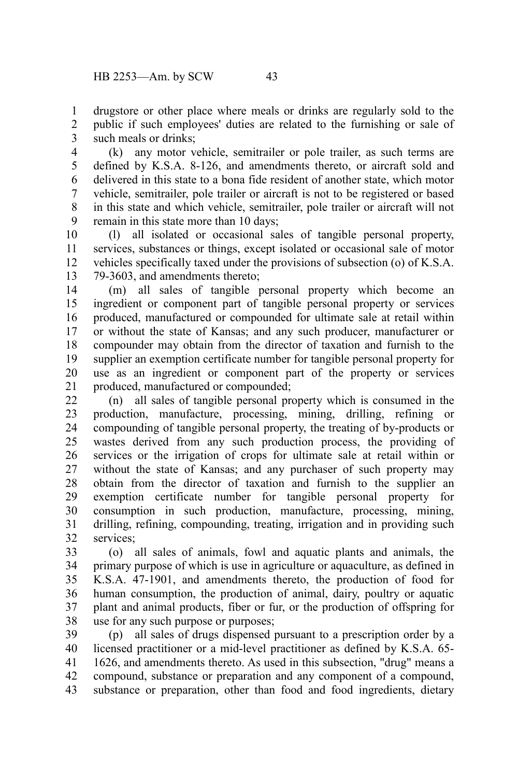drugstore or other place where meals or drinks are regularly sold to the public if such employees' duties are related to the furnishing or sale of such meals or drinks; 1 2 3

(k) any motor vehicle, semitrailer or pole trailer, as such terms are defined by K.S.A. 8-126, and amendments thereto, or aircraft sold and delivered in this state to a bona fide resident of another state, which motor vehicle, semitrailer, pole trailer or aircraft is not to be registered or based in this state and which vehicle, semitrailer, pole trailer or aircraft will not remain in this state more than 10 days; 4 5 6 7 8 9

(l) all isolated or occasional sales of tangible personal property, services, substances or things, except isolated or occasional sale of motor vehicles specifically taxed under the provisions of subsection (o) of K.S.A. 79-3603, and amendments thereto; 10 11 12 13

(m) all sales of tangible personal property which become an ingredient or component part of tangible personal property or services produced, manufactured or compounded for ultimate sale at retail within or without the state of Kansas; and any such producer, manufacturer or compounder may obtain from the director of taxation and furnish to the supplier an exemption certificate number for tangible personal property for use as an ingredient or component part of the property or services produced, manufactured or compounded; 14 15 16 17 18 19 20 21

(n) all sales of tangible personal property which is consumed in the production, manufacture, processing, mining, drilling, refining or compounding of tangible personal property, the treating of by-products or wastes derived from any such production process, the providing of services or the irrigation of crops for ultimate sale at retail within or without the state of Kansas; and any purchaser of such property may obtain from the director of taxation and furnish to the supplier an exemption certificate number for tangible personal property for consumption in such production, manufacture, processing, mining, drilling, refining, compounding, treating, irrigation and in providing such services; 22 23 24 25 26 27 28 29 30 31 32

(o) all sales of animals, fowl and aquatic plants and animals, the primary purpose of which is use in agriculture or aquaculture, as defined in K.S.A. 47-1901, and amendments thereto, the production of food for human consumption, the production of animal, dairy, poultry or aquatic plant and animal products, fiber or fur, or the production of offspring for use for any such purpose or purposes; 33 34 35 36 37 38

(p) all sales of drugs dispensed pursuant to a prescription order by a licensed practitioner or a mid-level practitioner as defined by K.S.A. 65- 1626, and amendments thereto. As used in this subsection, "drug" means a compound, substance or preparation and any component of a compound, substance or preparation, other than food and food ingredients, dietary 39 40 41 42 43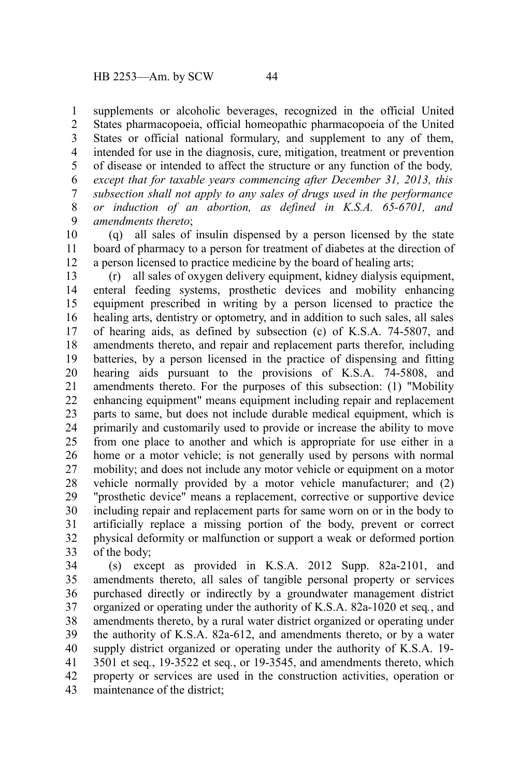supplements or alcoholic beverages, recognized in the official United States pharmacopoeia, official homeopathic pharmacopoeia of the United States or official national formulary, and supplement to any of them, intended for use in the diagnosis, cure, mitigation, treatment or prevention of disease or intended to affect the structure or any function of the body*, except that for taxable years commencing after December 31, 2013, this subsection shall not apply to any sales of drugs used in the performance or induction of an abortion, as defined in K.S.A. 65-6701, and amendments thereto*; 1 2 3 4 5 6 7 8 9

(q) all sales of insulin dispensed by a person licensed by the state board of pharmacy to a person for treatment of diabetes at the direction of a person licensed to practice medicine by the board of healing arts; 10 11 12

(r) all sales of oxygen delivery equipment, kidney dialysis equipment, enteral feeding systems, prosthetic devices and mobility enhancing equipment prescribed in writing by a person licensed to practice the healing arts, dentistry or optometry, and in addition to such sales, all sales of hearing aids, as defined by subsection (c) of K.S.A. 74-5807, and amendments thereto, and repair and replacement parts therefor, including batteries, by a person licensed in the practice of dispensing and fitting hearing aids pursuant to the provisions of K.S.A. 74-5808, and amendments thereto. For the purposes of this subsection: (1) "Mobility enhancing equipment" means equipment including repair and replacement parts to same, but does not include durable medical equipment, which is primarily and customarily used to provide or increase the ability to move from one place to another and which is appropriate for use either in a home or a motor vehicle; is not generally used by persons with normal mobility; and does not include any motor vehicle or equipment on a motor vehicle normally provided by a motor vehicle manufacturer; and (2) "prosthetic device" means a replacement, corrective or supportive device including repair and replacement parts for same worn on or in the body to artificially replace a missing portion of the body, prevent or correct physical deformity or malfunction or support a weak or deformed portion of the body; 13 14 15 16 17 18 19 20 21 22 23 24 25 26 27 28 29 30 31 32 33

(s) except as provided in K.S.A. 2012 Supp. 82a-2101, and amendments thereto, all sales of tangible personal property or services purchased directly or indirectly by a groundwater management district organized or operating under the authority of K.S.A. 82a-1020 et seq*.*, and amendments thereto, by a rural water district organized or operating under the authority of K.S.A. 82a-612, and amendments thereto, or by a water supply district organized or operating under the authority of K.S.A. 19- 3501 et seq*.*, 19-3522 et seq*.*, or 19-3545, and amendments thereto, which property or services are used in the construction activities, operation or maintenance of the district; 34 35 36 37 38 39 40 41 42 43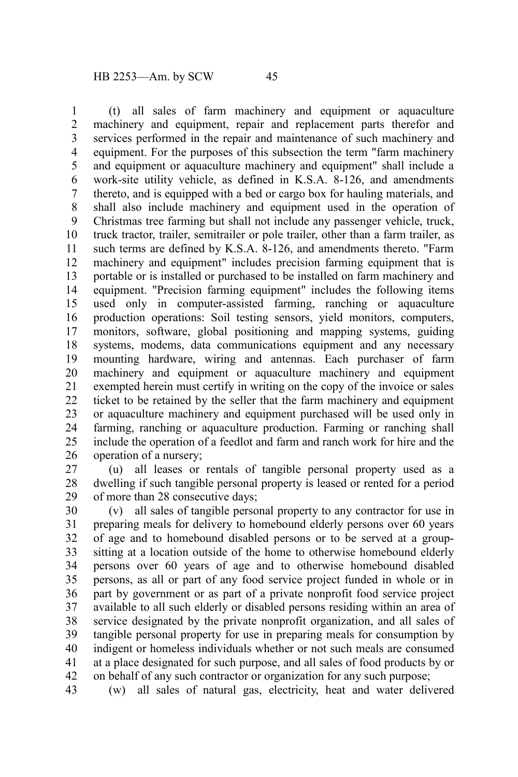(t) all sales of farm machinery and equipment or aquaculture machinery and equipment, repair and replacement parts therefor and services performed in the repair and maintenance of such machinery and equipment. For the purposes of this subsection the term "farm machinery and equipment or aquaculture machinery and equipment" shall include a work-site utility vehicle, as defined in K.S.A. 8-126, and amendments thereto, and is equipped with a bed or cargo box for hauling materials, and shall also include machinery and equipment used in the operation of Christmas tree farming but shall not include any passenger vehicle, truck, truck tractor, trailer, semitrailer or pole trailer, other than a farm trailer, as such terms are defined by K.S.A. 8-126, and amendments thereto. "Farm machinery and equipment" includes precision farming equipment that is portable or is installed or purchased to be installed on farm machinery and equipment. "Precision farming equipment" includes the following items used only in computer-assisted farming, ranching or aquaculture production operations: Soil testing sensors, yield monitors, computers, monitors, software, global positioning and mapping systems, guiding systems, modems, data communications equipment and any necessary mounting hardware, wiring and antennas. Each purchaser of farm machinery and equipment or aquaculture machinery and equipment exempted herein must certify in writing on the copy of the invoice or sales ticket to be retained by the seller that the farm machinery and equipment or aquaculture machinery and equipment purchased will be used only in farming, ranching or aquaculture production. Farming or ranching shall include the operation of a feedlot and farm and ranch work for hire and the operation of a nursery; 1 2 3 4 5 6 7 8 9 10 11 12 13 14 15 16 17 18 19 20 21 22 23 24 25 26

(u) all leases or rentals of tangible personal property used as a dwelling if such tangible personal property is leased or rented for a period of more than 28 consecutive days; 27 28 29

(v) all sales of tangible personal property to any contractor for use in preparing meals for delivery to homebound elderly persons over 60 years of age and to homebound disabled persons or to be served at a groupsitting at a location outside of the home to otherwise homebound elderly persons over 60 years of age and to otherwise homebound disabled persons, as all or part of any food service project funded in whole or in part by government or as part of a private nonprofit food service project available to all such elderly or disabled persons residing within an area of service designated by the private nonprofit organization, and all sales of tangible personal property for use in preparing meals for consumption by indigent or homeless individuals whether or not such meals are consumed at a place designated for such purpose, and all sales of food products by or on behalf of any such contractor or organization for any such purpose; 30 31 32 33 34 35 36 37 38 39 40 41 42

(w) all sales of natural gas, electricity, heat and water delivered 43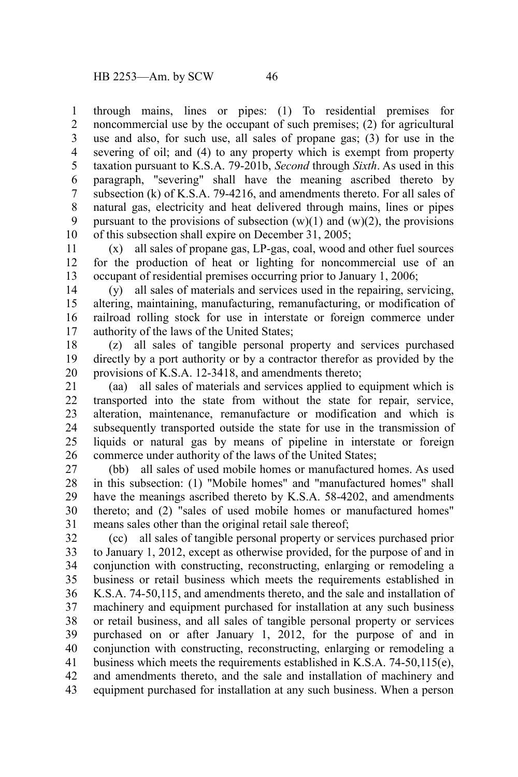through mains, lines or pipes: (1) To residential premises for noncommercial use by the occupant of such premises; (2) for agricultural use and also, for such use, all sales of propane gas; (3) for use in the severing of oil; and (4) to any property which is exempt from property taxation pursuant to K.S.A. 79-201b, *Second* through *Sixth*. As used in this paragraph, "severing" shall have the meaning ascribed thereto by subsection (k) of K.S.A. 79-4216, and amendments thereto. For all sales of natural gas, electricity and heat delivered through mains, lines or pipes pursuant to the provisions of subsection  $(w)(1)$  and  $(w)(2)$ , the provisions of this subsection shall expire on December 31, 2005; 1 2 3 4 5 6 7 8 9 10

(x) all sales of propane gas, LP-gas, coal, wood and other fuel sources for the production of heat or lighting for noncommercial use of an occupant of residential premises occurring prior to January 1, 2006; 11 12 13

(y) all sales of materials and services used in the repairing, servicing, altering, maintaining, manufacturing, remanufacturing, or modification of railroad rolling stock for use in interstate or foreign commerce under authority of the laws of the United States; 14 15 16 17

(z) all sales of tangible personal property and services purchased directly by a port authority or by a contractor therefor as provided by the provisions of K.S.A. 12-3418, and amendments thereto; 18 19 20

(aa) all sales of materials and services applied to equipment which is transported into the state from without the state for repair, service, alteration, maintenance, remanufacture or modification and which is subsequently transported outside the state for use in the transmission of liquids or natural gas by means of pipeline in interstate or foreign commerce under authority of the laws of the United States; 21 22 23 24 25 26

(bb) all sales of used mobile homes or manufactured homes. As used in this subsection: (1) "Mobile homes" and "manufactured homes" shall have the meanings ascribed thereto by K.S.A. 58-4202, and amendments thereto; and (2) "sales of used mobile homes or manufactured homes" means sales other than the original retail sale thereof; 27 28 29 30 31

(cc) all sales of tangible personal property or services purchased prior to January 1, 2012, except as otherwise provided, for the purpose of and in conjunction with constructing, reconstructing, enlarging or remodeling a business or retail business which meets the requirements established in K.S.A. 74-50,115, and amendments thereto, and the sale and installation of machinery and equipment purchased for installation at any such business or retail business, and all sales of tangible personal property or services purchased on or after January 1, 2012, for the purpose of and in conjunction with constructing, reconstructing, enlarging or remodeling a business which meets the requirements established in K.S.A. 74-50,115(e), and amendments thereto, and the sale and installation of machinery and equipment purchased for installation at any such business. When a person 32 33 34 35 36 37 38 39 40 41 42 43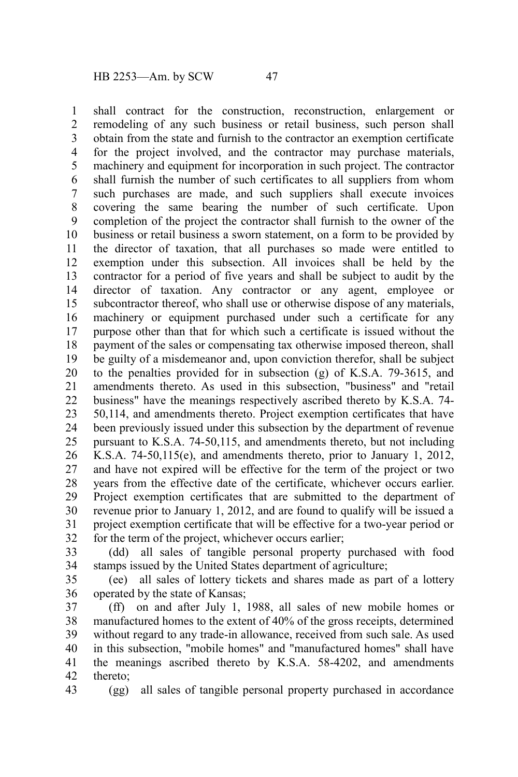shall contract for the construction, reconstruction, enlargement or remodeling of any such business or retail business, such person shall obtain from the state and furnish to the contractor an exemption certificate for the project involved, and the contractor may purchase materials, machinery and equipment for incorporation in such project. The contractor shall furnish the number of such certificates to all suppliers from whom such purchases are made, and such suppliers shall execute invoices covering the same bearing the number of such certificate. Upon completion of the project the contractor shall furnish to the owner of the business or retail business a sworn statement, on a form to be provided by the director of taxation, that all purchases so made were entitled to exemption under this subsection. All invoices shall be held by the contractor for a period of five years and shall be subject to audit by the director of taxation. Any contractor or any agent, employee or subcontractor thereof, who shall use or otherwise dispose of any materials, machinery or equipment purchased under such a certificate for any purpose other than that for which such a certificate is issued without the payment of the sales or compensating tax otherwise imposed thereon, shall be guilty of a misdemeanor and, upon conviction therefor, shall be subject to the penalties provided for in subsection (g) of K.S.A. 79-3615, and amendments thereto. As used in this subsection, "business" and "retail business" have the meanings respectively ascribed thereto by K.S.A. 74- 50,114, and amendments thereto. Project exemption certificates that have been previously issued under this subsection by the department of revenue pursuant to K.S.A. 74-50,115, and amendments thereto, but not including K.S.A. 74-50,115(e), and amendments thereto, prior to January 1, 2012, and have not expired will be effective for the term of the project or two years from the effective date of the certificate, whichever occurs earlier. Project exemption certificates that are submitted to the department of revenue prior to January 1, 2012, and are found to qualify will be issued a project exemption certificate that will be effective for a two-year period or for the term of the project, whichever occurs earlier; 1 2 3 4 5 6 7 8 9 10 11 12 13 14 15 16 17 18 19 20 21 22 23 24 25 26 27 28 29 30 31 32

(dd) all sales of tangible personal property purchased with food stamps issued by the United States department of agriculture; 33 34

(ee) all sales of lottery tickets and shares made as part of a lottery operated by the state of Kansas; 35 36

(ff) on and after July 1, 1988, all sales of new mobile homes or manufactured homes to the extent of 40% of the gross receipts, determined without regard to any trade-in allowance, received from such sale. As used in this subsection, "mobile homes" and "manufactured homes" shall have the meanings ascribed thereto by K.S.A. 58-4202, and amendments thereto; 37 38 39 40 41 42

43

(gg) all sales of tangible personal property purchased in accordance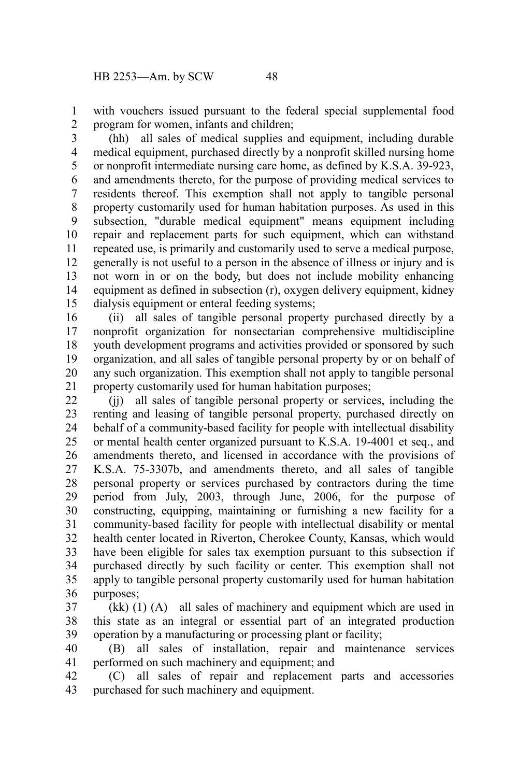with vouchers issued pursuant to the federal special supplemental food program for women, infants and children; 1 2

(hh) all sales of medical supplies and equipment, including durable medical equipment, purchased directly by a nonprofit skilled nursing home or nonprofit intermediate nursing care home, as defined by K.S.A. 39-923, and amendments thereto, for the purpose of providing medical services to residents thereof. This exemption shall not apply to tangible personal property customarily used for human habitation purposes. As used in this subsection, "durable medical equipment" means equipment including repair and replacement parts for such equipment, which can withstand repeated use, is primarily and customarily used to serve a medical purpose, generally is not useful to a person in the absence of illness or injury and is not worn in or on the body, but does not include mobility enhancing equipment as defined in subsection (r), oxygen delivery equipment, kidney dialysis equipment or enteral feeding systems; 3 4 5 6 7 8 9 10 11 12 13 14 15

(ii) all sales of tangible personal property purchased directly by a nonprofit organization for nonsectarian comprehensive multidiscipline youth development programs and activities provided or sponsored by such organization, and all sales of tangible personal property by or on behalf of any such organization. This exemption shall not apply to tangible personal property customarily used for human habitation purposes; 16 17 18 19 20 21

(jj) all sales of tangible personal property or services, including the renting and leasing of tangible personal property, purchased directly on behalf of a community-based facility for people with intellectual disability or mental health center organized pursuant to K.S.A. 19-4001 et seq., and amendments thereto, and licensed in accordance with the provisions of K.S.A. 75-3307b, and amendments thereto, and all sales of tangible personal property or services purchased by contractors during the time period from July, 2003, through June, 2006, for the purpose of constructing, equipping, maintaining or furnishing a new facility for a community-based facility for people with intellectual disability or mental health center located in Riverton, Cherokee County, Kansas, which would have been eligible for sales tax exemption pursuant to this subsection if purchased directly by such facility or center. This exemption shall not apply to tangible personal property customarily used for human habitation purposes; 22 23 24 25 26 27 28 29 30 31 32 33 34 35 36

(kk) (1) (A) all sales of machinery and equipment which are used in this state as an integral or essential part of an integrated production operation by a manufacturing or processing plant or facility; 37 38 39

(B) all sales of installation, repair and maintenance services performed on such machinery and equipment; and 40 41

(C) all sales of repair and replacement parts and accessories purchased for such machinery and equipment. 42 43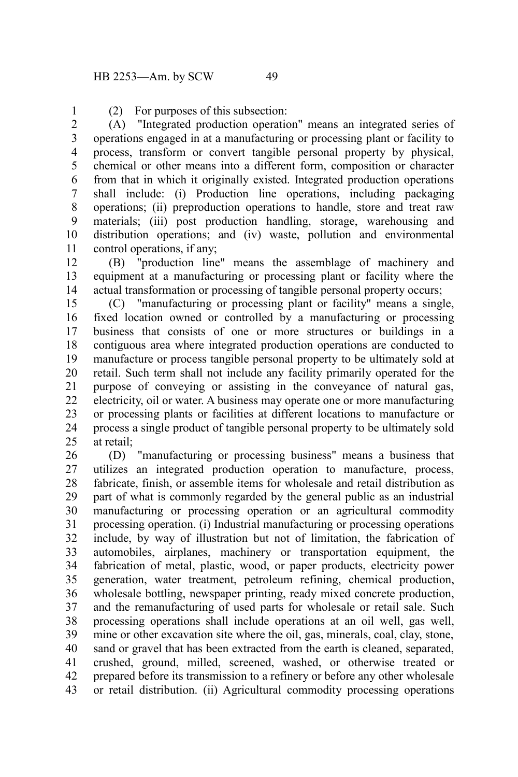(2) For purposes of this subsection:

1

(A) "Integrated production operation" means an integrated series of operations engaged in at a manufacturing or processing plant or facility to process, transform or convert tangible personal property by physical, chemical or other means into a different form, composition or character from that in which it originally existed. Integrated production operations shall include: (i) Production line operations, including packaging operations; (ii) preproduction operations to handle, store and treat raw materials; (iii) post production handling, storage, warehousing and distribution operations; and (iv) waste, pollution and environmental control operations, if any; 2 3 4 5 6 7 8 9 10 11

(B) "production line" means the assemblage of machinery and equipment at a manufacturing or processing plant or facility where the actual transformation or processing of tangible personal property occurs; 12 13 14

(C) "manufacturing or processing plant or facility" means a single, fixed location owned or controlled by a manufacturing or processing business that consists of one or more structures or buildings in a contiguous area where integrated production operations are conducted to manufacture or process tangible personal property to be ultimately sold at retail. Such term shall not include any facility primarily operated for the purpose of conveying or assisting in the conveyance of natural gas, electricity, oil or water. A business may operate one or more manufacturing or processing plants or facilities at different locations to manufacture or process a single product of tangible personal property to be ultimately sold at retail; 15 16 17 18 19 20 21 22 23 24 25

(D) "manufacturing or processing business" means a business that utilizes an integrated production operation to manufacture, process, fabricate, finish, or assemble items for wholesale and retail distribution as part of what is commonly regarded by the general public as an industrial manufacturing or processing operation or an agricultural commodity processing operation. (i) Industrial manufacturing or processing operations include, by way of illustration but not of limitation, the fabrication of automobiles, airplanes, machinery or transportation equipment, the fabrication of metal, plastic, wood, or paper products, electricity power generation, water treatment, petroleum refining, chemical production, wholesale bottling, newspaper printing, ready mixed concrete production, and the remanufacturing of used parts for wholesale or retail sale. Such processing operations shall include operations at an oil well, gas well, mine or other excavation site where the oil, gas, minerals, coal, clay, stone, sand or gravel that has been extracted from the earth is cleaned, separated, crushed, ground, milled, screened, washed, or otherwise treated or prepared before its transmission to a refinery or before any other wholesale or retail distribution. (ii) Agricultural commodity processing operations 26 27 28 29 30 31 32 33 34 35 36 37 38 39 40 41 42 43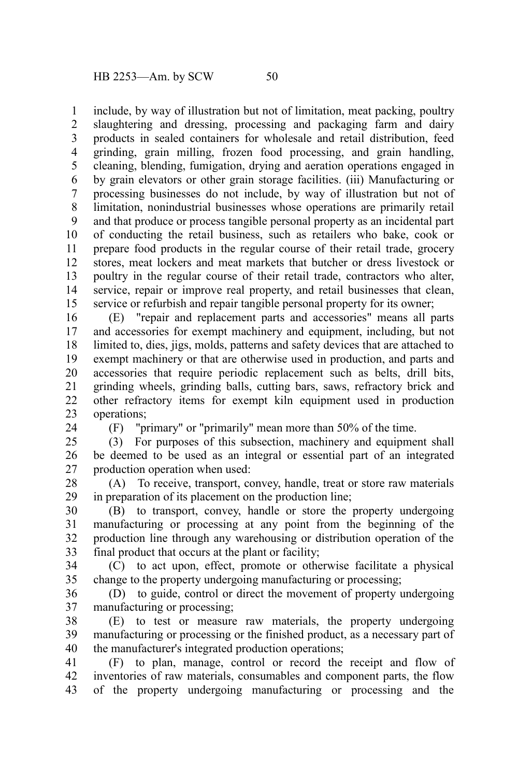include, by way of illustration but not of limitation, meat packing, poultry slaughtering and dressing, processing and packaging farm and dairy products in sealed containers for wholesale and retail distribution, feed grinding, grain milling, frozen food processing, and grain handling, cleaning, blending, fumigation, drying and aeration operations engaged in by grain elevators or other grain storage facilities. (iii) Manufacturing or processing businesses do not include, by way of illustration but not of limitation, nonindustrial businesses whose operations are primarily retail and that produce or process tangible personal property as an incidental part of conducting the retail business, such as retailers who bake, cook or prepare food products in the regular course of their retail trade, grocery stores, meat lockers and meat markets that butcher or dress livestock or poultry in the regular course of their retail trade, contractors who alter, service, repair or improve real property, and retail businesses that clean, service or refurbish and repair tangible personal property for its owner; 1 2 3 4 5 6 7 8 9 10 11 12 13 14 15

(E) "repair and replacement parts and accessories" means all parts and accessories for exempt machinery and equipment, including, but not limited to, dies, jigs, molds, patterns and safety devices that are attached to exempt machinery or that are otherwise used in production, and parts and accessories that require periodic replacement such as belts, drill bits, grinding wheels, grinding balls, cutting bars, saws, refractory brick and other refractory items for exempt kiln equipment used in production operations; 16 17 18 19 20 21 22 23

24

(F) "primary" or "primarily" mean more than 50% of the time.

(3) For purposes of this subsection, machinery and equipment shall be deemed to be used as an integral or essential part of an integrated production operation when used: 25 26 27

(A) To receive, transport, convey, handle, treat or store raw materials in preparation of its placement on the production line; 28 29

(B) to transport, convey, handle or store the property undergoing manufacturing or processing at any point from the beginning of the production line through any warehousing or distribution operation of the final product that occurs at the plant or facility; 30 31 32 33

(C) to act upon, effect, promote or otherwise facilitate a physical change to the property undergoing manufacturing or processing; 34 35

(D) to guide, control or direct the movement of property undergoing manufacturing or processing; 36 37

(E) to test or measure raw materials, the property undergoing manufacturing or processing or the finished product, as a necessary part of the manufacturer's integrated production operations; 38 39 40

(F) to plan, manage, control or record the receipt and flow of inventories of raw materials, consumables and component parts, the flow of the property undergoing manufacturing or processing and the 41 42 43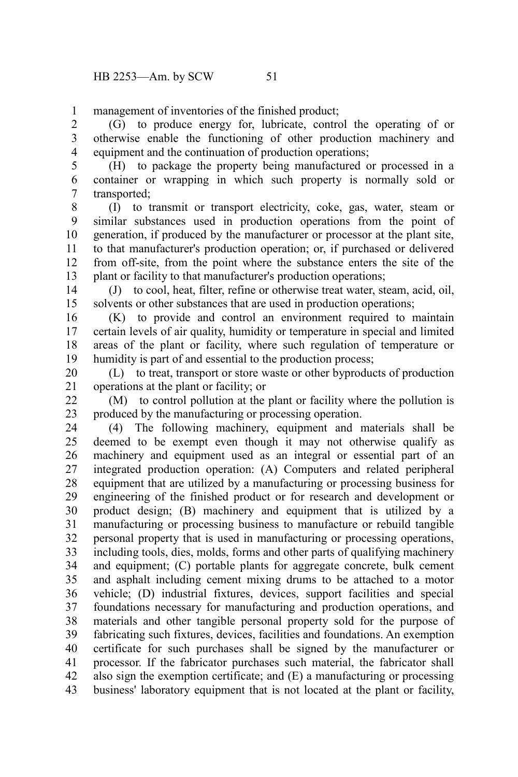management of inventories of the finished product; 1

(G) to produce energy for, lubricate, control the operating of or otherwise enable the functioning of other production machinery and equipment and the continuation of production operations; 2 3 4

(H) to package the property being manufactured or processed in a container or wrapping in which such property is normally sold or transported; 5 6 7

(I) to transmit or transport electricity, coke, gas, water, steam or similar substances used in production operations from the point of generation, if produced by the manufacturer or processor at the plant site, to that manufacturer's production operation; or, if purchased or delivered from off-site, from the point where the substance enters the site of the plant or facility to that manufacturer's production operations; 8 9 10 11 12 13

(J) to cool, heat, filter, refine or otherwise treat water, steam, acid, oil, solvents or other substances that are used in production operations; 14 15

(K) to provide and control an environment required to maintain certain levels of air quality, humidity or temperature in special and limited areas of the plant or facility, where such regulation of temperature or humidity is part of and essential to the production process; 16 17 18 19

(L) to treat, transport or store waste or other byproducts of production operations at the plant or facility; or 20 21

(M) to control pollution at the plant or facility where the pollution is produced by the manufacturing or processing operation. 22 23

(4) The following machinery, equipment and materials shall be deemed to be exempt even though it may not otherwise qualify as machinery and equipment used as an integral or essential part of an integrated production operation: (A) Computers and related peripheral equipment that are utilized by a manufacturing or processing business for engineering of the finished product or for research and development or product design; (B) machinery and equipment that is utilized by a manufacturing or processing business to manufacture or rebuild tangible personal property that is used in manufacturing or processing operations, including tools, dies, molds, forms and other parts of qualifying machinery and equipment; (C) portable plants for aggregate concrete, bulk cement and asphalt including cement mixing drums to be attached to a motor vehicle; (D) industrial fixtures, devices, support facilities and special foundations necessary for manufacturing and production operations, and materials and other tangible personal property sold for the purpose of fabricating such fixtures, devices, facilities and foundations. An exemption certificate for such purchases shall be signed by the manufacturer or processor. If the fabricator purchases such material, the fabricator shall also sign the exemption certificate; and (E) a manufacturing or processing business' laboratory equipment that is not located at the plant or facility, 24 25 26 27 28 29 30 31 32 33 34 35 36 37 38 39 40 41 42 43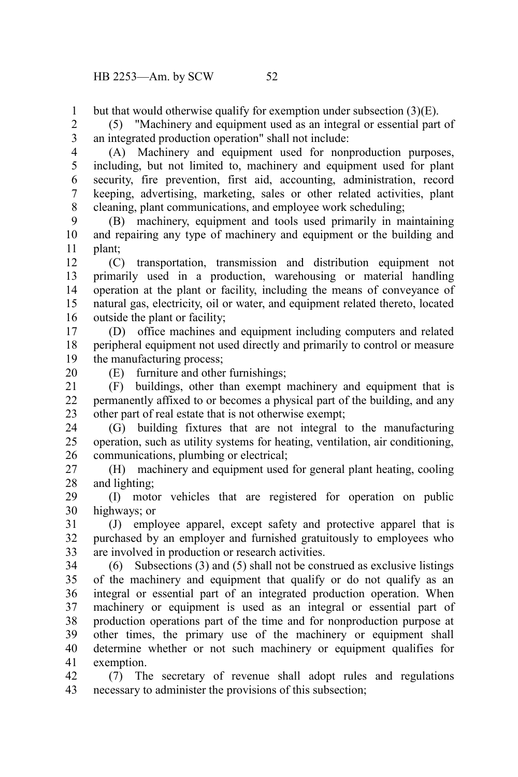but that would otherwise qualify for exemption under subsection (3)(E). 1

(5) "Machinery and equipment used as an integral or essential part of an integrated production operation" shall not include: 2 3

(A) Machinery and equipment used for nonproduction purposes, including, but not limited to, machinery and equipment used for plant security, fire prevention, first aid, accounting, administration, record keeping, advertising, marketing, sales or other related activities, plant cleaning, plant communications, and employee work scheduling; 4 5 6 7 8

(B) machinery, equipment and tools used primarily in maintaining and repairing any type of machinery and equipment or the building and plant; 9 10 11

(C) transportation, transmission and distribution equipment not primarily used in a production, warehousing or material handling operation at the plant or facility, including the means of conveyance of natural gas, electricity, oil or water, and equipment related thereto, located outside the plant or facility; 12 13 14 15 16

(D) office machines and equipment including computers and related peripheral equipment not used directly and primarily to control or measure the manufacturing process; 17 18 19

20

(E) furniture and other furnishings;

(F) buildings, other than exempt machinery and equipment that is permanently affixed to or becomes a physical part of the building, and any other part of real estate that is not otherwise exempt; 21 22 23

(G) building fixtures that are not integral to the manufacturing operation, such as utility systems for heating, ventilation, air conditioning, communications, plumbing or electrical; 24 25 26

(H) machinery and equipment used for general plant heating, cooling and lighting; 27 28

(I) motor vehicles that are registered for operation on public highways; or 29 30

(J) employee apparel, except safety and protective apparel that is purchased by an employer and furnished gratuitously to employees who are involved in production or research activities. 31 32 33

(6) Subsections (3) and (5) shall not be construed as exclusive listings of the machinery and equipment that qualify or do not qualify as an integral or essential part of an integrated production operation. When machinery or equipment is used as an integral or essential part of production operations part of the time and for nonproduction purpose at other times, the primary use of the machinery or equipment shall determine whether or not such machinery or equipment qualifies for exemption. 34 35 36 37 38 39 40 41

(7) The secretary of revenue shall adopt rules and regulations necessary to administer the provisions of this subsection; 42 43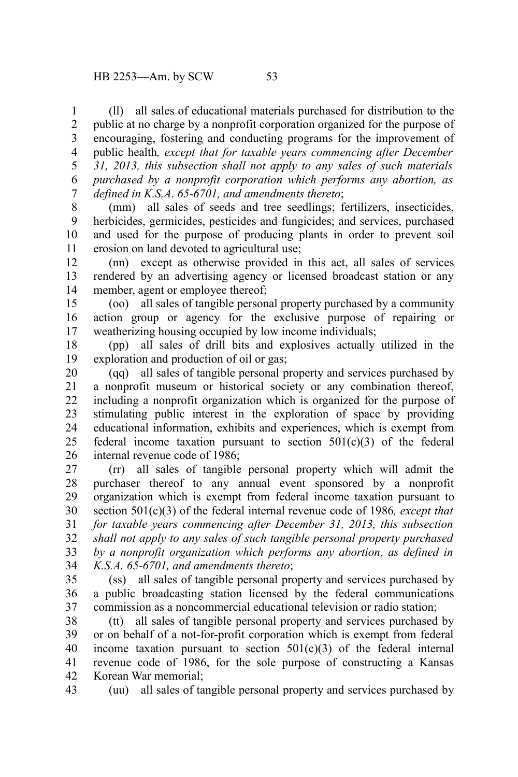(ll) all sales of educational materials purchased for distribution to the public at no charge by a nonprofit corporation organized for the purpose of encouraging, fostering and conducting programs for the improvement of public health*, except that for taxable years commencing after December 31, 2013, this subsection shall not apply to any sales of such materials purchased by a nonprofit corporation which performs any abortion, as defined in K.S.A. 65-6701, and amendments thereto*; 1 2 3 4 5 6 7

(mm) all sales of seeds and tree seedlings; fertilizers, insecticides, herbicides, germicides, pesticides and fungicides; and services, purchased and used for the purpose of producing plants in order to prevent soil erosion on land devoted to agricultural use; 8 9 10 11

(nn) except as otherwise provided in this act, all sales of services rendered by an advertising agency or licensed broadcast station or any member, agent or employee thereof; 12 13 14

(oo) all sales of tangible personal property purchased by a community action group or agency for the exclusive purpose of repairing or weatherizing housing occupied by low income individuals; 15 16 17

(pp) all sales of drill bits and explosives actually utilized in the exploration and production of oil or gas; 18 19

(qq) all sales of tangible personal property and services purchased by a nonprofit museum or historical society or any combination thereof, including a nonprofit organization which is organized for the purpose of stimulating public interest in the exploration of space by providing educational information, exhibits and experiences, which is exempt from federal income taxation pursuant to section 501(c)(3) of the federal internal revenue code of 1986; 20 21 22 23 24 25 26

(rr) all sales of tangible personal property which will admit the purchaser thereof to any annual event sponsored by a nonprofit organization which is exempt from federal income taxation pursuant to section 501(c)(3) of the federal internal revenue code of 1986*, except that for taxable years commencing after December 31, 2013, this subsection shall not apply to any sales of such tangible personal property purchased by a nonprofit organization which performs any abortion, as defined in K.S.A. 65-6701, and amendments thereto*; 27 28 29 30 31 32 33 34

(ss) all sales of tangible personal property and services purchased by a public broadcasting station licensed by the federal communications commission as a noncommercial educational television or radio station; 35 36 37

(tt) all sales of tangible personal property and services purchased by or on behalf of a not-for-profit corporation which is exempt from federal income taxation pursuant to section  $501(c)(3)$  of the federal internal revenue code of 1986, for the sole purpose of constructing a Kansas Korean War memorial; 38 39 40 41 42

(uu) all sales of tangible personal property and services purchased by 43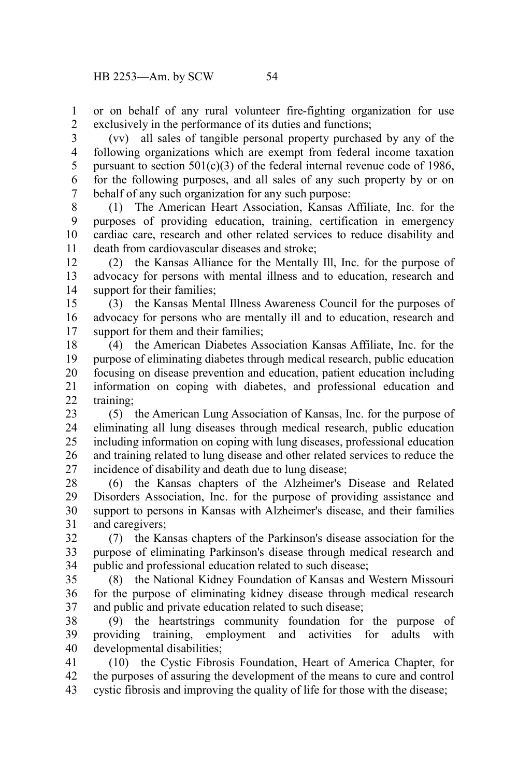or on behalf of any rural volunteer fire-fighting organization for use exclusively in the performance of its duties and functions; 1 2

(vv) all sales of tangible personal property purchased by any of the following organizations which are exempt from federal income taxation pursuant to section  $501(c)(3)$  of the federal internal revenue code of 1986, for the following purposes, and all sales of any such property by or on behalf of any such organization for any such purpose: 3 4 5 6 7

(1) The American Heart Association, Kansas Affiliate, Inc. for the purposes of providing education, training, certification in emergency cardiac care, research and other related services to reduce disability and death from cardiovascular diseases and stroke; 8 9 10 11

(2) the Kansas Alliance for the Mentally Ill, Inc. for the purpose of advocacy for persons with mental illness and to education, research and support for their families; 12 13 14

(3) the Kansas Mental Illness Awareness Council for the purposes of advocacy for persons who are mentally ill and to education, research and support for them and their families: 15 16 17

(4) the American Diabetes Association Kansas Affiliate, Inc. for the purpose of eliminating diabetes through medical research, public education focusing on disease prevention and education, patient education including information on coping with diabetes, and professional education and training; 18 19 20 21  $22$ 

(5) the American Lung Association of Kansas, Inc. for the purpose of eliminating all lung diseases through medical research, public education including information on coping with lung diseases, professional education and training related to lung disease and other related services to reduce the incidence of disability and death due to lung disease; 23 24 25 26 27

(6) the Kansas chapters of the Alzheimer's Disease and Related Disorders Association, Inc. for the purpose of providing assistance and support to persons in Kansas with Alzheimer's disease, and their families and caregivers; 28 29 30 31

(7) the Kansas chapters of the Parkinson's disease association for the purpose of eliminating Parkinson's disease through medical research and public and professional education related to such disease; 32 33 34

(8) the National Kidney Foundation of Kansas and Western Missouri for the purpose of eliminating kidney disease through medical research and public and private education related to such disease; 35 36 37

(9) the heartstrings community foundation for the purpose of providing training, employment and activities for adults with developmental disabilities; 38 39 40

(10) the Cystic Fibrosis Foundation, Heart of America Chapter, for the purposes of assuring the development of the means to cure and control cystic fibrosis and improving the quality of life for those with the disease; 41 42 43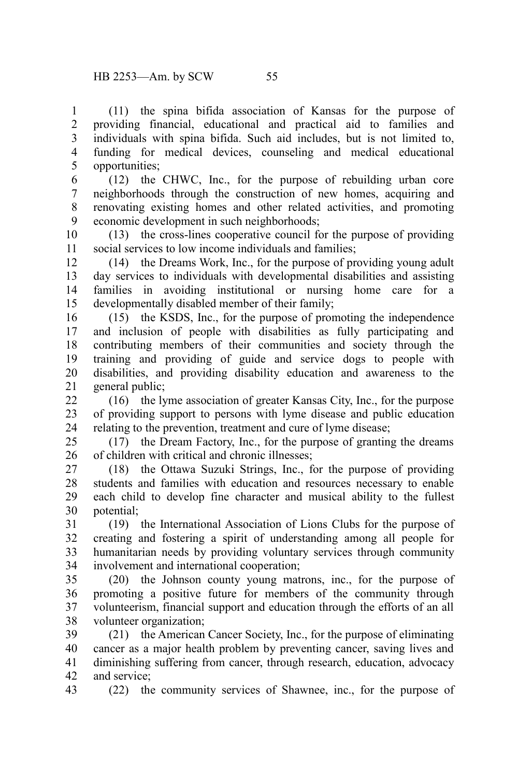(11) the spina bifida association of Kansas for the purpose of providing financial, educational and practical aid to families and individuals with spina bifida. Such aid includes, but is not limited to, funding for medical devices, counseling and medical educational opportunities; 1 2 3 4 5

(12) the CHWC, Inc., for the purpose of rebuilding urban core neighborhoods through the construction of new homes, acquiring and renovating existing homes and other related activities, and promoting economic development in such neighborhoods; 6 7 8 9

(13) the cross-lines cooperative council for the purpose of providing social services to low income individuals and families; 10 11

(14) the Dreams Work, Inc., for the purpose of providing young adult day services to individuals with developmental disabilities and assisting families in avoiding institutional or nursing home care for a developmentally disabled member of their family; 12 13 14 15

(15) the KSDS, Inc., for the purpose of promoting the independence and inclusion of people with disabilities as fully participating and contributing members of their communities and society through the training and providing of guide and service dogs to people with disabilities, and providing disability education and awareness to the general public; 16 17 18 19 20 21

(16) the lyme association of greater Kansas City, Inc., for the purpose of providing support to persons with lyme disease and public education relating to the prevention, treatment and cure of lyme disease; 22 23 24

(17) the Dream Factory, Inc., for the purpose of granting the dreams of children with critical and chronic illnesses; 25 26

(18) the Ottawa Suzuki Strings, Inc., for the purpose of providing students and families with education and resources necessary to enable each child to develop fine character and musical ability to the fullest potential; 27 28 29 30

(19) the International Association of Lions Clubs for the purpose of creating and fostering a spirit of understanding among all people for humanitarian needs by providing voluntary services through community involvement and international cooperation; 31 32 33 34

(20) the Johnson county young matrons, inc., for the purpose of promoting a positive future for members of the community through volunteerism, financial support and education through the efforts of an all volunteer organization; 35 36 37 38

(21) the American Cancer Society, Inc., for the purpose of eliminating cancer as a major health problem by preventing cancer, saving lives and diminishing suffering from cancer, through research, education, advocacy and service; 39 40 41 42

(22) the community services of Shawnee, inc., for the purpose of 43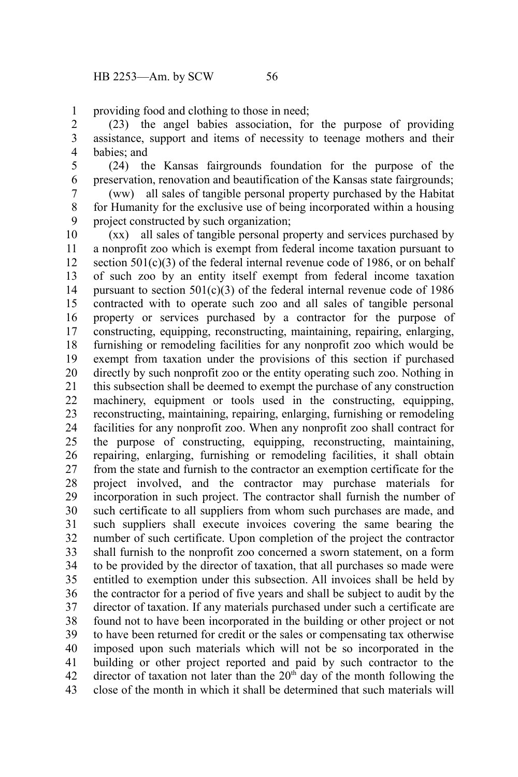providing food and clothing to those in need; 1

(23) the angel babies association, for the purpose of providing assistance, support and items of necessity to teenage mothers and their babies; and 2 3 4

(24) the Kansas fairgrounds foundation for the purpose of the preservation, renovation and beautification of the Kansas state fairgrounds; 5 6

(ww) all sales of tangible personal property purchased by the Habitat for Humanity for the exclusive use of being incorporated within a housing project constructed by such organization; 7 8 9

(xx) all sales of tangible personal property and services purchased by a nonprofit zoo which is exempt from federal income taxation pursuant to section  $501(c)(3)$  of the federal internal revenue code of 1986, or on behalf of such zoo by an entity itself exempt from federal income taxation pursuant to section  $501(c)(3)$  of the federal internal revenue code of 1986 contracted with to operate such zoo and all sales of tangible personal property or services purchased by a contractor for the purpose of constructing, equipping, reconstructing, maintaining, repairing, enlarging, furnishing or remodeling facilities for any nonprofit zoo which would be exempt from taxation under the provisions of this section if purchased directly by such nonprofit zoo or the entity operating such zoo. Nothing in this subsection shall be deemed to exempt the purchase of any construction machinery, equipment or tools used in the constructing, equipping, reconstructing, maintaining, repairing, enlarging, furnishing or remodeling facilities for any nonprofit zoo. When any nonprofit zoo shall contract for the purpose of constructing, equipping, reconstructing, maintaining, repairing, enlarging, furnishing or remodeling facilities, it shall obtain from the state and furnish to the contractor an exemption certificate for the project involved, and the contractor may purchase materials for incorporation in such project. The contractor shall furnish the number of such certificate to all suppliers from whom such purchases are made, and such suppliers shall execute invoices covering the same bearing the number of such certificate. Upon completion of the project the contractor shall furnish to the nonprofit zoo concerned a sworn statement, on a form to be provided by the director of taxation, that all purchases so made were entitled to exemption under this subsection. All invoices shall be held by the contractor for a period of five years and shall be subject to audit by the director of taxation. If any materials purchased under such a certificate are found not to have been incorporated in the building or other project or not to have been returned for credit or the sales or compensating tax otherwise imposed upon such materials which will not be so incorporated in the building or other project reported and paid by such contractor to the director of taxation not later than the  $20<sup>th</sup>$  day of the month following the close of the month in which it shall be determined that such materials will 10 11 12 13 14 15 16 17 18 19 20 21 22 23 24 25 26 27 28 29 30 31 32 33 34 35 36 37 38 39 40 41 42 43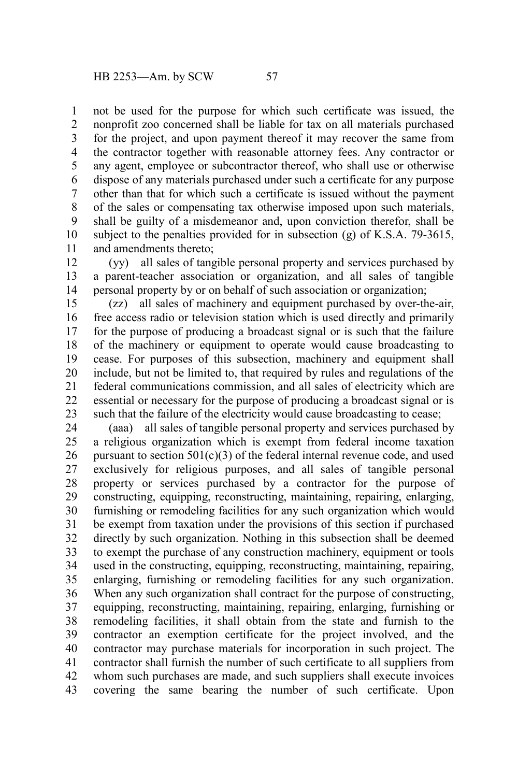not be used for the purpose for which such certificate was issued, the nonprofit zoo concerned shall be liable for tax on all materials purchased for the project, and upon payment thereof it may recover the same from the contractor together with reasonable attorney fees. Any contractor or any agent, employee or subcontractor thereof, who shall use or otherwise dispose of any materials purchased under such a certificate for any purpose other than that for which such a certificate is issued without the payment of the sales or compensating tax otherwise imposed upon such materials, shall be guilty of a misdemeanor and, upon conviction therefor, shall be subject to the penalties provided for in subsection (g) of K.S.A. 79-3615, and amendments thereto; 1 2 3 4 5 6 7 8 9 10 11

(yy) all sales of tangible personal property and services purchased by a parent-teacher association or organization, and all sales of tangible personal property by or on behalf of such association or organization; 12 13 14

(zz) all sales of machinery and equipment purchased by over-the-air, free access radio or television station which is used directly and primarily for the purpose of producing a broadcast signal or is such that the failure of the machinery or equipment to operate would cause broadcasting to cease. For purposes of this subsection, machinery and equipment shall include, but not be limited to, that required by rules and regulations of the federal communications commission, and all sales of electricity which are essential or necessary for the purpose of producing a broadcast signal or is such that the failure of the electricity would cause broadcasting to cease; 15 16 17 18 19 20 21 22 23

(aaa) all sales of tangible personal property and services purchased by a religious organization which is exempt from federal income taxation pursuant to section  $501(c)(3)$  of the federal internal revenue code, and used exclusively for religious purposes, and all sales of tangible personal property or services purchased by a contractor for the purpose of constructing, equipping, reconstructing, maintaining, repairing, enlarging, furnishing or remodeling facilities for any such organization which would be exempt from taxation under the provisions of this section if purchased directly by such organization. Nothing in this subsection shall be deemed to exempt the purchase of any construction machinery, equipment or tools used in the constructing, equipping, reconstructing, maintaining, repairing, enlarging, furnishing or remodeling facilities for any such organization. When any such organization shall contract for the purpose of constructing, equipping, reconstructing, maintaining, repairing, enlarging, furnishing or remodeling facilities, it shall obtain from the state and furnish to the contractor an exemption certificate for the project involved, and the contractor may purchase materials for incorporation in such project. The contractor shall furnish the number of such certificate to all suppliers from whom such purchases are made, and such suppliers shall execute invoices covering the same bearing the number of such certificate. Upon 24 25 26 27 28 29 30 31 32 33 34 35 36 37 38 39 40 41 42 43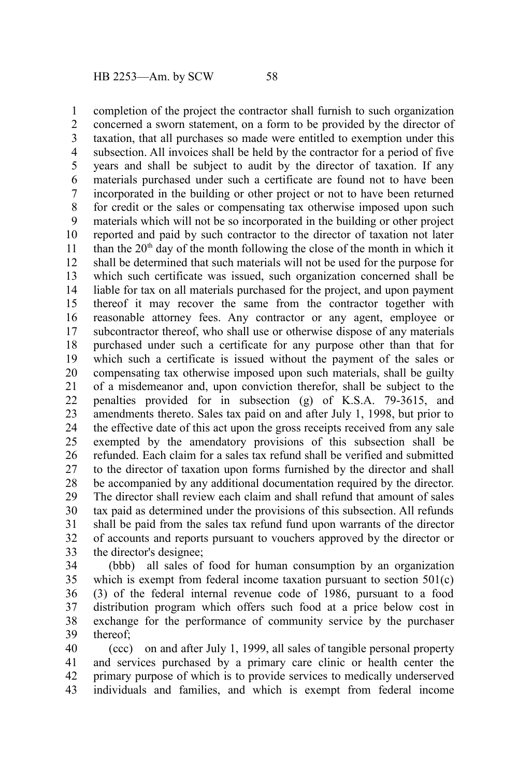completion of the project the contractor shall furnish to such organization concerned a sworn statement, on a form to be provided by the director of taxation, that all purchases so made were entitled to exemption under this subsection. All invoices shall be held by the contractor for a period of five years and shall be subject to audit by the director of taxation. If any materials purchased under such a certificate are found not to have been incorporated in the building or other project or not to have been returned for credit or the sales or compensating tax otherwise imposed upon such materials which will not be so incorporated in the building or other project reported and paid by such contractor to the director of taxation not later than the  $20<sup>th</sup>$  day of the month following the close of the month in which it shall be determined that such materials will not be used for the purpose for which such certificate was issued, such organization concerned shall be liable for tax on all materials purchased for the project, and upon payment thereof it may recover the same from the contractor together with reasonable attorney fees. Any contractor or any agent, employee or subcontractor thereof, who shall use or otherwise dispose of any materials purchased under such a certificate for any purpose other than that for which such a certificate is issued without the payment of the sales or compensating tax otherwise imposed upon such materials, shall be guilty of a misdemeanor and, upon conviction therefor, shall be subject to the penalties provided for in subsection (g) of K.S.A. 79-3615, and amendments thereto. Sales tax paid on and after July 1, 1998, but prior to the effective date of this act upon the gross receipts received from any sale exempted by the amendatory provisions of this subsection shall be refunded. Each claim for a sales tax refund shall be verified and submitted to the director of taxation upon forms furnished by the director and shall be accompanied by any additional documentation required by the director. The director shall review each claim and shall refund that amount of sales tax paid as determined under the provisions of this subsection. All refunds shall be paid from the sales tax refund fund upon warrants of the director of accounts and reports pursuant to vouchers approved by the director or the director's designee; 1 2 3 4 5 6 7 8 9 10 11 12 13 14 15 16 17 18 19 20 21 22 23 24 25 26 27 28 29 30 31 32 33

(bbb) all sales of food for human consumption by an organization which is exempt from federal income taxation pursuant to section  $501(c)$ (3) of the federal internal revenue code of 1986, pursuant to a food distribution program which offers such food at a price below cost in exchange for the performance of community service by the purchaser thereof; 34 35 36 37 38 39

(ccc) on and after July 1, 1999, all sales of tangible personal property and services purchased by a primary care clinic or health center the primary purpose of which is to provide services to medically underserved individuals and families, and which is exempt from federal income 40 41 42 43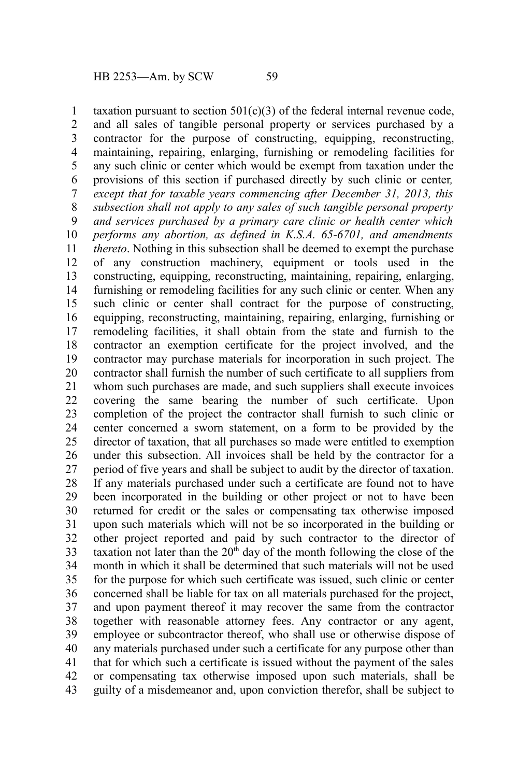taxation pursuant to section  $501(c)(3)$  of the federal internal revenue code, and all sales of tangible personal property or services purchased by a contractor for the purpose of constructing, equipping, reconstructing, maintaining, repairing, enlarging, furnishing or remodeling facilities for any such clinic or center which would be exempt from taxation under the provisions of this section if purchased directly by such clinic or center*, except that for taxable years commencing after December 31, 2013, this subsection shall not apply to any sales of such tangible personal property and services purchased by a primary care clinic or health center which performs any abortion, as defined in K.S.A. 65-6701, and amendments thereto*. Nothing in this subsection shall be deemed to exempt the purchase of any construction machinery, equipment or tools used in the constructing, equipping, reconstructing, maintaining, repairing, enlarging, furnishing or remodeling facilities for any such clinic or center. When any such clinic or center shall contract for the purpose of constructing, equipping, reconstructing, maintaining, repairing, enlarging, furnishing or remodeling facilities, it shall obtain from the state and furnish to the contractor an exemption certificate for the project involved, and the contractor may purchase materials for incorporation in such project. The contractor shall furnish the number of such certificate to all suppliers from whom such purchases are made, and such suppliers shall execute invoices covering the same bearing the number of such certificate. Upon completion of the project the contractor shall furnish to such clinic or center concerned a sworn statement, on a form to be provided by the director of taxation, that all purchases so made were entitled to exemption under this subsection. All invoices shall be held by the contractor for a period of five years and shall be subject to audit by the director of taxation. If any materials purchased under such a certificate are found not to have been incorporated in the building or other project or not to have been returned for credit or the sales or compensating tax otherwise imposed upon such materials which will not be so incorporated in the building or other project reported and paid by such contractor to the director of taxation not later than the  $20<sup>th</sup>$  day of the month following the close of the month in which it shall be determined that such materials will not be used for the purpose for which such certificate was issued, such clinic or center concerned shall be liable for tax on all materials purchased for the project, and upon payment thereof it may recover the same from the contractor together with reasonable attorney fees. Any contractor or any agent, employee or subcontractor thereof, who shall use or otherwise dispose of any materials purchased under such a certificate for any purpose other than that for which such a certificate is issued without the payment of the sales or compensating tax otherwise imposed upon such materials, shall be guilty of a misdemeanor and, upon conviction therefor, shall be subject to 1 2 3 4 5 6 7 8 9 10 11 12 13 14 15 16 17 18 19 20 21 22 23 24 25 26 27 28 29 30 31 32 33 34 35 36 37 38 39 40 41 42 43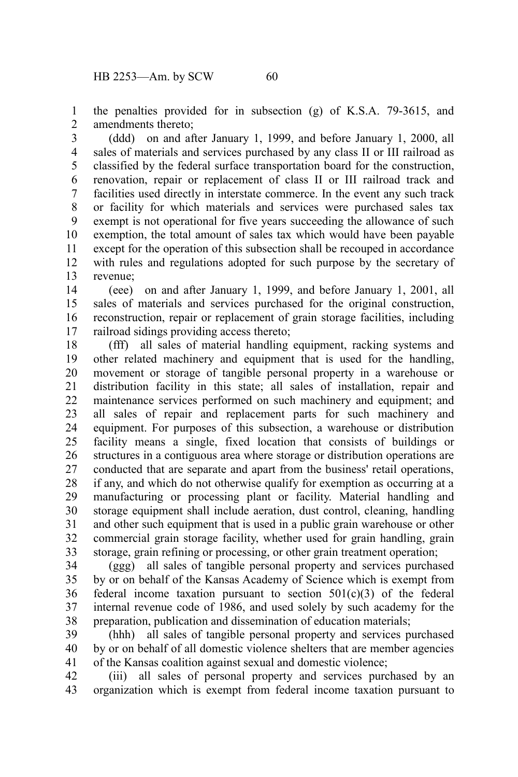the penalties provided for in subsection (g) of K.S.A. 79-3615, and amendments thereto; 1 2

(ddd) on and after January 1, 1999, and before January 1, 2000, all sales of materials and services purchased by any class II or III railroad as classified by the federal surface transportation board for the construction, renovation, repair or replacement of class II or III railroad track and facilities used directly in interstate commerce. In the event any such track or facility for which materials and services were purchased sales tax exempt is not operational for five years succeeding the allowance of such exemption, the total amount of sales tax which would have been payable except for the operation of this subsection shall be recouped in accordance with rules and regulations adopted for such purpose by the secretary of revenue; 3 4 5 6 7 8 9 10 11 12 13

(eee) on and after January 1, 1999, and before January 1, 2001, all sales of materials and services purchased for the original construction, reconstruction, repair or replacement of grain storage facilities, including railroad sidings providing access thereto; 14 15 16 17

(fff) all sales of material handling equipment, racking systems and other related machinery and equipment that is used for the handling, movement or storage of tangible personal property in a warehouse or distribution facility in this state; all sales of installation, repair and maintenance services performed on such machinery and equipment; and all sales of repair and replacement parts for such machinery and equipment. For purposes of this subsection, a warehouse or distribution facility means a single, fixed location that consists of buildings or structures in a contiguous area where storage or distribution operations are conducted that are separate and apart from the business' retail operations, if any, and which do not otherwise qualify for exemption as occurring at a manufacturing or processing plant or facility. Material handling and storage equipment shall include aeration, dust control, cleaning, handling and other such equipment that is used in a public grain warehouse or other commercial grain storage facility, whether used for grain handling, grain storage, grain refining or processing, or other grain treatment operation; 18 19 20 21 22 23 24 25 26 27 28 29 30 31 32 33

(ggg) all sales of tangible personal property and services purchased by or on behalf of the Kansas Academy of Science which is exempt from federal income taxation pursuant to section  $501(c)(3)$  of the federal internal revenue code of 1986, and used solely by such academy for the preparation, publication and dissemination of education materials; 34 35 36 37 38

(hhh) all sales of tangible personal property and services purchased by or on behalf of all domestic violence shelters that are member agencies of the Kansas coalition against sexual and domestic violence; 39 40 41

(iii) all sales of personal property and services purchased by an organization which is exempt from federal income taxation pursuant to 42 43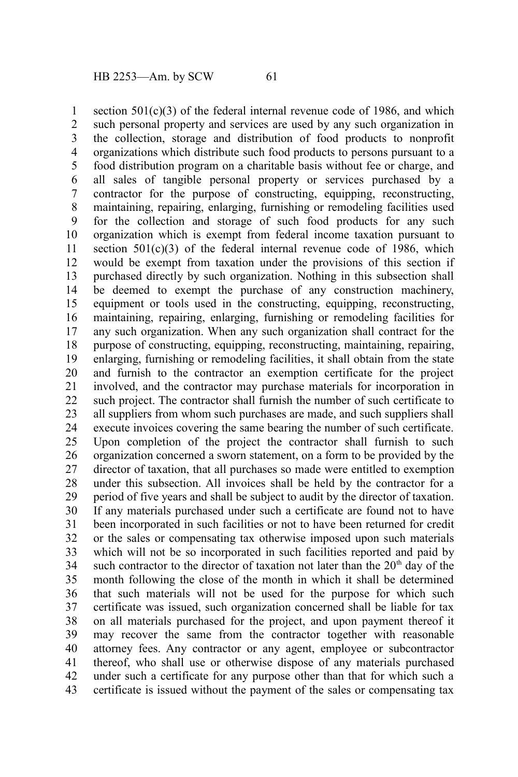section 501(c)(3) of the federal internal revenue code of 1986, and which such personal property and services are used by any such organization in the collection, storage and distribution of food products to nonprofit organizations which distribute such food products to persons pursuant to a food distribution program on a charitable basis without fee or charge, and all sales of tangible personal property or services purchased by a contractor for the purpose of constructing, equipping, reconstructing, maintaining, repairing, enlarging, furnishing or remodeling facilities used for the collection and storage of such food products for any such organization which is exempt from federal income taxation pursuant to section  $501(c)(3)$  of the federal internal revenue code of 1986, which would be exempt from taxation under the provisions of this section if purchased directly by such organization. Nothing in this subsection shall be deemed to exempt the purchase of any construction machinery, equipment or tools used in the constructing, equipping, reconstructing, maintaining, repairing, enlarging, furnishing or remodeling facilities for any such organization. When any such organization shall contract for the purpose of constructing, equipping, reconstructing, maintaining, repairing, enlarging, furnishing or remodeling facilities, it shall obtain from the state and furnish to the contractor an exemption certificate for the project involved, and the contractor may purchase materials for incorporation in such project. The contractor shall furnish the number of such certificate to all suppliers from whom such purchases are made, and such suppliers shall execute invoices covering the same bearing the number of such certificate. Upon completion of the project the contractor shall furnish to such organization concerned a sworn statement, on a form to be provided by the director of taxation, that all purchases so made were entitled to exemption under this subsection. All invoices shall be held by the contractor for a period of five years and shall be subject to audit by the director of taxation. If any materials purchased under such a certificate are found not to have been incorporated in such facilities or not to have been returned for credit or the sales or compensating tax otherwise imposed upon such materials which will not be so incorporated in such facilities reported and paid by such contractor to the director of taxation not later than the  $20<sup>th</sup>$  day of the month following the close of the month in which it shall be determined that such materials will not be used for the purpose for which such certificate was issued, such organization concerned shall be liable for tax on all materials purchased for the project, and upon payment thereof it may recover the same from the contractor together with reasonable attorney fees. Any contractor or any agent, employee or subcontractor thereof, who shall use or otherwise dispose of any materials purchased under such a certificate for any purpose other than that for which such a certificate is issued without the payment of the sales or compensating tax 1 2 3 4 5 6 7 8 9 10 11 12 13 14 15 16 17 18 19 20 21 22 23 24 25 26 27 28 29 30 31 32 33 34 35 36 37 38 39 40 41 42 43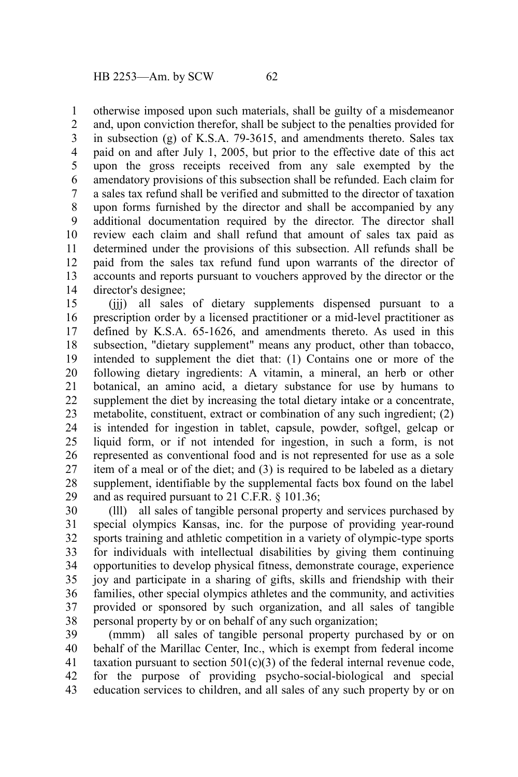otherwise imposed upon such materials, shall be guilty of a misdemeanor 1

and, upon conviction therefor, shall be subject to the penalties provided for in subsection (g) of K.S.A. 79-3615, and amendments thereto. Sales tax paid on and after July 1, 2005, but prior to the effective date of this act upon the gross receipts received from any sale exempted by the amendatory provisions of this subsection shall be refunded. Each claim for a sales tax refund shall be verified and submitted to the director of taxation upon forms furnished by the director and shall be accompanied by any additional documentation required by the director. The director shall review each claim and shall refund that amount of sales tax paid as determined under the provisions of this subsection. All refunds shall be paid from the sales tax refund fund upon warrants of the director of accounts and reports pursuant to vouchers approved by the director or the director's designee; 2 3 4 5 6 7 8 9 10 11 12 13 14

(jjj) all sales of dietary supplements dispensed pursuant to a prescription order by a licensed practitioner or a mid-level practitioner as defined by K.S.A. 65-1626, and amendments thereto. As used in this subsection, "dietary supplement" means any product, other than tobacco, intended to supplement the diet that: (1) Contains one or more of the following dietary ingredients: A vitamin, a mineral, an herb or other botanical, an amino acid, a dietary substance for use by humans to supplement the diet by increasing the total dietary intake or a concentrate, metabolite, constituent, extract or combination of any such ingredient; (2) is intended for ingestion in tablet, capsule, powder, softgel, gelcap or liquid form, or if not intended for ingestion, in such a form, is not represented as conventional food and is not represented for use as a sole item of a meal or of the diet; and (3) is required to be labeled as a dietary supplement, identifiable by the supplemental facts box found on the label and as required pursuant to 21 C.F.R. § 101.36; 15 16 17 18 19 20 21 22 23 24 25 26 27 28 29

(lll) all sales of tangible personal property and services purchased by special olympics Kansas, inc. for the purpose of providing year-round sports training and athletic competition in a variety of olympic-type sports for individuals with intellectual disabilities by giving them continuing opportunities to develop physical fitness, demonstrate courage, experience joy and participate in a sharing of gifts, skills and friendship with their families, other special olympics athletes and the community, and activities provided or sponsored by such organization, and all sales of tangible personal property by or on behalf of any such organization; 30 31 32 33 34 35 36 37 38

(mmm) all sales of tangible personal property purchased by or on behalf of the Marillac Center, Inc., which is exempt from federal income taxation pursuant to section  $501(c)(3)$  of the federal internal revenue code, for the purpose of providing psycho-social-biological and special education services to children, and all sales of any such property by or on 39 40 41 42 43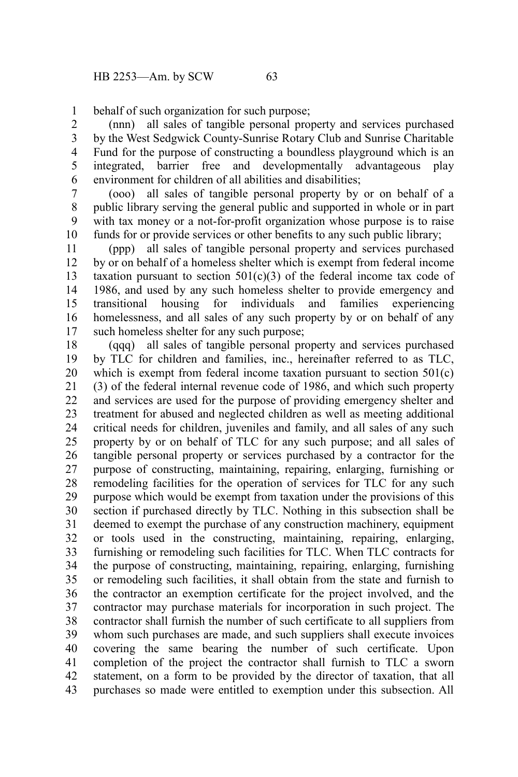behalf of such organization for such purpose; 1

(nnn) all sales of tangible personal property and services purchased by the West Sedgwick County-Sunrise Rotary Club and Sunrise Charitable Fund for the purpose of constructing a boundless playground which is an integrated, barrier free and developmentally advantageous play environment for children of all abilities and disabilities; 2 3 4 5 6

(ooo) all sales of tangible personal property by or on behalf of a public library serving the general public and supported in whole or in part with tax money or a not-for-profit organization whose purpose is to raise funds for or provide services or other benefits to any such public library; 7 8 9 10

(ppp) all sales of tangible personal property and services purchased by or on behalf of a homeless shelter which is exempt from federal income taxation pursuant to section  $501(c)(3)$  of the federal income tax code of 1986, and used by any such homeless shelter to provide emergency and transitional housing for individuals and families experiencing homelessness, and all sales of any such property by or on behalf of any such homeless shelter for any such purpose; 11 12 13 14 15 16 17

(qqq) all sales of tangible personal property and services purchased by TLC for children and families, inc., hereinafter referred to as TLC, which is exempt from federal income taxation pursuant to section  $501(c)$ (3) of the federal internal revenue code of 1986, and which such property and services are used for the purpose of providing emergency shelter and treatment for abused and neglected children as well as meeting additional critical needs for children, juveniles and family, and all sales of any such property by or on behalf of TLC for any such purpose; and all sales of tangible personal property or services purchased by a contractor for the purpose of constructing, maintaining, repairing, enlarging, furnishing or remodeling facilities for the operation of services for TLC for any such purpose which would be exempt from taxation under the provisions of this section if purchased directly by TLC. Nothing in this subsection shall be deemed to exempt the purchase of any construction machinery, equipment or tools used in the constructing, maintaining, repairing, enlarging, furnishing or remodeling such facilities for TLC. When TLC contracts for the purpose of constructing, maintaining, repairing, enlarging, furnishing or remodeling such facilities, it shall obtain from the state and furnish to the contractor an exemption certificate for the project involved, and the contractor may purchase materials for incorporation in such project. The contractor shall furnish the number of such certificate to all suppliers from whom such purchases are made, and such suppliers shall execute invoices covering the same bearing the number of such certificate. Upon completion of the project the contractor shall furnish to TLC a sworn statement, on a form to be provided by the director of taxation, that all purchases so made were entitled to exemption under this subsection. All 18 19 20 21 22 23 24 25 26 27 28 29 30 31 32 33 34 35 36 37 38 39 40 41 42 43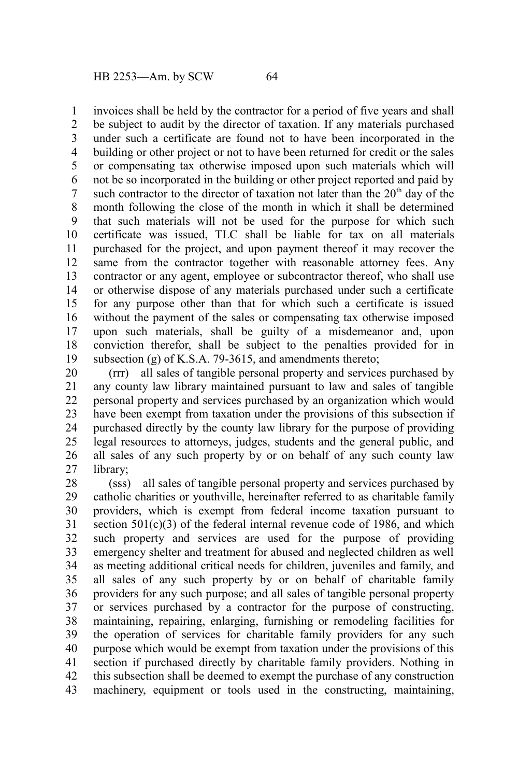invoices shall be held by the contractor for a period of five years and shall be subject to audit by the director of taxation. If any materials purchased under such a certificate are found not to have been incorporated in the building or other project or not to have been returned for credit or the sales or compensating tax otherwise imposed upon such materials which will not be so incorporated in the building or other project reported and paid by such contractor to the director of taxation not later than the  $20<sup>th</sup>$  day of the month following the close of the month in which it shall be determined that such materials will not be used for the purpose for which such certificate was issued, TLC shall be liable for tax on all materials purchased for the project, and upon payment thereof it may recover the same from the contractor together with reasonable attorney fees. Any contractor or any agent, employee or subcontractor thereof, who shall use or otherwise dispose of any materials purchased under such a certificate for any purpose other than that for which such a certificate is issued without the payment of the sales or compensating tax otherwise imposed upon such materials, shall be guilty of a misdemeanor and, upon conviction therefor, shall be subject to the penalties provided for in subsection (g) of K.S.A. 79-3615, and amendments thereto; 1 2 3 4 5 6 7 8 9 10 11 12 13 14 15 16 17 18 19

(rrr) all sales of tangible personal property and services purchased by any county law library maintained pursuant to law and sales of tangible personal property and services purchased by an organization which would have been exempt from taxation under the provisions of this subsection if purchased directly by the county law library for the purpose of providing legal resources to attorneys, judges, students and the general public, and all sales of any such property by or on behalf of any such county law library; 20 21 22 23 24 25 26 27

(sss) all sales of tangible personal property and services purchased by catholic charities or youthville, hereinafter referred to as charitable family providers, which is exempt from federal income taxation pursuant to section 501(c)(3) of the federal internal revenue code of 1986, and which such property and services are used for the purpose of providing emergency shelter and treatment for abused and neglected children as well as meeting additional critical needs for children, juveniles and family, and all sales of any such property by or on behalf of charitable family providers for any such purpose; and all sales of tangible personal property or services purchased by a contractor for the purpose of constructing, maintaining, repairing, enlarging, furnishing or remodeling facilities for the operation of services for charitable family providers for any such purpose which would be exempt from taxation under the provisions of this section if purchased directly by charitable family providers. Nothing in this subsection shall be deemed to exempt the purchase of any construction machinery, equipment or tools used in the constructing, maintaining, 28 29 30 31 32 33 34 35 36 37 38 39 40 41 42 43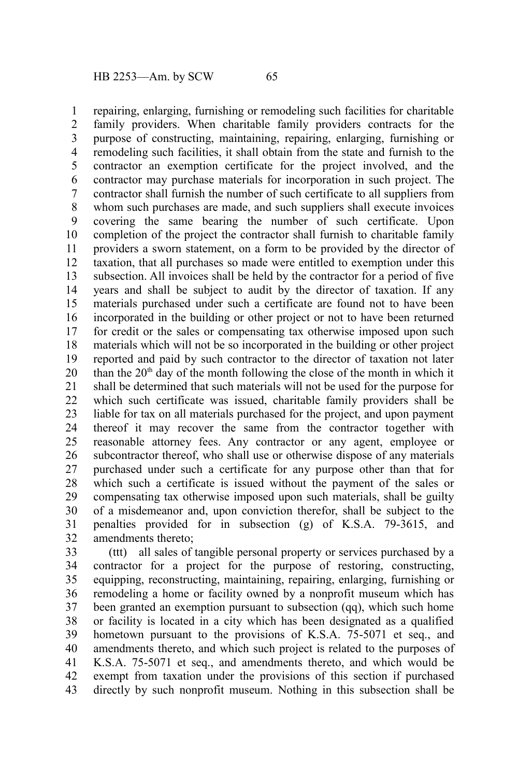repairing, enlarging, furnishing or remodeling such facilities for charitable family providers. When charitable family providers contracts for the purpose of constructing, maintaining, repairing, enlarging, furnishing or remodeling such facilities, it shall obtain from the state and furnish to the contractor an exemption certificate for the project involved, and the contractor may purchase materials for incorporation in such project. The contractor shall furnish the number of such certificate to all suppliers from whom such purchases are made, and such suppliers shall execute invoices covering the same bearing the number of such certificate. Upon completion of the project the contractor shall furnish to charitable family providers a sworn statement, on a form to be provided by the director of taxation, that all purchases so made were entitled to exemption under this subsection. All invoices shall be held by the contractor for a period of five years and shall be subject to audit by the director of taxation. If any materials purchased under such a certificate are found not to have been incorporated in the building or other project or not to have been returned for credit or the sales or compensating tax otherwise imposed upon such materials which will not be so incorporated in the building or other project reported and paid by such contractor to the director of taxation not later than the  $20<sup>th</sup>$  day of the month following the close of the month in which it shall be determined that such materials will not be used for the purpose for which such certificate was issued, charitable family providers shall be liable for tax on all materials purchased for the project, and upon payment thereof it may recover the same from the contractor together with reasonable attorney fees. Any contractor or any agent, employee or subcontractor thereof, who shall use or otherwise dispose of any materials purchased under such a certificate for any purpose other than that for which such a certificate is issued without the payment of the sales or compensating tax otherwise imposed upon such materials, shall be guilty of a misdemeanor and, upon conviction therefor, shall be subject to the penalties provided for in subsection (g) of K.S.A. 79-3615, and amendments thereto; 1 2 3 4 5 6 7 8 9 10 11 12 13 14 15 16 17 18 19 20 21 22 23 24 25 26 27 28 29 30 31 32

(ttt) all sales of tangible personal property or services purchased by a contractor for a project for the purpose of restoring, constructing, equipping, reconstructing, maintaining, repairing, enlarging, furnishing or remodeling a home or facility owned by a nonprofit museum which has been granted an exemption pursuant to subsection (qq), which such home or facility is located in a city which has been designated as a qualified hometown pursuant to the provisions of K.S.A. 75-5071 et seq., and amendments thereto, and which such project is related to the purposes of K.S.A. 75-5071 et seq., and amendments thereto, and which would be exempt from taxation under the provisions of this section if purchased directly by such nonprofit museum. Nothing in this subsection shall be 33 34 35 36 37 38 39 40 41 42 43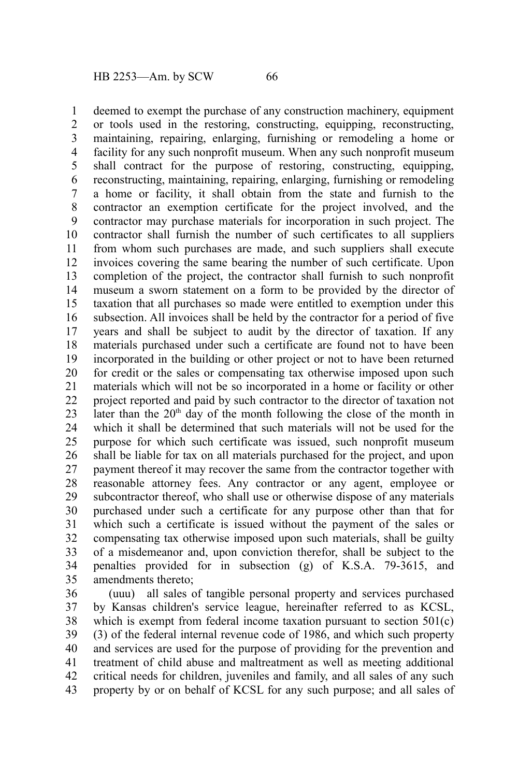deemed to exempt the purchase of any construction machinery, equipment or tools used in the restoring, constructing, equipping, reconstructing, maintaining, repairing, enlarging, furnishing or remodeling a home or facility for any such nonprofit museum. When any such nonprofit museum shall contract for the purpose of restoring, constructing, equipping, reconstructing, maintaining, repairing, enlarging, furnishing or remodeling a home or facility, it shall obtain from the state and furnish to the contractor an exemption certificate for the project involved, and the contractor may purchase materials for incorporation in such project. The contractor shall furnish the number of such certificates to all suppliers from whom such purchases are made, and such suppliers shall execute invoices covering the same bearing the number of such certificate. Upon completion of the project, the contractor shall furnish to such nonprofit museum a sworn statement on a form to be provided by the director of taxation that all purchases so made were entitled to exemption under this subsection. All invoices shall be held by the contractor for a period of five years and shall be subject to audit by the director of taxation. If any materials purchased under such a certificate are found not to have been incorporated in the building or other project or not to have been returned for credit or the sales or compensating tax otherwise imposed upon such materials which will not be so incorporated in a home or facility or other project reported and paid by such contractor to the director of taxation not later than the  $20<sup>th</sup>$  day of the month following the close of the month in which it shall be determined that such materials will not be used for the purpose for which such certificate was issued, such nonprofit museum shall be liable for tax on all materials purchased for the project, and upon payment thereof it may recover the same from the contractor together with reasonable attorney fees. Any contractor or any agent, employee or subcontractor thereof, who shall use or otherwise dispose of any materials purchased under such a certificate for any purpose other than that for which such a certificate is issued without the payment of the sales or compensating tax otherwise imposed upon such materials, shall be guilty of a misdemeanor and, upon conviction therefor, shall be subject to the penalties provided for in subsection (g) of K.S.A. 79-3615, and amendments thereto; 1 2 3 4 5 6 7 8 9 10 11 12 13 14 15 16 17 18 19 20 21 22 23 24 25 26 27 28 29 30 31 32 33 34 35

(uuu) all sales of tangible personal property and services purchased by Kansas children's service league, hereinafter referred to as KCSL, which is exempt from federal income taxation pursuant to section  $501(c)$ (3) of the federal internal revenue code of 1986, and which such property and services are used for the purpose of providing for the prevention and treatment of child abuse and maltreatment as well as meeting additional critical needs for children, juveniles and family, and all sales of any such property by or on behalf of KCSL for any such purpose; and all sales of 36 37 38 39 40 41 42 43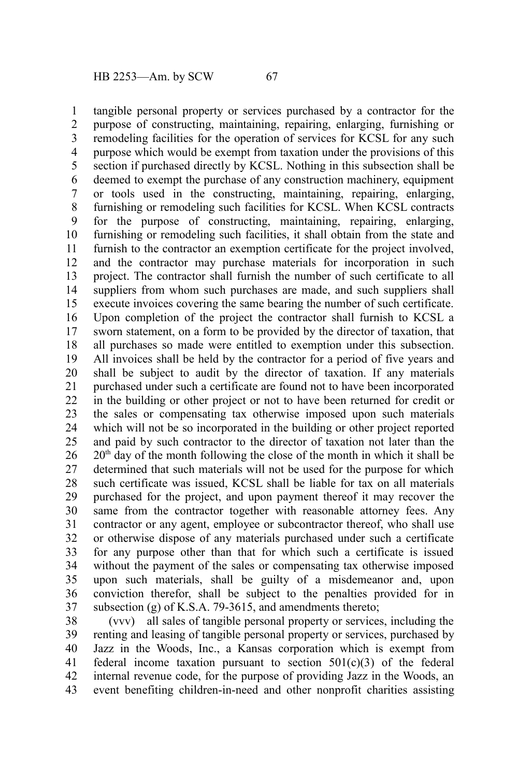tangible personal property or services purchased by a contractor for the purpose of constructing, maintaining, repairing, enlarging, furnishing or remodeling facilities for the operation of services for KCSL for any such purpose which would be exempt from taxation under the provisions of this section if purchased directly by KCSL. Nothing in this subsection shall be deemed to exempt the purchase of any construction machinery, equipment or tools used in the constructing, maintaining, repairing, enlarging, furnishing or remodeling such facilities for KCSL. When KCSL contracts for the purpose of constructing, maintaining, repairing, enlarging, furnishing or remodeling such facilities, it shall obtain from the state and furnish to the contractor an exemption certificate for the project involved, and the contractor may purchase materials for incorporation in such project. The contractor shall furnish the number of such certificate to all suppliers from whom such purchases are made, and such suppliers shall execute invoices covering the same bearing the number of such certificate. Upon completion of the project the contractor shall furnish to KCSL a sworn statement, on a form to be provided by the director of taxation, that all purchases so made were entitled to exemption under this subsection. All invoices shall be held by the contractor for a period of five years and shall be subject to audit by the director of taxation. If any materials purchased under such a certificate are found not to have been incorporated in the building or other project or not to have been returned for credit or the sales or compensating tax otherwise imposed upon such materials which will not be so incorporated in the building or other project reported and paid by such contractor to the director of taxation not later than the  $20<sup>th</sup>$  day of the month following the close of the month in which it shall be determined that such materials will not be used for the purpose for which such certificate was issued, KCSL shall be liable for tax on all materials purchased for the project, and upon payment thereof it may recover the same from the contractor together with reasonable attorney fees. Any contractor or any agent, employee or subcontractor thereof, who shall use or otherwise dispose of any materials purchased under such a certificate for any purpose other than that for which such a certificate is issued without the payment of the sales or compensating tax otherwise imposed upon such materials, shall be guilty of a misdemeanor and, upon conviction therefor, shall be subject to the penalties provided for in subsection (g) of K.S.A. 79-3615, and amendments thereto; 1 2 3 4 5 6 7 8 9 10 11 12 13 14 15 16 17 18 19 20 21 22 23 24 25 26 27 28 29 30 31 32 33 34 35 36 37

(vvv) all sales of tangible personal property or services, including the renting and leasing of tangible personal property or services, purchased by Jazz in the Woods, Inc., a Kansas corporation which is exempt from federal income taxation pursuant to section  $501(c)(3)$  of the federal internal revenue code, for the purpose of providing Jazz in the Woods, an event benefiting children-in-need and other nonprofit charities assisting 38 39 40 41 42 43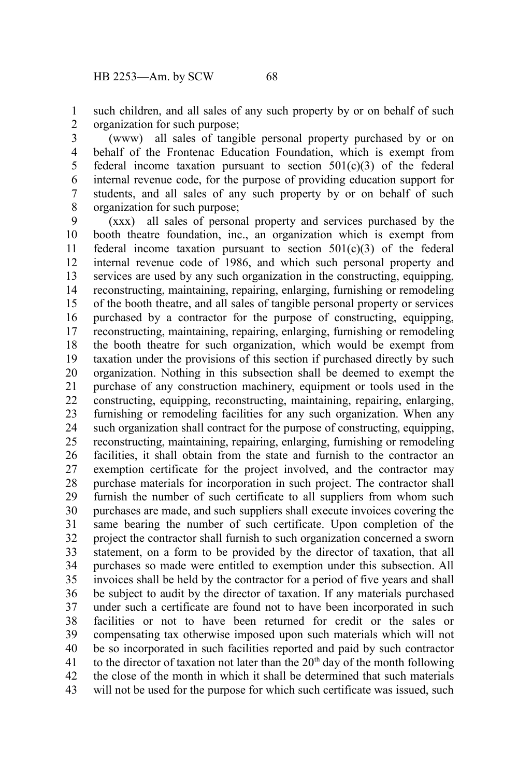such children, and all sales of any such property by or on behalf of such organization for such purpose; 1 2

(www) all sales of tangible personal property purchased by or on behalf of the Frontenac Education Foundation, which is exempt from federal income taxation pursuant to section  $501(c)(3)$  of the federal internal revenue code, for the purpose of providing education support for students, and all sales of any such property by or on behalf of such organization for such purpose; 3 4 5 6 7 8

(xxx) all sales of personal property and services purchased by the booth theatre foundation, inc., an organization which is exempt from federal income taxation pursuant to section  $501(c)(3)$  of the federal internal revenue code of 1986, and which such personal property and services are used by any such organization in the constructing, equipping, reconstructing, maintaining, repairing, enlarging, furnishing or remodeling of the booth theatre, and all sales of tangible personal property or services purchased by a contractor for the purpose of constructing, equipping, reconstructing, maintaining, repairing, enlarging, furnishing or remodeling the booth theatre for such organization, which would be exempt from taxation under the provisions of this section if purchased directly by such organization. Nothing in this subsection shall be deemed to exempt the purchase of any construction machinery, equipment or tools used in the constructing, equipping, reconstructing, maintaining, repairing, enlarging, furnishing or remodeling facilities for any such organization. When any such organization shall contract for the purpose of constructing, equipping, reconstructing, maintaining, repairing, enlarging, furnishing or remodeling facilities, it shall obtain from the state and furnish to the contractor an exemption certificate for the project involved, and the contractor may purchase materials for incorporation in such project. The contractor shall furnish the number of such certificate to all suppliers from whom such purchases are made, and such suppliers shall execute invoices covering the same bearing the number of such certificate. Upon completion of the project the contractor shall furnish to such organization concerned a sworn statement, on a form to be provided by the director of taxation, that all purchases so made were entitled to exemption under this subsection. All invoices shall be held by the contractor for a period of five years and shall be subject to audit by the director of taxation. If any materials purchased under such a certificate are found not to have been incorporated in such facilities or not to have been returned for credit or the sales or compensating tax otherwise imposed upon such materials which will not be so incorporated in such facilities reported and paid by such contractor to the director of taxation not later than the  $20<sup>th</sup>$  day of the month following the close of the month in which it shall be determined that such materials will not be used for the purpose for which such certificate was issued, such 9 10 11 12 13 14 15 16 17 18 19 20 21 22 23 24 25 26 27 28 29 30 31 32 33 34 35 36 37 38 39 40 41 42 43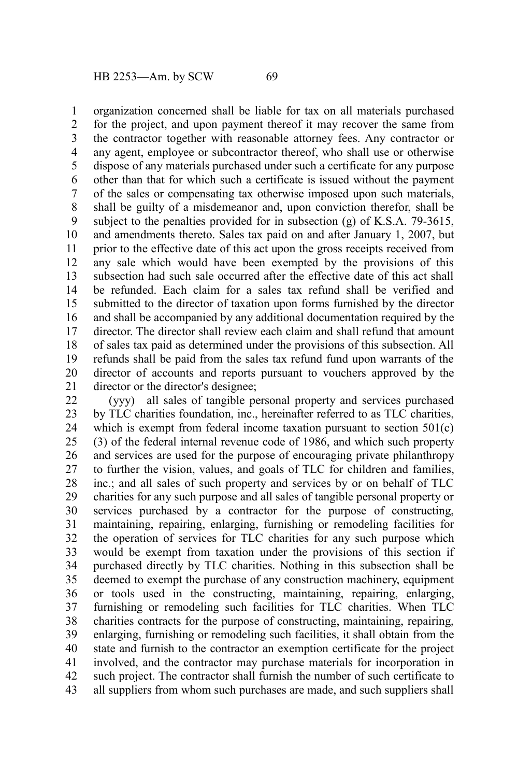organization concerned shall be liable for tax on all materials purchased for the project, and upon payment thereof it may recover the same from the contractor together with reasonable attorney fees. Any contractor or any agent, employee or subcontractor thereof, who shall use or otherwise dispose of any materials purchased under such a certificate for any purpose other than that for which such a certificate is issued without the payment of the sales or compensating tax otherwise imposed upon such materials, shall be guilty of a misdemeanor and, upon conviction therefor, shall be subject to the penalties provided for in subsection (g) of K.S.A. 79-3615, and amendments thereto. Sales tax paid on and after January 1, 2007, but prior to the effective date of this act upon the gross receipts received from any sale which would have been exempted by the provisions of this subsection had such sale occurred after the effective date of this act shall be refunded. Each claim for a sales tax refund shall be verified and submitted to the director of taxation upon forms furnished by the director and shall be accompanied by any additional documentation required by the director. The director shall review each claim and shall refund that amount of sales tax paid as determined under the provisions of this subsection. All refunds shall be paid from the sales tax refund fund upon warrants of the director of accounts and reports pursuant to vouchers approved by the director or the director's designee; 1 2 3 4 5 6 7 8 9 10 11 12 13 14 15 16 17 18 19 20 21

(yyy) all sales of tangible personal property and services purchased by TLC charities foundation, inc., hereinafter referred to as TLC charities, which is exempt from federal income taxation pursuant to section  $501(c)$ (3) of the federal internal revenue code of 1986, and which such property and services are used for the purpose of encouraging private philanthropy to further the vision, values, and goals of TLC for children and families, inc.; and all sales of such property and services by or on behalf of TLC charities for any such purpose and all sales of tangible personal property or services purchased by a contractor for the purpose of constructing, maintaining, repairing, enlarging, furnishing or remodeling facilities for the operation of services for TLC charities for any such purpose which would be exempt from taxation under the provisions of this section if purchased directly by TLC charities. Nothing in this subsection shall be deemed to exempt the purchase of any construction machinery, equipment or tools used in the constructing, maintaining, repairing, enlarging, furnishing or remodeling such facilities for TLC charities. When TLC charities contracts for the purpose of constructing, maintaining, repairing, enlarging, furnishing or remodeling such facilities, it shall obtain from the state and furnish to the contractor an exemption certificate for the project involved, and the contractor may purchase materials for incorporation in such project. The contractor shall furnish the number of such certificate to all suppliers from whom such purchases are made, and such suppliers shall 22 23 24 25 26 27 28 29 30 31 32 33 34 35 36 37 38 39 40 41 42 43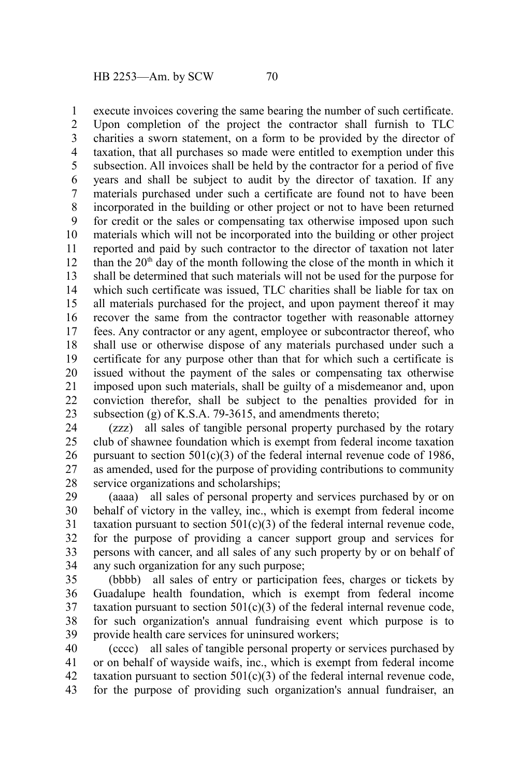execute invoices covering the same bearing the number of such certificate. Upon completion of the project the contractor shall furnish to TLC charities a sworn statement, on a form to be provided by the director of taxation, that all purchases so made were entitled to exemption under this subsection. All invoices shall be held by the contractor for a period of five years and shall be subject to audit by the director of taxation. If any materials purchased under such a certificate are found not to have been incorporated in the building or other project or not to have been returned for credit or the sales or compensating tax otherwise imposed upon such materials which will not be incorporated into the building or other project reported and paid by such contractor to the director of taxation not later than the  $20<sup>th</sup>$  day of the month following the close of the month in which it shall be determined that such materials will not be used for the purpose for which such certificate was issued. TLC charities shall be liable for tax on all materials purchased for the project, and upon payment thereof it may recover the same from the contractor together with reasonable attorney fees. Any contractor or any agent, employee or subcontractor thereof, who shall use or otherwise dispose of any materials purchased under such a certificate for any purpose other than that for which such a certificate is issued without the payment of the sales or compensating tax otherwise imposed upon such materials, shall be guilty of a misdemeanor and, upon conviction therefor, shall be subject to the penalties provided for in subsection (g) of K.S.A. 79-3615, and amendments thereto; 1 2 3 4 5 6 7 8 9 10 11 12 13 14 15 16 17 18 19 20 21 22 23

(zzz) all sales of tangible personal property purchased by the rotary club of shawnee foundation which is exempt from federal income taxation pursuant to section  $501(c)(3)$  of the federal internal revenue code of 1986. as amended, used for the purpose of providing contributions to community service organizations and scholarships; 24 25 26 27 28

(aaaa) all sales of personal property and services purchased by or on behalf of victory in the valley, inc., which is exempt from federal income taxation pursuant to section  $501(c)(3)$  of the federal internal revenue code, for the purpose of providing a cancer support group and services for persons with cancer, and all sales of any such property by or on behalf of any such organization for any such purpose; 29 30 31 32 33 34

(bbbb) all sales of entry or participation fees, charges or tickets by Guadalupe health foundation, which is exempt from federal income taxation pursuant to section  $501(c)(3)$  of the federal internal revenue code, for such organization's annual fundraising event which purpose is to provide health care services for uninsured workers; 35 36 37 38 39

(cccc) all sales of tangible personal property or services purchased by or on behalf of wayside waifs, inc., which is exempt from federal income taxation pursuant to section  $501(c)(3)$  of the federal internal revenue code, for the purpose of providing such organization's annual fundraiser, an 40 41 42 43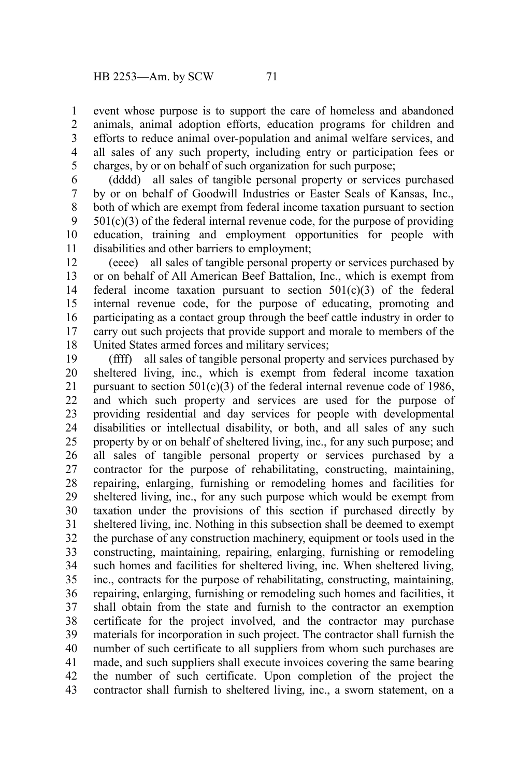event whose purpose is to support the care of homeless and abandoned animals, animal adoption efforts, education programs for children and efforts to reduce animal over-population and animal welfare services, and all sales of any such property, including entry or participation fees or charges, by or on behalf of such organization for such purpose; 1 2 3 4 5

(dddd) all sales of tangible personal property or services purchased by or on behalf of Goodwill Industries or Easter Seals of Kansas, Inc., both of which are exempt from federal income taxation pursuant to section  $501(c)(3)$  of the federal internal revenue code, for the purpose of providing education, training and employment opportunities for people with disabilities and other barriers to employment; 6 7 8 9 10 11

(eeee) all sales of tangible personal property or services purchased by or on behalf of All American Beef Battalion, Inc., which is exempt from federal income taxation pursuant to section  $501(c)(3)$  of the federal internal revenue code, for the purpose of educating, promoting and participating as a contact group through the beef cattle industry in order to carry out such projects that provide support and morale to members of the United States armed forces and military services; 12 13 14 15 16 17 18

(ffff) all sales of tangible personal property and services purchased by sheltered living, inc., which is exempt from federal income taxation pursuant to section  $501(c)(3)$  of the federal internal revenue code of 1986, and which such property and services are used for the purpose of providing residential and day services for people with developmental disabilities or intellectual disability, or both, and all sales of any such property by or on behalf of sheltered living, inc., for any such purpose; and all sales of tangible personal property or services purchased by a contractor for the purpose of rehabilitating, constructing, maintaining, repairing, enlarging, furnishing or remodeling homes and facilities for sheltered living, inc., for any such purpose which would be exempt from taxation under the provisions of this section if purchased directly by sheltered living, inc. Nothing in this subsection shall be deemed to exempt the purchase of any construction machinery, equipment or tools used in the constructing, maintaining, repairing, enlarging, furnishing or remodeling such homes and facilities for sheltered living, inc. When sheltered living, inc., contracts for the purpose of rehabilitating, constructing, maintaining, repairing, enlarging, furnishing or remodeling such homes and facilities, it shall obtain from the state and furnish to the contractor an exemption certificate for the project involved, and the contractor may purchase materials for incorporation in such project. The contractor shall furnish the number of such certificate to all suppliers from whom such purchases are made, and such suppliers shall execute invoices covering the same bearing the number of such certificate. Upon completion of the project the contractor shall furnish to sheltered living, inc., a sworn statement, on a 19 20 21 22 23 24 25 26 27 28 29 30 31 32 33 34 35 36 37 38 39 40 41 42 43